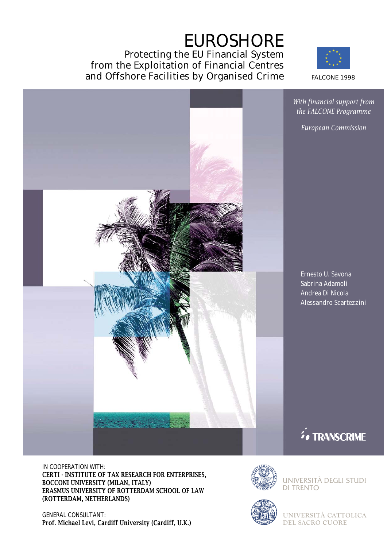# EUROSHORE

Protecting the EU Financial System from the Exploitation of Financial Centres and Offshore Facilities by Organised Crime FALCONE 1998



*With financial support from the FALCONE Programme*

*European Commission*

Ernesto U. Savona Sabrina Adamoli Andrea Di Nicola Alessandro Scartezzini

**Fo TRANSCRIME** 

IN COOPERATION WITH: CERTI - INSTITUTE OF TAX RESEARCH FOR ENTERPRISES, BOCCONI UNIVERSITY (MILAN, ITALY) ERASMUS UNIVERSITY OF ROTTERDAM SCHOOL OF LAW (ROTTERDAM, NETHERLANDS)

GENERAL CONSULTANT: Prof. Michael Levi, Cardiff University (Cardiff, U.K.)



UNIVERSITÀ DEGLI STUDI DI TRENTO



**UNIVERSITÀ CATTOLICA DEL SACRO CUORE**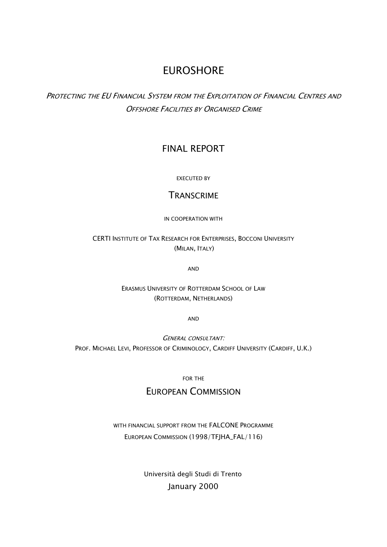## EUROSHORE

PROTECTING THE EU FINANCIAL SYSTEM FROM THE EXPLOITATION OF FINANCIAL CENTRES AND **OFFSHORE FACILITIES BY ORGANISED CRIME** 

## FINAL REPORT

EXECUTED BY

## **TRANSCRIME**

IN COOPERATION WITH

CERTI INSTITUTE OF TAX RESEARCH FOR ENTERPRISES, BOCCONI UNIVERSITY (MILAN, ITALY)

AND

ERASMUS UNIVERSITY OF ROTTERDAM SCHOOL OF LAW (ROTTERDAM, NETHERLANDS)

AND

GENERAL CONSULTANT: PROF. MICHAEL LEVI, PROFESSOR OF CRIMINOLOGY, CARDIFF UNIVERSITY (CARDIFF, U.K.)

FOR THE

## EUROPEAN COMMISSION

## WITH FINANCIAL SUPPORT FROM THE FALCONE PROGRAMME EUROPEAN COMMISSION (1998/TFJHA\_FAL/116)

Università degli Studi di Trento January 2000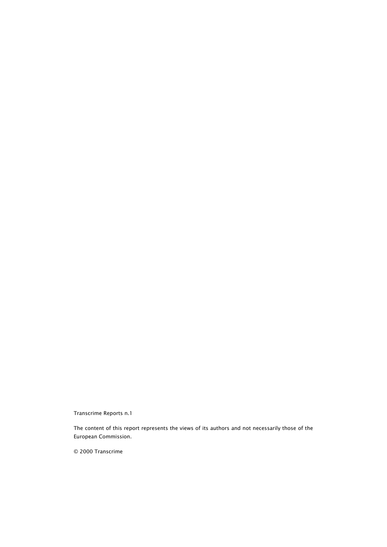Transcrime Reports n.1

The content of this report represents the views of its authors and not necessarily those of the European Commission.

© 2000 Transcrime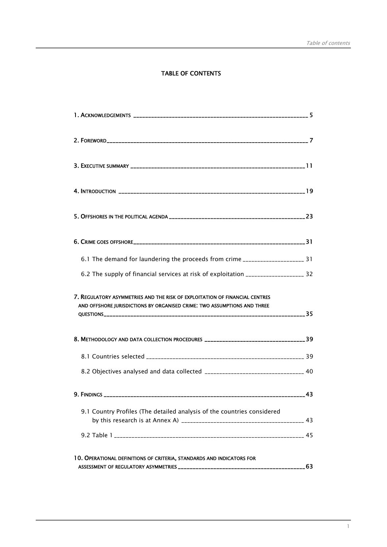#### TABLE OF CONTENTS

| 6.1 The demand for laundering the proceeds from crime __________________________ 31                                                                     |  |
|---------------------------------------------------------------------------------------------------------------------------------------------------------|--|
| 6.2 The supply of financial services at risk of exploitation ___________________ 32                                                                     |  |
| 7. REGULATORY ASYMMETRIES AND THE RISK OF EXPLOITATION OF FINANCIAL CENTRES<br>AND OFFSHORE JURISDICTIONS BY ORGANISED CRIME: TWO ASSUMPTIONS AND THREE |  |
| 8. METHODOLOGY AND DATA COLLECTION PROCEDURES __________________________________39                                                                      |  |
|                                                                                                                                                         |  |
| 8.2 Objectives analysed and data collected _________________________________ 40                                                                         |  |
|                                                                                                                                                         |  |
| 9.1 Country Profiles (The detailed analysis of the countries considered                                                                                 |  |
|                                                                                                                                                         |  |
| 10. OPERATIONAL DEFINITIONS OF CRITERIA, STANDARDS AND INDICATORS FOR                                                                                   |  |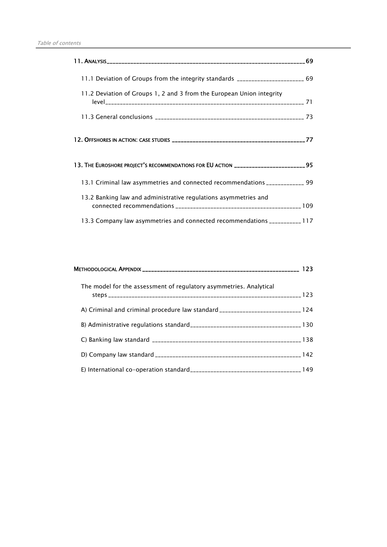| 11.1 Deviation of Groups from the integrity standards _______________________ 69    |  |
|-------------------------------------------------------------------------------------|--|
| 11.2 Deviation of Groups 1, 2 and 3 from the European Union integrity               |  |
|                                                                                     |  |
|                                                                                     |  |
| 13. THE EUROSHORE PROJECT'S RECOMMENDATIONS FOR EU ACTION _______________________95 |  |
| 13.1 Criminal law asymmetries and connected recommendations _____________ 99        |  |
| 13.2 Banking law and administrative regulations asymmetries and                     |  |
| 13.3 Company law asymmetries and connected recommendations __________ 117           |  |

| The model for the assessment of regulatory asymmetries. Analytical              |  |
|---------------------------------------------------------------------------------|--|
| A) Criminal and criminal procedure law standard ____________________________124 |  |
|                                                                                 |  |
|                                                                                 |  |
|                                                                                 |  |
|                                                                                 |  |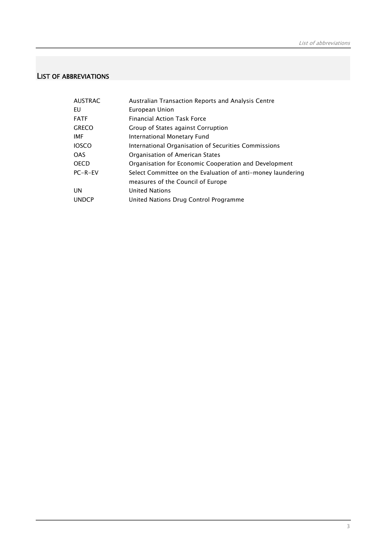### LIST OF ABBREVIATIONS

| <b>AUSTRAC</b> | Australian Transaction Reports and Analysis Centre          |
|----------------|-------------------------------------------------------------|
| EU             | European Union                                              |
| <b>FATF</b>    | <b>Financial Action Task Force</b>                          |
| <b>GRECO</b>   | Group of States against Corruption                          |
| <b>IMF</b>     | International Monetary Fund                                 |
| <b>IOSCO</b>   | International Organisation of Securities Commissions        |
| <b>OAS</b>     | Organisation of American States                             |
| <b>OECD</b>    | Organisation for Economic Cooperation and Development       |
| $PC-R-EV$      | Select Committee on the Evaluation of anti-money laundering |
|                | measures of the Council of Europe                           |
| <b>UN</b>      | <b>United Nations</b>                                       |
| <b>UNDCP</b>   | United Nations Drug Control Programme                       |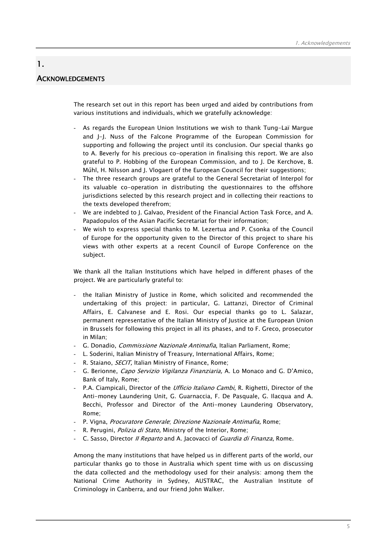## **ACKNOWLEDGEMENTS**

1.

The research set out in this report has been urged and aided by contributions from various institutions and individuals, which we gratefully acknowledge:

- As regards the European Union Institutions we wish to thank Tung-Laï Margue and J-J. Nuss of the Falcone Programme of the European Commission for supporting and following the project until its conclusion. Our special thanks go to A. Beverly for his precious co-operation in finalising this report. We are also grateful to P. Hobbing of the European Commission, and to J. De Kerchove, B. Műhl, H. Nilsson and J. Vlogaert of the European Council for their suggestions;
- The three research groups are grateful to the General Secretariat of Interpol for its valuable co-operation in distributing the questionnaires to the offshore jurisdictions selected by this research project and in collecting their reactions to the texts developed therefrom;
- We are indebted to J. Galvao, President of the Financial Action Task Force, and A. Papadopulos of the Asian Pacific Secretariat for their information;
- We wish to express special thanks to M. Lezertua and P. Csonka of the Council of Europe for the opportunity given to the Director of this project to share his views with other experts at a recent Council of Europe Conference on the subject.

We thank all the Italian Institutions which have helped in different phases of the project. We are particularly grateful to:

- the Italian Ministry of Justice in Rome, which solicited and recommended the undertaking of this project: in particular, G. Lattanzi, Director of Criminal Affairs, E. Calvanese and E. Rosi. Our especial thanks go to L. Salazar, permanent representative of the Italian Ministry of Justice at the European Union in Brussels for following this project in all its phases, and to F. Greco, prosecutor in Milan;
- G. Donadio, Commissione Nazionale Antimafia, Italian Parliament, Rome;
- L. Soderini, Italian Ministry of Treasury, International Affairs, Rome;
- R. Staiano, *SECIT*, Italian Ministry of Finance, Rome;
- G. Berionne, Capo Servizio Vigilanza Finanziaria, A. Lo Monaco and G. D'Amico, Bank of Italy, Rome;
- P.A. Ciampicali, Director of the *Ufficio Italiano Cambi*, R. Righetti, Director of the Anti-money Laundering Unit, G. Guarnaccia, F. De Pasquale, G. Ilacqua and A. Becchi, Professor and Director of the Anti-money Laundering Observatory, Rome;
- P. Vigna, Procuratore Generale; Direzione Nazionale Antimafia, Rome;
- R. Perugini, *Polizia di Stato*, Ministry of the Interior, Rome;
- C. Sasso, Director *II Reparto* and A. Jacovacci of *Guardia di Finanza*, Rome.

Among the many institutions that have helped us in different parts of the world, our particular thanks go to those in Australia which spent time with us on discussing the data collected and the methodology used for their analysis: among them the National Crime Authority in Sydney, AUSTRAC, the Australian Institute of Criminology in Canberra, and our friend John Walker.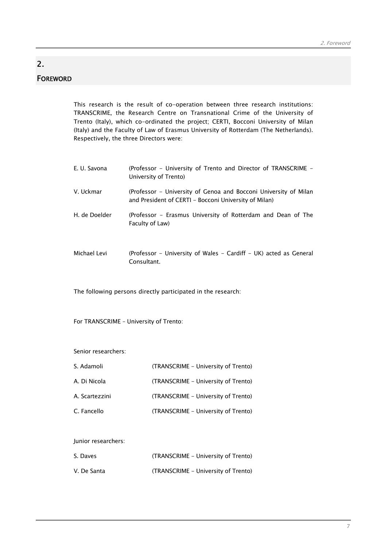## FOREWORD

2.

This research is the result of co-operation between three research institutions: TRANSCRIME, the Research Centre on Transnational Crime of the University of Trento (Italy), which co-ordinated the project; CERTI, Bocconi University of Milan (Italy) and the Faculty of Law of Erasmus University of Rotterdam (The Netherlands). Respectively, the three Directors were:

| E. U. Savona   | (Professor – University of Trento and Director of TRANSCRIME –<br>University of Trento)                                                                                                                                                                                                       |
|----------------|-----------------------------------------------------------------------------------------------------------------------------------------------------------------------------------------------------------------------------------------------------------------------------------------------|
| V. Uckmar      | (Professor – University of Genoa and Bocconi University of Milan<br>and President of CERTI – Bocconi University of Milan)                                                                                                                                                                     |
| H. de Doelder  | (Professor – Erasmus University of Rotterdam and Dean of The<br>Faculty of Law)                                                                                                                                                                                                               |
| $\blacksquare$ | $\sqrt{2}$ . $\sqrt{2}$ . $\sqrt{2}$ . $\sqrt{2}$ . $\sqrt{2}$ . $\sqrt{2}$ . $\sqrt{2}$ . $\sqrt{2}$ . $\sqrt{2}$ . $\sqrt{2}$ . $\sqrt{2}$ . $\sqrt{2}$ . $\sqrt{2}$ . $\sqrt{2}$ . $\sqrt{2}$ . $\sqrt{2}$ . $\sqrt{2}$ . $\sqrt{2}$ . $\sqrt{2}$ . $\sqrt{2}$ . $\sqrt{2}$ . $\sqrt{2}$ . |

Michael Levi (Professor - University of Wales - Cardiff - UK) acted as General Consultant.

The following persons directly participated in the research:

For TRANSCRIME – University of Trento:

Senior researchers:

| S. Adamoli     | (TRANSCRIME - University of Trento) |
|----------------|-------------------------------------|
| A. Di Nicola   | (TRANSCRIME – University of Trento) |
| A. Scartezzini | (TRANSCRIME - University of Trento) |
| C. Fancello    | (TRANSCRIME - University of Trento) |

Junior researchers:

| S. Daves    | (TRANSCRIME – University of Trento) |
|-------------|-------------------------------------|
| V. De Santa | (TRANSCRIME – University of Trento) |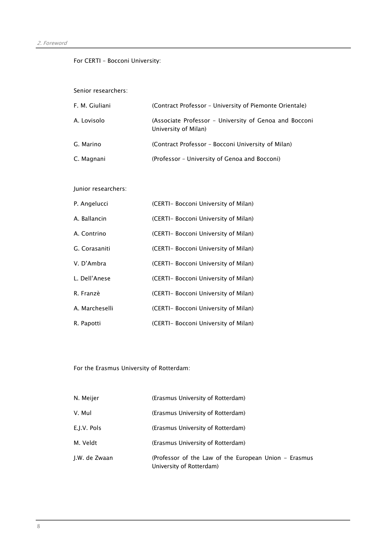#### For CERTI – Bocconi University:

Senior researchers:

| F. M. Giuliani | (Contract Professor - University of Piemonte Orientale)                        |
|----------------|--------------------------------------------------------------------------------|
| A. Lovisolo    | (Associate Professor - University of Genoa and Bocconi<br>University of Milan) |
| G. Marino      | (Contract Professor - Bocconi University of Milan)                             |
| C. Magnani     | (Professor - University of Genoa and Bocconi)                                  |

#### Junior researchers:

| P. Angelucci   | (CERTI- Bocconi University of Milan) |
|----------------|--------------------------------------|
| A. Ballancin   | (CERTI- Bocconi University of Milan) |
| A. Contrino    | (CERTI- Bocconi University of Milan) |
| G. Corasaniti  | (CERTI- Bocconi University of Milan) |
| V. D'Ambra     | (CERTI- Bocconi University of Milan) |
| L. Dell'Anese  | (CERTI- Bocconi University of Milan) |
| R. Franzè      | (CERTI- Bocconi University of Milan) |
| A. Marcheselli | (CERTI- Bocconi University of Milan) |
| R. Papotti     | (CERTI- Bocconi University of Milan) |

For the Erasmus University of Rotterdam:

| N. Meijer     | (Erasmus University of Rotterdam)                                                 |
|---------------|-----------------------------------------------------------------------------------|
| V. Mul        | (Erasmus University of Rotterdam)                                                 |
| E.J.V. Pols   | (Erasmus University of Rotterdam)                                                 |
| M. Veldt      | (Erasmus University of Rotterdam)                                                 |
| J.W. de Zwaan | (Professor of the Law of the European Union - Erasmus<br>University of Rotterdam) |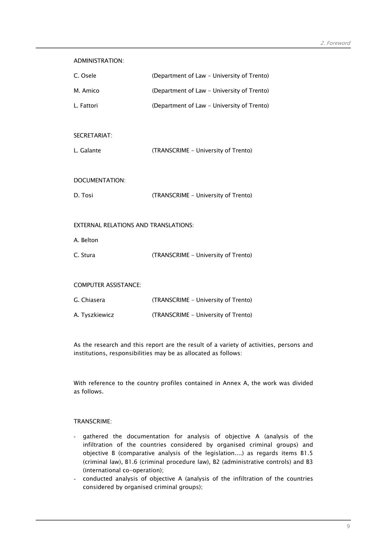| <b>ADMINISTRATION:</b>                      |                                            |
|---------------------------------------------|--------------------------------------------|
| C. Osele                                    | (Department of Law - University of Trento) |
| M. Amico                                    | (Department of Law - University of Trento) |
| L. Fattori                                  | (Department of Law - University of Trento) |
|                                             |                                            |
| SECRETARIAT:                                |                                            |
| L. Galante                                  | (TRANSCRIME - University of Trento)        |
|                                             |                                            |
| DOCUMENTATION:                              |                                            |
| D. Tosi                                     | (TRANSCRIME - University of Trento)        |
|                                             |                                            |
| <b>EXTERNAL RELATIONS AND TRANSLATIONS:</b> |                                            |
| A. Belton                                   |                                            |
| C. Stura                                    | (TRANSCRIME - University of Trento)        |
|                                             |                                            |
| <b>COMPUTER ASSISTANCE:</b>                 |                                            |
| G. Chiasera                                 | (TRANSCRIME - University of Trento)        |
| A. Tyszkiewicz                              | (TRANSCRIME - University of Trento)        |

As the research and this report are the result of a variety of activities, persons and institutions, responsibilities may be as allocated as follows:

With reference to the country profiles contained in Annex A, the work was divided as follows.

#### TRANSCRIME:

- gathered the documentation for analysis of objective A (analysis of the infiltration of the countries considered by organised criminal groups) and objective B (comparative analysis of the legislation....) as regards items B1.5 (criminal law), B1.6 (criminal procedure law), B2 (administrative controls) and B3 (international co-operation);
- conducted analysis of objective A (analysis of the infiltration of the countries considered by organised criminal groups);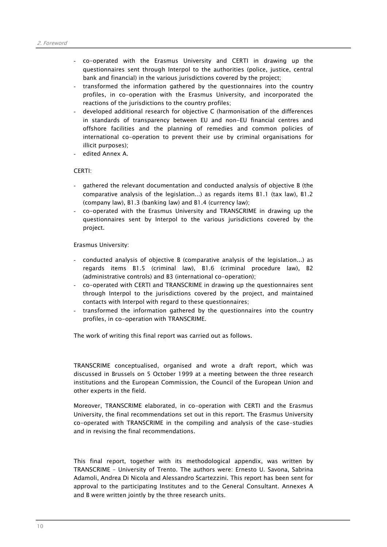- co-operated with the Erasmus University and CERTI in drawing up the questionnaires sent through Interpol to the authorities (police, justice, central bank and financial) in the various jurisdictions covered by the project;
- transformed the information gathered by the questionnaires into the country profiles, in co-operation with the Erasmus University, and incorporated the reactions of the jurisdictions to the country profiles;
- developed additional research for objective C (harmonisation of the differences in standards of transparency between EU and non-EU financial centres and offshore facilities and the planning of remedies and common policies of international co-operation to prevent their use by criminal organisations for illicit purposes);
- edited Annex A.

#### CERTI:

- gathered the relevant documentation and conducted analysis of objective B (the comparative analysis of the legislation...) as regards items B1.1 (tax law), B1.2 (company law), B1.3 (banking law) and B1.4 (currency law);
- co-operated with the Erasmus University and TRANSCRIME in drawing up the questionnaires sent by Interpol to the various jurisdictions covered by the project.

Erasmus University:

- conducted analysis of objective B (comparative analysis of the legislation...) as regards items B1.5 (criminal law), B1.6 (criminal procedure law), B2 (administrative controls) and B3 (international co-operation);
- co-operated with CERTI and TRANSCRIME in drawing up the questionnaires sent through Interpol to the jurisdictions covered by the project, and maintained contacts with Interpol with regard to these questionnaires;
- transformed the information gathered by the questionnaires into the country profiles, in co-operation with TRANSCRIME.

The work of writing this final report was carried out as follows.

TRANSCRIME conceptualised, organised and wrote a draft report, which was discussed in Brussels on 5 October 1999 at a meeting between the three research institutions and the European Commission, the Council of the European Union and other experts in the field.

Moreover, TRANSCRIME elaborated, in co-operation with CERTI and the Erasmus University, the final recommendations set out in this report. The Erasmus University co-operated with TRANSCRIME in the compiling and analysis of the case-studies and in revising the final recommendations.

This final report, together with its methodological appendix, was written by TRANSCRIME – University of Trento. The authors were: Ernesto U. Savona, Sabrina Adamoli, Andrea Di Nicola and Alessandro Scartezzini. This report has been sent for approval to the participating Institutes and to the General Consultant. Annexes A and B were written jointly by the three research units.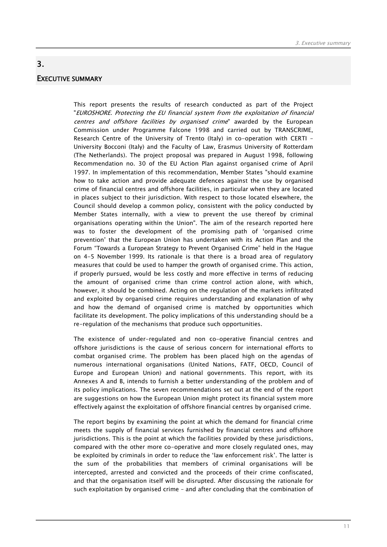## EXECUTIVE SUMMARY

3.

This report presents the results of research conducted as part of the Project "EUROSHORE. Protecting the EU financial system from the exploitation of financial centres and offshore facilities by organised crime" awarded by the European Commission under Programme Falcone 1998 and carried out by TRANSCRIME, Research Centre of the University of Trento (Italy) in co-operation with CERTI – University Bocconi (Italy) and the Faculty of Law, Erasmus University of Rotterdam (The Netherlands). The project proposal was prepared in August 1998, following Recommendation no. 30 of the EU Action Plan against organised crime of April 1997. In implementation of this recommendation, Member States "should examine how to take action and provide adequate defences against the use by organised crime of financial centres and offshore facilities, in particular when they are located in places subject to their jurisdiction. With respect to those located elsewhere, the Council should develop a common policy, consistent with the policy conducted by Member States internally, with a view to prevent the use thereof by criminal organisations operating within the Union". The aim of the research reported here was to foster the development of the promising path of 'organised crime prevention' that the European Union has undertaken with its Action Plan and the Forum "Towards a European Strategy to Prevent Organised Crime" held in the Hague on 4-5 November 1999. Its rationale is that there is a broad area of regulatory measures that could be used to hamper the growth of organised crime. This action, if properly pursued, would be less costly and more effective in terms of reducing the amount of organised crime than crime control action alone, with which, however, it should be combined. Acting on the regulation of the markets infiltrated and exploited by organised crime requires understanding and explanation of why and how the demand of organised crime is matched by opportunities which facilitate its development. The policy implications of this understanding should be a re-regulation of the mechanisms that produce such opportunities.

The existence of under-regulated and non co-operative financial centres and offshore jurisdictions is the cause of serious concern for international efforts to combat organised crime. The problem has been placed high on the agendas of numerous international organisations (United Nations, FATF, OECD, Council of Europe and European Union) and national governments. This report, with its Annexes A and B, intends to furnish a better understanding of the problem and of its policy implications. The seven recommendations set out at the end of the report are suggestions on how the European Union might protect its financial system more effectively against the exploitation of offshore financial centres by organised crime.

The report begins by examining the point at which the demand for financial crime meets the supply of financial services furnished by financial centres and offshore jurisdictions. This is the point at which the facilities provided by these jurisdictions, compared with the other more co-operative and more closely regulated ones, may be exploited by criminals in order to reduce the 'law enforcement risk'. The latter is the sum of the probabilities that members of criminal organisations will be intercepted, arrested and convicted and the proceeds of their crime confiscated, and that the organisation itself will be disrupted. After discussing the rationale for such exploitation by organised crime – and after concluding that the combination of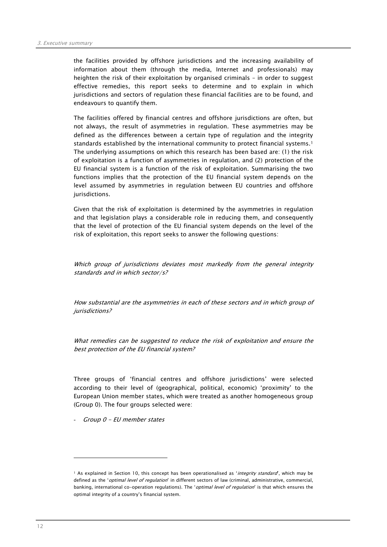the facilities provided by offshore jurisdictions and the increasing availability of information about them (through the media, Internet and professionals) may heighten the risk of their exploitation by organised criminals – in order to suggest effective remedies, this report seeks to determine and to explain in which jurisdictions and sectors of regulation these financial facilities are to be found, and endeavours to quantify them.

The facilities offered by financial centres and offshore jurisdictions are often, but not always, the result of asymmetries in regulation. These asymmetries may be defined as the differences between a certain type of regulation and the integrity standards established by the international community to protect financial systems.<sup>1</sup> The underlying assumptions on which this research has been based are: (1) the risk of exploitation is a function of asymmetries in regulation, and (2) protection of the EU financial system is a function of the risk of exploitation. Summarising the two functions implies that the protection of the EU financial system depends on the level assumed by asymmetries in regulation between EU countries and offshore jurisdictions.

Given that the risk of exploitation is determined by the asymmetries in regulation and that legislation plays a considerable role in reducing them, and consequently that the level of protection of the EU financial system depends on the level of the risk of exploitation, this report seeks to answer the following questions:

Which group of jurisdictions deviates most markedly from the general integrity standards and in which sector/s?

How substantial are the asymmetries in each of these sectors and in which group of jurisdictions?

What remedies can be suggested to reduce the risk of exploitation and ensure the best protection of the EU financial system?

Three groups of 'financial centres and offshore jurisdictions' were selected according to their level of (geographical, political, economic) 'proximity' to the European Union member states, which were treated as another homogeneous group (Group 0). The four groups selected were:

- Group 0 - EU member states

<sup>&</sup>lt;sup>1</sup> As explained in Section 10, this concept has been operationalised as 'integrity standard', which may be defined as the 'optimal level of regulation' in different sectors of law (criminal, administrative, commercial, banking, international co-operation regulations). The '*optimal level of regulation*' is that which ensures the optimal integrity of a country's financial system.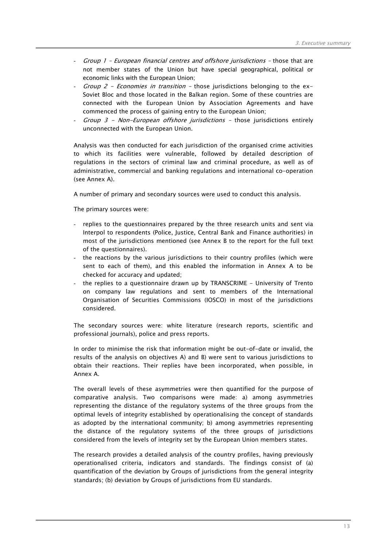- Group 1 European financial centres and offshore jurisdictions those that are not member states of the Union but have special geographical, political or economic links with the European Union;
- *Group 2 Economies in transition -* those jurisdictions belonging to the ex-Soviet Bloc and those located in the Balkan region. Some of these countries are connected with the European Union by Association Agreements and have commenced the process of gaining entry to the European Union;
- Group  $3$  Non-European offshore jurisdictions those jurisdictions entirely unconnected with the European Union.

Analysis was then conducted for each jurisdiction of the organised crime activities to which its facilities were vulnerable, followed by detailed description of regulations in the sectors of criminal law and criminal procedure, as well as of administrative, commercial and banking regulations and international co-operation (see Annex A).

A number of primary and secondary sources were used to conduct this analysis.

The primary sources were:

- replies to the questionnaires prepared by the three research units and sent via Interpol to respondents (Police, Justice, Central Bank and Finance authorities) in most of the jurisdictions mentioned (see Annex B to the report for the full text of the questionnaires).
- the reactions by the various jurisdictions to their country profiles (which were sent to each of them), and this enabled the information in Annex A to be checked for accuracy and updated;
- the replies to a questionnaire drawn up by TRANSCRIME University of Trento on company law regulations and sent to members of the International Organisation of Securities Commissions (IOSCO) in most of the jurisdictions considered.

The secondary sources were: white literature (research reports, scientific and professional journals), police and press reports.

In order to minimise the risk that information might be out-of-date or invalid, the results of the analysis on objectives A) and B) were sent to various jurisdictions to obtain their reactions. Their replies have been incorporated, when possible, in Annex A.

The overall levels of these asymmetries were then quantified for the purpose of comparative analysis. Two comparisons were made: a) among asymmetries representing the distance of the regulatory systems of the three groups from the optimal levels of integrity established by operationalising the concept of standards as adopted by the international community; b) among asymmetries representing the distance of the regulatory systems of the three groups of jurisdictions considered from the levels of integrity set by the European Union members states.

The research provides a detailed analysis of the country profiles, having previously operationalised criteria, indicators and standards. The findings consist of (a) quantification of the deviation by Groups of jurisdictions from the general integrity standards; (b) deviation by Groups of jurisdictions from EU standards.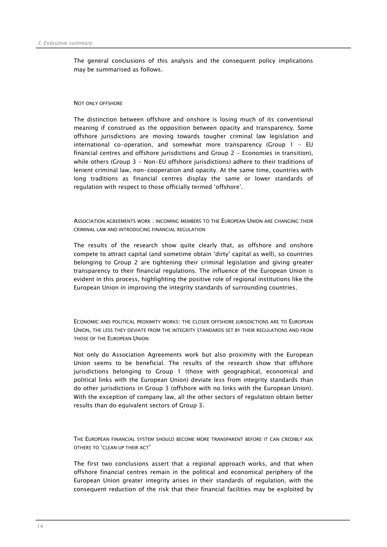The general conclusions of this analysis and the consequent policy implications may be summarised as follows.

#### NOT ONLY OFFSHORE

The distinction between offshore and onshore is losing much of its conventional meaning if construed as the opposition between opacity and transparency. Some offshore jurisdictions are moving towards tougher criminal law legislation and international co-operation, and somewhat more transparency (Group 1 - EU financial centres and offshore jurisdictions and Group 2 - Economies in transition), while others (Group 3 - Non-EU offshore jurisdictions) adhere to their traditions of lenient criminal law, non-cooperation and opacity. At the same time, countries with long traditions as financial centres display the same or lower standards of regulation with respect to those officially termed 'offshore'.

ASSOCIATION AGREEMENTS WORK : INCOMING MEMBERS TO THE EUROPEAN UNION ARE CHANGING THEIR CRIMINAL LAW AND INTRODUCING FINANCIAL REGULATION

The results of the research show quite clearly that, as offshore and onshore compete to attract capital (and sometime obtain 'dirty' capital as well), so countries belonging to Group 2 are tightening their criminal legislation and giving greater transparency to their financial regulations. The influence of the European Union is evident in this process, highlighting the positive role of regional institutions like the European Union in improving the integrity standards of surrounding countries.

ECONOMIC AND POLITICAL PROXIMITY WORKS: THE CLOSER OFFSHORE JURISDICTIONS ARE TO EUROPEAN UNION, THE LESS THEY DEVIATE FROM THE INTEGRITY STANDARDS SET BY THEIR REGULATIONS AND FROM THOSE OF THE EUROPEAN UNION

Not only do Association Agreements work but also proximity with the European Union seems to be beneficial. The results of the research show that offshore jurisdictions belonging to Group 1 (those with geographical, economical and political links with the European Union) deviate less from integrity standards than do other jurisdictions in Group 3 (offshore with no links with the European Union). With the exception of company law, all the other sectors of regulation obtain better results than do equivalent sectors of Group 3.

THE EUROPEAN FINANCIAL SYSTEM SHOULD BECOME MORE TRANSPARENT BEFORE IT CAN CREDIBLY ASK OTHERS TO 'CLEAN UP THEIR ACT'

The first two conclusions assert that a regional approach works, and that when offshore financial centres remain in the political and economical periphery of the European Union greater integrity arises in their standards of regulation, with the consequent reduction of the risk that their financial facilities may be exploited by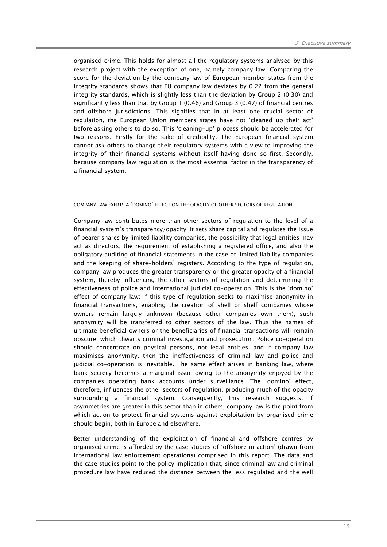organised crime. This holds for almost all the regulatory systems analysed by this research project with the exception of one, namely company law. Comparing the score for the deviation by the company law of European member states from the integrity standards shows that EU company law deviates by 0.22 from the general integrity standards, which is slightly less than the deviation by Group 2 (0.30) and significantly less than that by Group 1 (0.46) and Group 3 (0.47) of financial centres and offshore jurisdictions. This signifies that in at least one crucial sector of regulation, the European Union members states have not 'cleaned up their act' before asking others to do so. This 'cleaning-up' process should be accelerated for two reasons. Firstly for the sake of credibility. The European financial system cannot ask others to change their regulatory systems with a view to improving the integrity of their financial systems without itself having done so first. Secondly, because company law regulation is the most essential factor in the transparency of a financial system.

#### COMPANY LAW EXERTS A 'DOMINO' EFFECT ON THE OPACITY OF OTHER SECTORS OF REGULATION

Company law contributes more than other sectors of regulation to the level of a financial system's transparency/opacity. It sets share capital and regulates the issue of bearer shares by limited liability companies, the possibility that legal entities may act as directors, the requirement of establishing a registered office, and also the obligatory auditing of financial statements in the case of limited liability companies and the keeping of share-holders' registers. According to the type of regulation, company law produces the greater transparency or the greater opacity of a financial system, thereby influencing the other sectors of regulation and determining the effectiveness of police and international judicial co-operation. This is the 'domino' effect of company law: if this type of regulation seeks to maximise anonymity in financial transactions, enabling the creation of shell or shelf companies whose owners remain largely unknown (because other companies own them), such anonymity will be transferred to other sectors of the law. Thus the names of ultimate beneficial owners or the beneficiaries of financial transactions will remain obscure, which thwarts criminal investigation and prosecution. Police co-operation should concentrate on physical persons, not legal entities, and if company law maximises anonymity, then the ineffectiveness of criminal law and police and judicial co-operation is inevitable. The same effect arises in banking law, where bank secrecy becomes a marginal issue owing to the anonymity enjoyed by the companies operating bank accounts under surveillance. The 'domino' effect, therefore, influences the other sectors of regulation, producing much of the opacity surrounding a financial system. Consequently, this research suggests, if asymmetries are greater in this sector than in others, company law is the point from which action to protect financial systems against exploitation by organised crime should begin, both in Europe and elsewhere.

Better understanding of the exploitation of financial and offshore centres by organised crime is afforded by the case studies of 'offshore in action' (drawn from international law enforcement operations) comprised in this report. The data and the case studies point to the policy implication that, since criminal law and criminal procedure law have reduced the distance between the less regulated and the well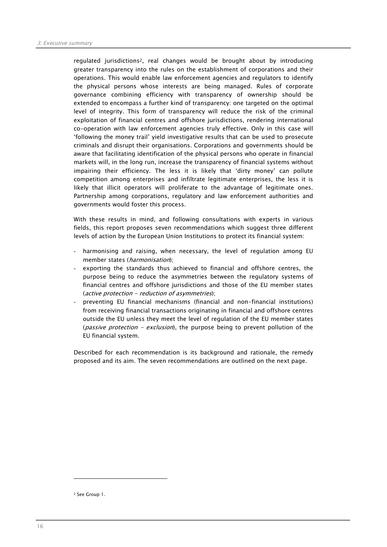regulated jurisdictions2, real changes would be brought about by introducing greater transparency into the rules on the establishment of corporations and their operations. This would enable law enforcement agencies and regulators to identify the physical persons whose interests are being managed. Rules of corporate governance combining efficiency with transparency of ownership should be extended to encompass a further kind of transparency: one targeted on the optimal level of integrity. This form of transparency will reduce the risk of the criminal exploitation of financial centres and offshore jurisdictions, rendering international co-operation with law enforcement agencies truly effective. Only in this case will 'following the money trail' yield investigative results that can be used to prosecute criminals and disrupt their organisations. Corporations and governments should be aware that facilitating identification of the physical persons who operate in financial markets will, in the long run, increase the transparency of financial systems without impairing their efficiency. The less it is likely that 'dirty money' can pollute competition among enterprises and infiltrate legitimate enterprises, the less it is likely that illicit operators will proliferate to the advantage of legitimate ones. Partnership among corporations, regulatory and law enforcement authorities and governments would foster this process.

With these results in mind, and following consultations with experts in various fields, this report proposes seven recommendations which suggest three different levels of action by the European Union Institutions to protect its financial system:

- harmonising and raising, when necessary, the level of regulation among EU member states (harmonisation);
- exporting the standards thus achieved to financial and offshore centres, the purpose being to reduce the asymmetries between the regulatory systems of financial centres and offshore jurisdictions and those of the EU member states (active protection - reduction of asymmetries);
- preventing EU financial mechanisms (financial and non-financial institutions) from receiving financial transactions originating in financial and offshore centres outside the EU unless they meet the level of regulation of the EU member states (*passive protection - exclusion*), the purpose being to prevent pollution of the EU financial system.

Described for each recommendation is its background and rationale, the remedy proposed and its aim. The seven recommendations are outlined on the next page.

<sup>2</sup> See Group 1.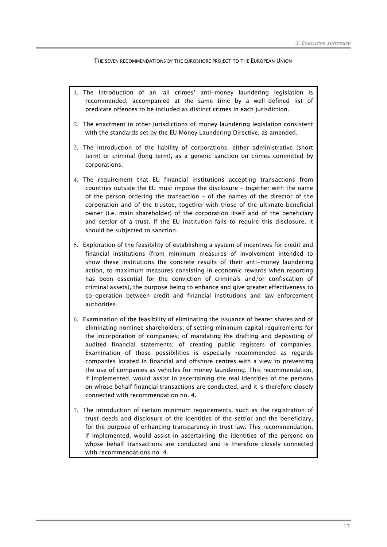THE SEVEN RECOMMENDATIONS BY THE EUROSHORE PROJECT TO THE EUROPEAN UNION

- 1. The introduction of an 'all crimes' anti-money laundering legislation is recommended, accompanied at the same time by a well-defined list of predicate offences to be included as distinct crimes in each jurisdiction.
- 2. The enactment in other jurisdictions of money laundering legislation consistent with the standards set by the EU Money Laundering Directive, as amended.
- 3. The introduction of the liability of corporations, either administrative (short term) or criminal (long term), as a generic sanction on crimes committed by corporations.
- 4. The requirement that EU financial institutions accepting transactions from countries outside the EU must impose the disclosure – together with the name of the person ordering the transaction – of the names of the director of the corporation and of the trustee, together with those of the ultimate beneficial owner (i.e. main shareholder) of the corporation itself and of the beneficiary and settlor of a trust. If the EU institution fails to require this disclosure, it should be subjected to sanction.
- 5. Exploration of the feasibility of establishing a system of incentives for credit and financial institutions (from minimum measures of involvement intended to show these institutions the concrete results of their anti-money laundering action, to maximum measures consisting in economic rewards when reporting has been essential for the conviction of criminals and/or confiscation of criminal assets), the purpose being to enhance and give greater effectiveness to co-operation between credit and financial institutions and law enforcement authorities.
- 6. Examination of the feasibility of eliminating the issuance of bearer shares and of eliminating nominee shareholders; of setting minimum capital requirements for the incorporation of companies; of mandating the drafting and depositing of audited financial statements; of creating public registers of companies. Examination of these possibilities is especially recommended as regards companies located in financial and offshore centres with a view to preventing the use of companies as vehicles for money laundering. This recommendation, if implemented, would assist in ascertaining the real identities of the persons on whose behalf financial transactions are conducted, and it is therefore closely connected with recommendation no. 4.
- 7. The introduction of certain minimum requirements, such as the registration of trust deeds and disclosure of the identities of the settlor and the beneficiary, for the purpose of enhancing transparency in trust law. This recommendation, if implemented, would assist in ascertaining the identities of the persons on whose behalf transactions are conducted and is therefore closely connected with recommendations no. 4.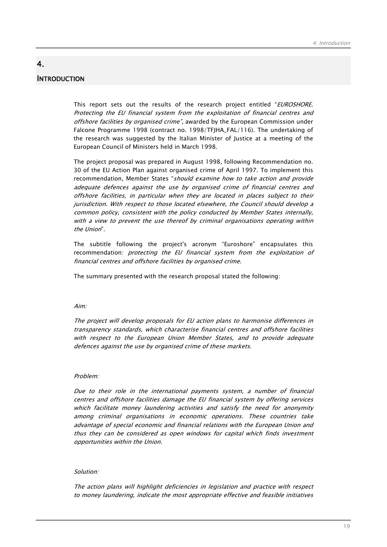## **INTRODUCTION**

4.

This report sets out the results of the research project entitled "EUROSHORE. Protecting the EU financial system from the exploitation of financial centres and offshore facilities by organised crime", awarded by the European Commission under Falcone Programme 1998 (contract no. 1998/TFJHA\_FAL/116). The undertaking of the research was suggested by the Italian Minister of Justice at a meeting of the European Council of Ministers held in March 1998.

The project proposal was prepared in August 1998, following Recommendation no. 30 of the EU Action Plan against organised crime of April 1997. To implement this recommendation, Member States "should examine how to take action and provide adequate defences against the use by organised crime of financial centres and offshore facilities, in particular when they are located in places subject to their jurisdiction. With respect to those located elsewhere, the Council should develop a common policy, consistent with the policy conducted by Member States internally, with a view to prevent the use thereof by criminal organisations operating within the Union".

The subtitle following the project's acronym "Euroshore" encapsulates this recommendation: protecting the EU financial system from the exploitation of financial centres and offshore facilities by organised crime.

The summary presented with the research proposal stated the following:

#### Aim:

The project will develop proposals for EU action plans to harmonise differences in transparency standards, which characterise financial centres and offshore facilities with respect to the European Union Member States, and to provide adequate defences against the use by organised crime of these markets.

#### Problem:

Due to their role in the international payments system, a number of financial centres and offshore facilities damage the EU financial system by offering services which facilitate money laundering activities and satisfy the need for anonymity among criminal organisations in economic operations. These countries take advantage of special economic and financial relations with the European Union and thus they can be considered as open windows for capital which finds investment opportunities within the Union.

#### Solution:

The action plans will highlight deficiencies in legislation and practice with respect to money laundering, indicate the most appropriate effective and feasible initiatives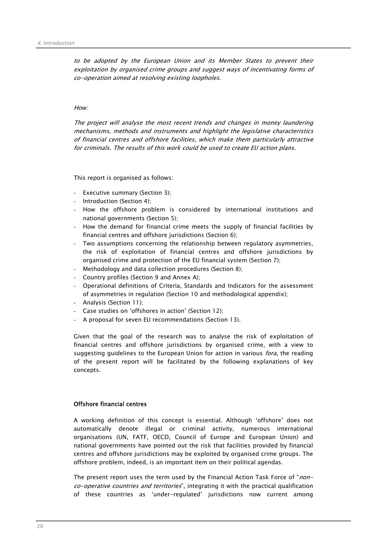to be adopted by the European Union and its Member States to prevent their exploitation by organised crime groups and suggest ways of incentivating forms of co-operation aimed at resolving existing loopholes.

#### How:

The project will analyse the most recent trends and changes in money laundering mechanisms, methods and instruments and highlight the legislative characteristics of financial centres and offshore facilities, which make them particularly attractive for criminals. The results of this work could be used to create EU action plans.

This report is organised as follows:

- Executive summary (Section 3):
- Introduction (Section 4);
- How the offshore problem is considered by international institutions and national governments (Section 5);
- How the demand for financial crime meets the supply of financial facilities by financial centres and offshore jurisdictions (Section 6);
- Two assumptions concerning the relationship between regulatory asymmetries, the risk of exploitation of financial centres and offshore jurisdictions by organised crime and protection of the EU financial system (Section 7);
- Methodology and data collection procedures (Section 8);
- Country profiles (Section 9 and Annex A);
- Operational definitions of Criteria, Standards and Indicators for the assessment of asymmetries in regulation (Section 10 and methodological appendix);
- Analysis (Section 11);
- Case studies on 'offshores in action' (Section 12);
- A proposal for seven EU recommendations (Section 13).

Given that the goal of the research was to analyse the risk of exploitation of financial centres and offshore jurisdictions by organised crime, with a view to suggesting guidelines to the European Union for action in various *fora*, the reading of the present report will be facilitated by the following explanations of key concepts.

#### Offshore financial centres

A working definition of this concept is essential. Although 'offshore' does not automatically denote illegal or criminal activity, numerous international organisations (UN, FATF, OECD, Council of Europe and European Union) and national governments have pointed out the risk that facilities provided by financial centres and offshore jurisdictions may be exploited by organised crime groups. The offshore problem, indeed, is an important item on their political agendas.

The present report uses the term used by the Financial Action Task Force of "nonco-operative countries and territories", integrating it with the practical qualification of these countries as 'under-regulated' jurisdictions now current among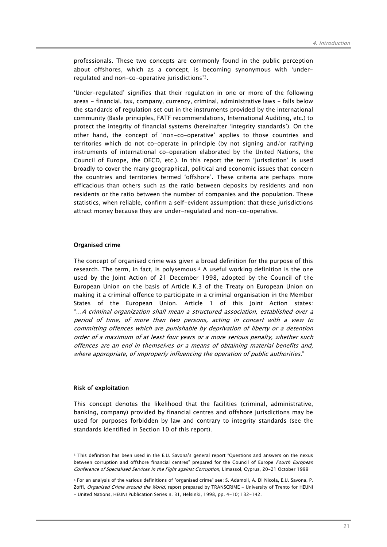professionals. These two concepts are commonly found in the public perception about offshores, which as a concept, is becoming synonymous with 'underregulated and non-co-operative jurisdictions'3.

'Under-regulated' signifies that their regulation in one or more of the following areas - financial, tax, company, currency, criminal, administrative laws - falls below the standards of regulation set out in the instruments provided by the international community (Basle principles, FATF recommendations, International Auditing, etc.) to protect the integrity of financial systems (hereinafter 'integrity standards'). On the other hand, the concept of 'non-co-operative' applies to those countries and territories which do not co-operate in principle (by not signing and/or ratifying instruments of international co-operation elaborated by the United Nations, the Council of Europe, the OECD, etc.). In this report the term 'jurisdiction' is used broadly to cover the many geographical, political and economic issues that concern the countries and territories termed 'offshore'. These criteria are perhaps more efficacious than others such as the ratio between deposits by residents and non residents or the ratio between the number of companies and the population. These statistics, when reliable, confirm a self-evident assumption: that these jurisdictions attract money because they are under-regulated and non-co-operative.

#### Organised crime

The concept of organised crime was given a broad definition for the purpose of this research. The term, in fact, is polysemous.4 A useful working definition is the one used by the Joint Action of 21 December 1998, adopted by the Council of the European Union on the basis of Article K.3 of the Treaty on European Union on making it a criminal offence to participate in a criminal organisation in the Member States of the European Union. Article 1 of this Joint Action states: "…A criminal organization shall mean a structured association, established over a period of time, of more than two persons, acting in concert with a view to committing offences which are punishable by deprivation of liberty or a detention order of a maximum of at least four years or a more serious penalty, whether such offences are an end in themselves or a means of obtaining material benefits and, where appropriate, of improperly influencing the operation of public authorities."

#### Risk of exploitation

 $\overline{a}$ 

This concept denotes the likelihood that the facilities (criminal, administrative, banking, company) provided by financial centres and offshore jurisdictions may be used for purposes forbidden by law and contrary to integrity standards (see the standards identified in Section 10 of this report).

<sup>3</sup> This definition has been used in the E.U. Savona's general report "Questions and answers on the nexus between corruption and offshore financial centres" prepared for the Council of Europe Fourth European Conference of Specialised Services in the Fight against Corruption, Limassol, Cyprus, 20-21 October 1999

<sup>4</sup> For an analysis of the various definitions of "organised crime" see: S. Adamoli, A. Di Nicola, E.U. Savona, P. Zoffi, Organised Crime around the World, report prepared by TRANSCRIME - University of Trento for HEUNI - United Nations, HEUNI Publication Series n. 31, Helsinki, 1998, pp. 4-10; 132-142.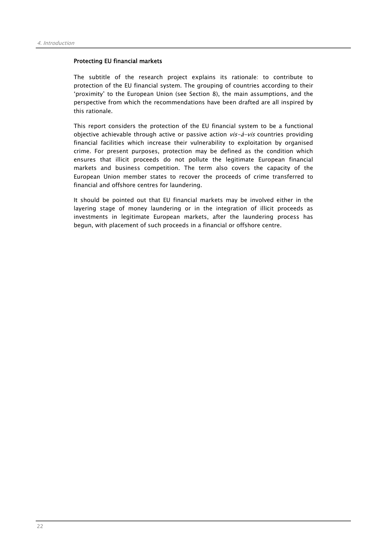#### Protecting EU financial markets

The subtitle of the research project explains its rationale: to contribute to protection of the EU financial system. The grouping of countries according to their 'proximity' to the European Union (see Section 8), the main assumptions, and the perspective from which the recommendations have been drafted are all inspired by this rationale.

This report considers the protection of the EU financial system to be a functional objective achievable through active or passive action  $vis-\hat{a}-vis$  countries providing financial facilities which increase their vulnerability to exploitation by organised crime. For present purposes, protection may be defined as the condition which ensures that illicit proceeds do not pollute the legitimate European financial markets and business competition. The term also covers the capacity of the European Union member states to recover the proceeds of crime transferred to financial and offshore centres for laundering.

It should be pointed out that EU financial markets may be involved either in the layering stage of money laundering or in the integration of illicit proceeds as investments in legitimate European markets, after the laundering process has begun, with placement of such proceeds in a financial or offshore centre.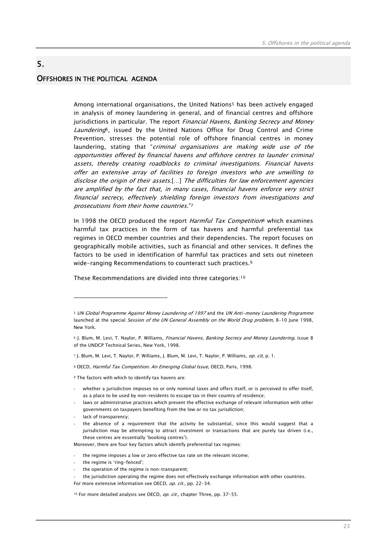## OFFSHORES IN THE POLITICAL AGENDA

5.

Among international organisations, the United Nations<sup>5</sup> has been actively engaged in analysis of money laundering in general, and of financial centres and offshore jurisdictions in particular. The report Financial Havens, Banking Secrecy and Money Laundering<sup>6</sup>, issued by the United Nations Office for Drug Control and Crime Prevention, stresses the potential role of offshore financial centres in money laundering, stating that "*criminal organisations are making wide use of the* opportunities offered by financial havens and offshore centres to launder criminal assets, thereby creating roadblocks to criminal investigations. Financial havens offer an extensive array of facilities to foreign investors who are unwilling to disclose the origin of their assets.[…] The difficulties for law enforcement agencies are amplified by the fact that, in many cases, financial havens enforce very strict financial secrecy, effectively shielding foreign investors from investigations and prosecutions from their home countries."7

In 1998 the OECD produced the report *Harmful Tax Competition*<sup>8</sup> which examines harmful tax practices in the form of tax havens and harmful preferential tax regimes in OECD member countries and their dependencies. The report focuses on geographically mobile activities, such as financial and other services. It defines the factors to be used in identification of harmful tax practices and sets out nineteen wide-ranging Recommendations to counteract such practices.9

These Recommendations are divided into three categories:10

9 The factors with which to identify tax havens are:

- whether a jurisdiction imposes no or only nominal taxes and offers itself, or is perceived to offer itself. as a place to be used by non-residents to escape tax in their country of residence;
- laws or administrative practices which prevent the effective exchange of relevant information with other governments on taxpayers benefiting from the low or no tax jurisdiction;
- lack of transparency;

 $\overline{a}$ 

the absence of a requirement that the activity be substantial, since this would suggest that a jurisdiction may be attempting to attract investment or transactions that are purely tax driven (i.e., these centres are essentially 'booking centres').

Moreover, there are four key factors which identify preferential tax regimes:

- the regime imposes a low or zero effective tax rate on the relevant income;
- the regime is 'ring-fenced';
- the operation of the regime is non-transparent;

<sup>10</sup> For more detailed analysis see OECD,  $op.$  cit., chapter Three, pp. 37-55.

<sup>5</sup> UN Global Programme Against Money Laundering of 1997 and the UN Anti-money Laundering Programme launched at the special Session of the UN General Assembly on the World Drug problem, 8-10 June 1998, New York.

<sup>&</sup>lt;sup>6</sup> J. Blum, M. Levi, T. Naylor, P. Williams, Financial Havens, Banking Secrecy and Money Laundering, issue 8 of the UNDCP Technical Series, New York, 1998.

<sup>7</sup> J. Blum, M. Levi, T. Naylor, P. Williams, J. Blum, M. Levi, T. Naylor, P. Williams, op. cit, p. 1.

<sup>8</sup> OECD, Harmful Tax Competition. An Emerging Global Issue, OECD, Paris, 1998.

the jurisdiction operating the regime does not effectively exchange information with other countries. For more extensive information see OECD, op. cit., pp. 22-34.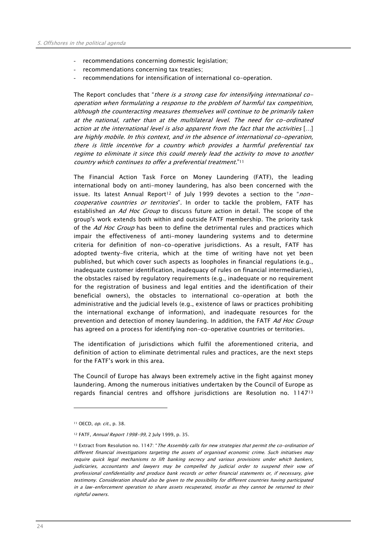- recommendations concerning domestic legislation;
- recommendations concerning tax treaties;
- recommendations for intensification of international co-operation.

The Report concludes that "there is a strong case for intensifying international cooperation when formulating a response to the problem of harmful tax competition, although the counteracting measures themselves will continue to be primarily taken at the national, rather than at the multilateral level. The need for co-ordinated action at the international level is also apparent from the fact that the activities […] are highly mobile. In this context, and in the absence of international co-operation, there is little incentive for a country which provides a harmful preferential tax regime to eliminate it since this could merely lead the activity to move to another country which continues to offer a preferential treatment."11

The Financial Action Task Force on Money Laundering (FATF), the leading international body on anti-money laundering, has also been concerned with the issue. Its latest Annual Report<sup>12</sup> of July 1999 devotes a section to the "noncooperative countries or territories". In order to tackle the problem, FATF has established an Ad Hoc Group to discuss future action in detail. The scope of the group's work extends both within and outside FATF membership. The priority task of the Ad Hoc Group has been to define the detrimental rules and practices which impair the effectiveness of anti-money laundering systems and to determine criteria for definition of non-co-operative jurisdictions. As a result, FATF has adopted twenty-five criteria, which at the time of writing have not yet been published, but which cover such aspects as loopholes in financial regulations (e.g., inadequate customer identification, inadequacy of rules on financial intermediaries), the obstacles raised by regulatory requirements (e.g., inadequate or no requirement for the registration of business and legal entities and the identification of their beneficial owners), the obstacles to international co-operation at both the administrative and the judicial levels (e.g., existence of laws or practices prohibiting the international exchange of information), and inadequate resources for the prevention and detection of money laundering. In addition, the FATF Ad Hoc Group has agreed on a process for identifying non-co-operative countries or territories.

The identification of jurisdictions which fulfil the aforementioned criteria, and definition of action to eliminate detrimental rules and practices, are the next steps for the FATF's work in this area.

The Council of Europe has always been extremely active in the fight against money laundering. Among the numerous initiatives undertaken by the Council of Europe as regards financial centres and offshore jurisdictions are Resolution no. 114713

<sup>11</sup> OECD, op. cit., p. 38.

<sup>12</sup> FATF, Annual Report 1998-99, 2 July 1999, p. 35.

<sup>13</sup> Extract from Resolution no. 1147: "The Assembly calls for new strategies that permit the co-ordination of different financial investigations targeting the assets of organised economic crime. Such initiatives may require quick legal mechanisms to lift banking secrecy and various provisions under which bankers, judiciaries, accountants and lawyers may be compelled by judicial order to suspend their vow of professional confidentiality and produce bank records or other financial statements or, if necessary, give testimony. Consideration should also be given to the possibility for different countries having participated in a law-enforcement operation to share assets recuperated, insofar as they cannot be returned to their rightful owners.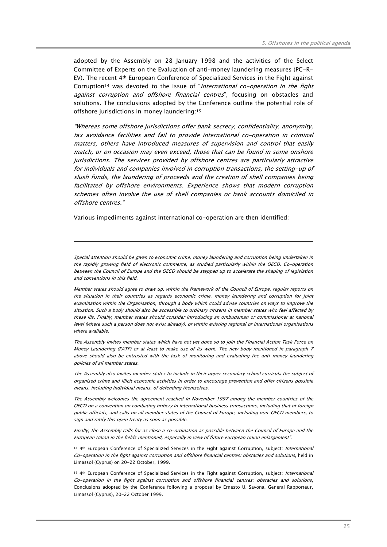adopted by the Assembly on 28 January 1998 and the activities of the Select Committee of Experts on the Evaluation of anti-money laundering measures (PC-R-EV). The recent 4th European Conference of Specialized Services in the Fight against Corruption<sup>14</sup> was devoted to the issue of "international co-operation in the fight against corruption and offshore financial centres", focusing on obstacles and solutions. The conclusions adopted by the Conference outline the potential role of offshore jurisdictions in money laundering:15

"Whereas some offshore jurisdictions offer bank secrecy, confidentiality, anonymity, tax avoidance facilities and fail to provide international co-operation in criminal matters, others have introduced measures of supervision and control that easily match, or on occasion may even exceed, those that can be found in some onshore jurisdictions. The services provided by offshore centres are particularly attractive for individuals and companies involved in corruption transactions, the setting-up of slush funds, the laundering of proceeds and the creation of shell companies being facilitated by offshore environments. Experience shows that modern corruption schemes often involve the use of shell companies or bank accounts domiciled in offshore centres."

Various impediments against international co-operation are then identified:

 $\overline{a}$ 

Special attention should be given to economic crime, money laundering and corruption being undertaken in the rapidly growing field of electronic commerce, as studied particularly within the OECD. Co-operation between the Council of Europe and the OECD should be stepped up to accelerate the shaping of legislation and conventions in this field.

Member states should agree to draw up, within the framework of the Council of Europe, regular reports on the situation in their countries as regards economic crime, money laundering and corruption for joint examination within the Organisation, through a body which could advise countries on ways to improve the situation. Such a body should also be accessible to ordinary citizens in member states who feel affected by these ills. Finally, member states should consider introducing an ombudsman or commissioner at national level (where such a person does not exist already), or within existing regional or international organisations where available.

The Assembly invites member states which have not yet done so to join the Financial Action Task Force on Money Laundering (FATF) or at least to make use of its work. The new body mentioned in paragraph 7 above should also be entrusted with the task of monitoring and evaluating the anti-money laundering policies of all member states.

The Assembly also invites member states to include in their upper secondary school curricula the subject of organised crime and illicit economic activities in order to encourage prevention and offer citizens possible means, including individual means, of defending themselves.

The Assembly welcomes the agreement reached in November 1997 among the member countries of the OECD on a convention on combating bribery in international business transactions, including that of foreign public officials, and calls on all member states of the Council of Europe, including non-OECD members, to sign and ratify this open treaty as soon as possible.

Finally, the Assembly calls for as close a co-ordination as possible between the Council of Europe and the European Union in the fields mentioned, especially in view of future European Union enlargement".

14 4th European Conference of Specialized Services in the Fight against Corruption, subject: International Co-operation in the fight against corruption and offshore financial centres: obstacles and solutions, held in Limassol (Cyprus) on 20-22 October, 1999.

15 4th European Conference of Specialized Services in the Fight against Corruption, subject: International Co-operation in the fight against corruption and offshore financial centres: obstacles and solutions, Conclusions adopted by the Conference following a proposal by Ernesto U. Savona, General Rapporteur, Limassol (Cyprus), 20-22 October 1999.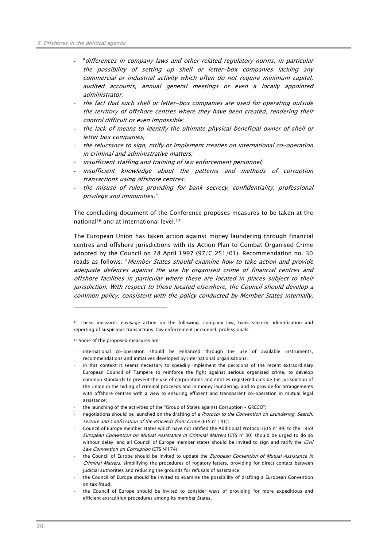- "differences in company laws and other related regulatory norms, in particular the possibility of setting up shell or letter-box companies lacking any commercial or industrial activity which often do not require minimum capital, audited accounts, annual general meetings or even a locally appointed administrator;
- the fact that such shell or letter-box companies are used for operating outside the territory of offshore centres where they have been created, rendering their control difficult or even impossible;
- the lack of means to identify the ultimate physical beneficial owner of shell or letter box companies;
- the reluctance to sign, ratify or implement treaties on international co-operation in criminal and administrative matters;
- insufficient staffing and training of law enforcement personnel;
- insufficient knowledge about the patterns and methods of corruption transactions using offshore centres;
- the misuse of rules providing for bank secrecy, confidentiality, professional privilege and immunities."

The concluding document of the Conference proposes measures to be taken at the national16 and at international level.17

The European Union has taken action against money laundering through financial centres and offshore jurisdictions with its Action Plan to Combat Organised Crime adopted by the Council on 28 April 1997 (97/C 251/01). Recommendation no. 30 reads as follows: "Member States should examine how to take action and provide adequate defences against the use by organised crime of financial centres and offshore facilities in particular where these are located in places subject to their jurisdiction. With respect to those located elsewhere, the Council should develop a common policy, consistent with the policy conducted by Member States internally,

17 Some of the proposed measures are:

- international co-operation should be enhanced through the use of available instruments, recommendations and initiatives developed by international organisations;
- in this context it seems necessary to speedily implement the decisions of the recent extraordinary European Council of Tampere to reinforce the fight against serious organised crime, to develop common standards to prevent the use of corporations and entities registered outside the jurisdiction of the Union in the hiding of criminal proceeds and in money laundering, and to provide for arrangements with offshore centres with a view to ensuring efficient and transparent co-operation in mutual legal assistance;
- the launching of the activities of the "Group of States against Corruption GRECO";
- negotiations should be launched on the drafting of a *Protocol to the Convention on Laundering, Search*, Seizure and Confiscation of the Proceeds from Crime (FTS n° 141);
- Council of Europe member states which have not ratified the Additional Protocol (ETS n° 99) to the 1959 European Convention on Mutual Assistance in Criminal Matters (ETS n° 30) should be urged to do so without delay, and all Council of Europe member states should be invited to sign and ratify the Civil Law Convention on Corruption (ETS N°174);
- the Council of Europe should be invited to update the *European Convention of Mutual Assistance in* Criminal Matters, simplifying the procedures of rogatory letters, providing for direct contact between judicial authorities and reducing the grounds for refusals of assistance;
- the Council of Europe should be invited to examine the possibility of drafting a European Convention on tax fraud;
- the Council of Europe should be invited to consider ways of providing for more expeditious and efficient extradition procedures among its member States.

<sup>16</sup> These measures envisage action on the following: company law, bank secrecy, identification and reporting of suspicious transactions, law enforcement personnel, professionals.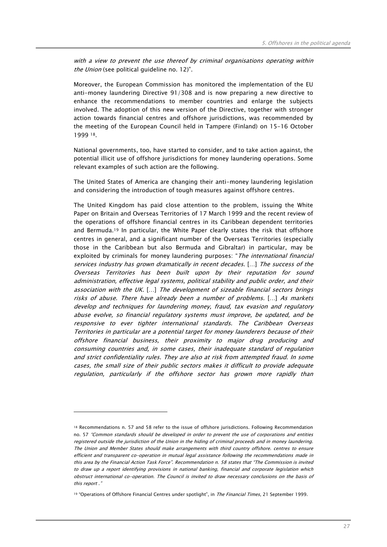with a view to prevent the use thereof by criminal organisations operating within the Union (see political quideline no. 12)".

Moreover, the European Commission has monitored the implementation of the EU anti-money laundering Directive 91/308 and is now preparing a new directive to enhance the recommendations to member countries and enlarge the subjects involved. The adoption of this new version of the Directive, together with stronger action towards financial centres and offshore jurisdictions, was recommended by the meeting of the European Council held in Tampere (Finland) on 15-16 October 1999 18.

National governments, too, have started to consider, and to take action against, the potential illicit use of offshore jurisdictions for money laundering operations. Some relevant examples of such action are the following.

The United States of America are changing their anti-money laundering legislation and considering the introduction of tough measures against offshore centres.

The United Kingdom has paid close attention to the problem, issuing the White Paper on Britain and Overseas Territories of 17 March 1999 and the recent review of the operations of offshore financial centres in its Caribbean dependent territories and Bermuda.19 In particular, the White Paper clearly states the risk that offshore centres in general, and a significant number of the Overseas Territories (especially those in the Caribbean but also Bermuda and Gibraltar) in particular, may be exploited by criminals for money laundering purposes: "The international financial services industry has grown dramatically in recent decades. […] The success of the Overseas Territories has been built upon by their reputation for sound administration, effective legal systems, political stability and public order, and their association with the UK. […] The development of sizeable financial sectors brings risks of abuse. There have already been a number of problems. […] As markets develop and techniques for laundering money, fraud, tax evasion and regulatory abuse evolve, so financial regulatory systems must improve, be updated, and be responsive to ever tighter international standards. The Caribbean Overseas Territories in particular are a potential target for money launderers because of their offshore financial business, their proximity to major drug producing and consuming countries and, in some cases, their inadequate standard of regulation and strict confidentiality rules. They are also at risk from attempted fraud. In some cases, the small size of their public sectors makes it difficult to provide adequate regulation, particularly if the offshore sector has grown more rapidly than

<sup>18</sup> Recommendations n. 57 and 58 refer to the issue of offshore jurisdictions. Following Recommendation no. 57 "Common standards should be developed in order to prevent the use of corporations and entities registered outside the jurisdiction of the Union in the hiding of criminal proceeds and in money laundering. The Union and Member States should make arrangements with third country offshore. centres to ensure efficient and transparent co-operation in mutual legal assistance following the recommendations made in this area by the Financial Action Task Force". Recommendation n. 58 states that "The Commission is invited to draw up a report identifying provisions in national banking, financial and corporate legislation which obstruct international co-operation. The Council is invited to draw necessary conclusions on the basis of this report "

<sup>19 &</sup>quot;Operations of Offshore Financial Centres under spotlight", in The Financial Times, 21 September 1999.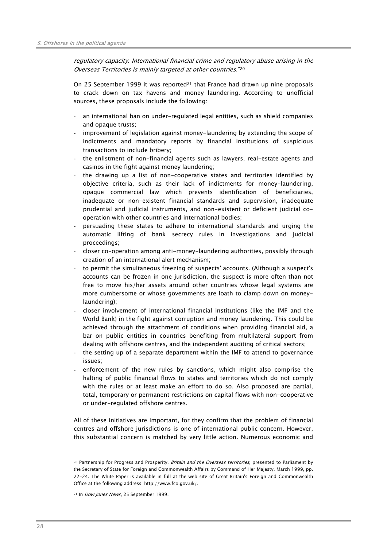regulatory capacity. International financial crime and regulatory abuse arising in the Overseas Territories is mainly targeted at other countries."20

On 25 September 1999 it was reported<sup>21</sup> that France had drawn up nine proposals to crack down on tax havens and money laundering. According to unofficial sources, these proposals include the following:

- an international ban on under-regulated legal entities, such as shield companies and opaque trusts;
- improvement of legislation against money-laundering by extending the scope of indictments and mandatory reports by financial institutions of suspicious transactions to include bribery;
- the enlistment of non-financial agents such as lawyers, real-estate agents and casinos in the fight against money laundering;
- the drawing up a list of non-cooperative states and territories identified by objective criteria, such as their lack of indictments for money-laundering, opaque commercial law which prevents identification of beneficiaries, inadequate or non-existent financial standards and supervision, inadequate prudential and judicial instruments, and non-existent or deficient judicial cooperation with other countries and international bodies;
- persuading these states to adhere to international standards and urging the automatic lifting of bank secrecy rules in investigations and judicial proceedings;
- closer co-operation among anti-money-laundering authorities, possibly through creation of an international alert mechanism;
- to permit the simultaneous freezing of suspects' accounts. (Although a suspect's accounts can be frozen in one jurisdiction, the suspect is more often than not free to move his/her assets around other countries whose legal systems are more cumbersome or whose governments are loath to clamp down on moneylaundering);
- closer involvement of international financial institutions (like the IMF and the World Bank) in the fight against corruption and money laundering. This could be achieved through the attachment of conditions when providing financial aid, a bar on public entities in countries benefiting from multilateral support from dealing with offshore centres, and the independent auditing of critical sectors;
- the setting up of a separate department within the IMF to attend to governance issues;
- enforcement of the new rules by sanctions, which might also comprise the halting of public financial flows to states and territories which do not comply with the rules or at least make an effort to do so. Also proposed are partial, total, temporary or permanent restrictions on capital flows with non-cooperative or under-regulated offshore centres.

All of these initiatives are important, for they confirm that the problem of financial centres and offshore jurisdictions is one of international public concern. However, this substantial concern is matched by very little action. Numerous economic and

<sup>&</sup>lt;sup>20</sup> Partnership for Progress and Prosperity. Britain and the Overseas territories, presented to Parliament by the Secretary of State for Foreign and Commonwealth Affairs by Command of Her Majesty, March 1999, pp. 22-24. The White Paper is available in full at the web site of Great Britain's Foreign and Commonwealth Office at the following address: http://www.fco.gov.uk/.

<sup>&</sup>lt;sup>21</sup> In *Dow Jones News*, 25 September 1999.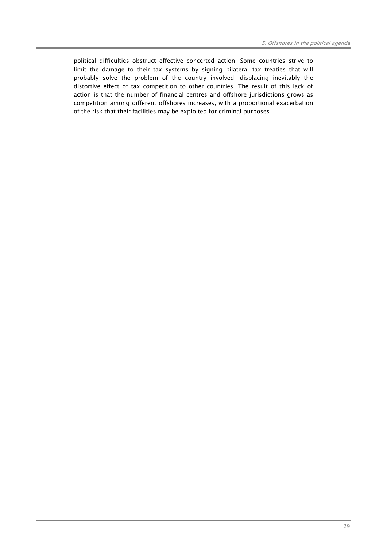political difficulties obstruct effective concerted action. Some countries strive to limit the damage to their tax systems by signing bilateral tax treaties that will probably solve the problem of the country involved, displacing inevitably the distortive effect of tax competition to other countries. The result of this lack of action is that the number of financial centres and offshore jurisdictions grows as competition among different offshores increases, with a proportional exacerbation of the risk that their facilities may be exploited for criminal purposes.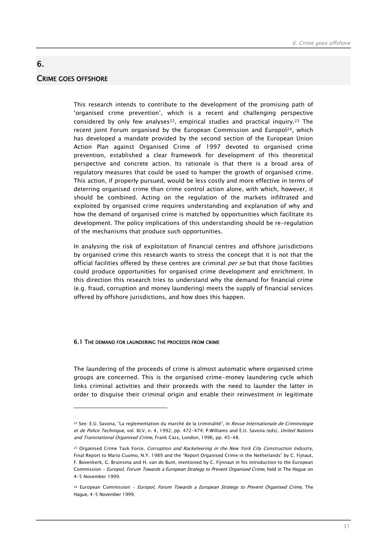## CRIME GOES OFFSHORE

 $\overline{a}$ 

6.

This research intends to contribute to the development of the promising path of 'organised crime prevention', which is a recent and challenging perspective considered by only few analyses<sup>22</sup>, empirical studies and practical inquiry.<sup>23</sup> The recent joint Forum organised by the European Commission and Europol<sup>24</sup>, which has developed a mandate provided by the second section of the European Union Action Plan against Organised Crime of 1997 devoted to organised crime prevention, established a clear framework for development of this theoretical perspective and concrete action. Its rationale is that there is a broad area of regulatory measures that could be used to hamper the growth of organised crime. This action, if properly pursued, would be less costly and more effective in terms of deterring organised crime than crime control action alone, with which, however, it should be combined. Acting on the regulation of the markets infiltrated and exploited by organised crime requires understanding and explanation of why and how the demand of organised crime is matched by opportunities which facilitate its development. The policy implications of this understanding should be re-regulation of the mechanisms that produce such opportunities.

In analysing the risk of exploitation of financial centres and offshore jurisdictions by organised crime this research wants to stress the concept that it is not that the official facilities offered by these centres are criminal per se but that those facilities could produce opportunities for organised crime development and enrichment. In this direction this research tries to understand why the demand for financial crime (e.g. fraud, corruption and money laundering) meets the supply of financial services offered by offshore jurisdictions, and how does this happen.

#### 6.1 THE DEMAND FOR LAUNDERING THE PROCEEDS FROM CRIME

The laundering of the proceeds of crime is almost automatic where organised crime groups are concerned. This is the organised crime-money laundering cycle which links criminal activities and their proceeds with the need to launder the latter in order to disguise their criminal origin and enable their reinvestment in legitimate

<sup>22</sup> See: E.U. Savona, "La reglementation du marché de la criminalité", in Revue Internationale de Criminologie et de Police Technique, vol. XLV, n. 4, 1992, pp. 472-474; P.Williams and E.U. Savona (eds), United Nations and Transnational Organised Crime, Frank Cass, London, 1996, pp. 45-48.

<sup>&</sup>lt;sup>23</sup> Organised Crime Task Force, Corruption and Racketeering in the New York City Construction Industry, Final Report to Mario Cuomo, N.Y. 1989 and the "Report Organised Crime in the Netherlands" by C. Fijnaut, F. Bovenkerk, G. Bruinsma and H. van de Bunt, mentioned by C. Fijnnaut in his introduction to the European Commission – Europol, Forum Towards a European Strategy to Prevent Organised Crime, held in The Hague on 4-5 November 1999.

<sup>&</sup>lt;sup>24</sup> European Commission - Europol, Forum Towards a European Strategy to Prevent Organised Crime, The Hague, 4-5 November 1999.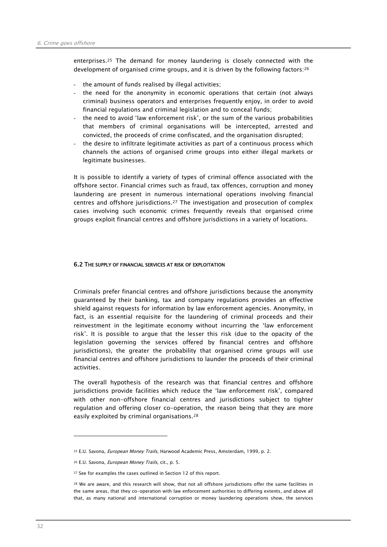enterprises.25 The demand for money laundering is closely connected with the development of organised crime groups, and it is driven by the following factors:26

- the amount of funds realised by illegal activities;
- the need for the anonymity in economic operations that certain (not always criminal) business operators and enterprises frequently enjoy, in order to avoid financial regulations and criminal legislation and to conceal funds;
- the need to avoid 'law enforcement risk', or the sum of the various probabilities that members of criminal organisations will be intercepted, arrested and convicted, the proceeds of crime confiscated, and the organisation disrupted;
- the desire to infiltrate legitimate activities as part of a continuous process which channels the actions of organised crime groups into either illegal markets or legitimate businesses.

It is possible to identify a variety of types of criminal offence associated with the offshore sector. Financial crimes such as fraud, tax offences, corruption and money laundering are present in numerous international operations involving financial centres and offshore jurisdictions.27 The investigation and prosecution of complex cases involving such economic crimes frequently reveals that organised crime groups exploit financial centres and offshore jurisdictions in a variety of locations.

#### 6.2 THE SUPPLY OF FINANCIAL SERVICES AT RISK OF EXPLOITATION

Criminals prefer financial centres and offshore jurisdictions because the anonymity guaranteed by their banking, tax and company regulations provides an effective shield against requests for information by law enforcement agencies. Anonymity, in fact, is an essential requisite for the laundering of criminal proceeds and their reinvestment in the legitimate economy without incurring the 'law enforcement risk'. It is possible to argue that the lesser this risk (due to the opacity of the legislation governing the services offered by financial centres and offshore jurisdictions), the greater the probability that organised crime groups will use financial centres and offshore jurisdictions to launder the proceeds of their criminal activities.

The overall hypothesis of the research was that financial centres and offshore jurisdictions provide facilities which reduce the 'law enforcement risk', compared with other non-offshore financial centres and jurisdictions subject to tighter regulation and offering closer co-operation, the reason being that they are more easily exploited by criminal organisations.28

<sup>25</sup> E.U. Savona, *European Money Trails*, Harwood Academic Press, Amsterdam, 1999, p. 2.

<sup>26</sup> E.U. Savona, European Money Trails, cit., p. 5.

<sup>27</sup> See for examples the cases outlined in Section 12 of this report.

<sup>&</sup>lt;sup>28</sup> We are aware, and this research will show, that not all offshore jurisdictions offer the same facilities in the same areas, that they co-operation with law enforcement authorities to differing extents, and above all that, as many national and international corruption or money laundering operations show, the services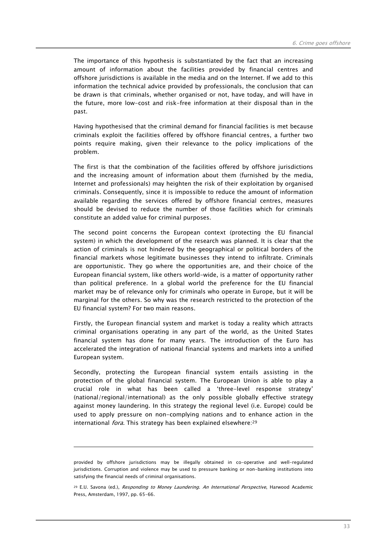The importance of this hypothesis is substantiated by the fact that an increasing amount of information about the facilities provided by financial centres and offshore jurisdictions is available in the media and on the Internet. If we add to this information the technical advice provided by professionals, the conclusion that can be drawn is that criminals, whether organised or not, have today, and will have in the future, more low-cost and risk-free information at their disposal than in the past.

Having hypothesised that the criminal demand for financial facilities is met because criminals exploit the facilities offered by offshore financial centres, a further two points require making, given their relevance to the policy implications of the problem.

The first is that the combination of the facilities offered by offshore jurisdictions and the increasing amount of information about them (furnished by the media, Internet and professionals) may heighten the risk of their exploitation by organised criminals. Consequently, since it is impossible to reduce the amount of information available regarding the services offered by offshore financial centres, measures should be devised to reduce the number of those facilities which for criminals constitute an added value for criminal purposes.

The second point concerns the European context (protecting the EU financial system) in which the development of the research was planned. It is clear that the action of criminals is not hindered by the geographical or political borders of the financial markets whose legitimate businesses they intend to infiltrate. Criminals are opportunistic. They go where the opportunities are, and their choice of the European financial system, like others world-wide, is a matter of opportunity rather than political preference. In a global world the preference for the EU financial market may be of relevance only for criminals who operate in Europe, but it will be marginal for the others. So why was the research restricted to the protection of the EU financial system? For two main reasons.

Firstly, the European financial system and market is today a reality which attracts criminal organisations operating in any part of the world, as the United States financial system has done for many years. The introduction of the Euro has accelerated the integration of national financial systems and markets into a unified European system.

Secondly, protecting the European financial system entails assisting in the protection of the global financial system. The European Union is able to play a crucial role in what has been called a 'three-level response strategy' (national/regional/international) as the only possible globally effective strategy against money laundering. In this strategy the regional level (i.e. Europe) could be used to apply pressure on non-complying nations and to enhance action in the international *fora*. This strategy has been explained elsewhere:<sup>29</sup>

provided by offshore jurisdictions may be illegally obtained in co-operative and well-regulated jurisdictions. Corruption and violence may be used to pressure banking or non-banking institutions into satisfying the financial needs of criminal organisations.

<sup>&</sup>lt;sup>29</sup> E.U. Savona (ed.), Responding to Money Laundering. An International Perspective, Harwood Academic Press, Amsterdam, 1997, pp. 65-66.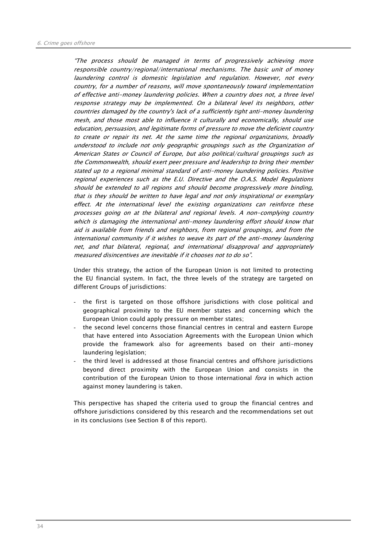"The process should be managed in terms of progressively achieving more responsible country/regional/international mechanisms. The basic unit of money laundering control is domestic legislation and regulation. However, not every country, for a number of reasons, will move spontaneously toward implementation of effective anti-money laundering policies. When a country does not, a three level response strategy may be implemented. On a bilateral level its neighbors, other countries damaged by the country's lack of a sufficiently tight anti-money laundering mesh, and those most able to influence it culturally and economically, should use education, persuasion, and legitimate forms of pressure to move the deficient country to create or repair its net. At the same time the regional organizations, broadly understood to include not only geographic groupings such as the Organization of American States or Council of Europe, but also political/cultural groupings such as the Commonwealth, should exert peer pressure and leadership to bring their member stated up to a regional minimal standard of anti-money laundering policies. Positive regional experiences such as the E.U. Directive and the O.A.S. Model Regulations should be extended to all regions and should become progressively more binding, that is they should be written to have legal and not only inspirational or exemplary effect. At the international level the existing organizations can reinforce these processes going on at the bilateral and regional levels. A non-complying country which is damaging the international anti-money laundering effort should know that aid is available from friends and neighbors, from regional groupings, and from the international community if it wishes to weave its part of the anti-money laundering net, and that bilateral, regional, and international disapproval and appropriately measured disincentives are inevitable if it chooses not to do so".

Under this strategy, the action of the European Union is not limited to protecting the EU financial system. In fact, the three levels of the strategy are targeted on different Groups of jurisdictions:

- the first is targeted on those offshore jurisdictions with close political and geographical proximity to the EU member states and concerning which the European Union could apply pressure on member states;
- the second level concerns those financial centres in central and eastern Europe that have entered into Association Agreements with the European Union which provide the framework also for agreements based on their anti-money laundering legislation;
- the third level is addressed at those financial centres and offshore jurisdictions beyond direct proximity with the European Union and consists in the contribution of the European Union to those international *fora* in which action against money laundering is taken.

This perspective has shaped the criteria used to group the financial centres and offshore jurisdictions considered by this research and the recommendations set out in its conclusions (see Section 8 of this report).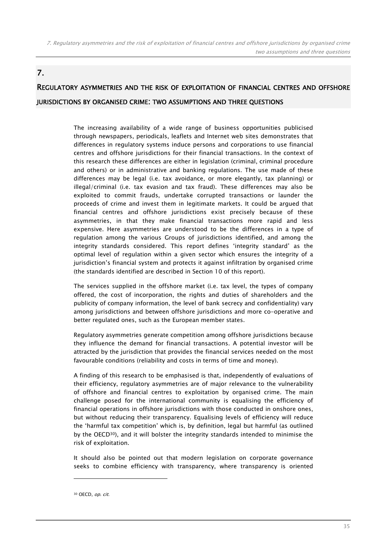# 7.

# REGULATORY ASYMMETRIES AND THE RISK OF EXPLOITATION OF FINANCIAL CENTRES AND OFFSHORE JURISDICTIONS BY ORGANISED CRIME: TWO ASSUMPTIONS AND THREE QUESTIONS

The increasing availability of a wide range of business opportunities publicised through newspapers, periodicals, leaflets and Internet web sites demonstrates that differences in regulatory systems induce persons and corporations to use financial centres and offshore jurisdictions for their financial transactions. In the context of this research these differences are either in legislation (criminal, criminal procedure and others) or in administrative and banking regulations. The use made of these differences may be legal (i.e. tax avoidance, or more elegantly, tax planning) or illegal/criminal (i.e. tax evasion and tax fraud). These differences may also be exploited to commit frauds, undertake corrupted transactions or launder the proceeds of crime and invest them in legitimate markets. It could be argued that financial centres and offshore jurisdictions exist precisely because of these asymmetries, in that they make financial transactions more rapid and less expensive. Here asymmetries are understood to be the differences in a type of regulation among the various Groups of jurisdictions identified, and among the integrity standards considered. This report defines 'integrity standard' as the optimal level of regulation within a given sector which ensures the integrity of a jurisdiction's financial system and protects it against infiltration by organised crime (the standards identified are described in Section 10 of this report).

The services supplied in the offshore market (i.e. tax level, the types of company offered, the cost of incorporation, the rights and duties of shareholders and the publicity of company information, the level of bank secrecy and confidentiality) vary among jurisdictions and between offshore jurisdictions and more co-operative and better regulated ones, such as the European member states.

Regulatory asymmetries generate competition among offshore jurisdictions because they influence the demand for financial transactions. A potential investor will be attracted by the jurisdiction that provides the financial services needed on the most favourable conditions (reliability and costs in terms of time and money).

A finding of this research to be emphasised is that, independently of evaluations of their efficiency, regulatory asymmetries are of major relevance to the vulnerability of offshore and financial centres to exploitation by organised crime. The main challenge posed for the international community is equalising the efficiency of financial operations in offshore jurisdictions with those conducted in onshore ones, but without reducing their transparency. Equalising levels of efficiency will reduce the 'harmful tax competition' which is, by definition, legal but harmful (as outlined by the OECD30), and it will bolster the integrity standards intended to minimise the risk of exploitation.

It should also be pointed out that modern legislation on corporate governance seeks to combine efficiency with transparency, where transparency is oriented

<sup>30</sup> OECD, op. cit.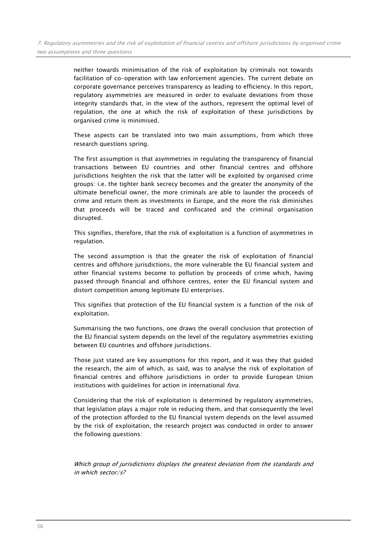neither towards minimisation of the risk of exploitation by criminals not towards facilitation of co-operation with law enforcement agencies. The current debate on corporate governance perceives transparency as leading to efficiency. In this report, regulatory asymmetries are measured in order to evaluate deviations from those integrity standards that, in the view of the authors, represent the optimal level of regulation, the one at which the risk of exploitation of these jurisdictions by organised crime is minimised.

These aspects can be translated into two main assumptions, from which three research questions spring.

The first assumption is that asymmetries in regulating the transparency of financial transactions between EU countries and other financial centres and offshore jurisdictions heighten the risk that the latter will be exploited by organised crime groups: i.e. the tighter bank secrecy becomes and the greater the anonymity of the ultimate beneficial owner, the more criminals are able to launder the proceeds of crime and return them as investments in Europe, and the more the risk diminishes that proceeds will be traced and confiscated and the criminal organisation disrupted.

This signifies, therefore, that the risk of exploitation is a function of asymmetries in regulation.

The second assumption is that the greater the risk of exploitation of financial centres and offshore jurisdictions, the more vulnerable the EU financial system and other financial systems become to pollution by proceeds of crime which, having passed through financial and offshore centres, enter the EU financial system and distort competition among legitimate EU enterprises.

This signifies that protection of the EU financial system is a function of the risk of exploitation.

Summarising the two functions, one draws the overall conclusion that protection of the EU financial system depends on the level of the regulatory asymmetries existing between EU countries and offshore jurisdictions.

Those just stated are key assumptions for this report, and it was they that guided the research, the aim of which, as said, was to analyse the risk of exploitation of financial centres and offshore jurisdictions in order to provide European Union institutions with guidelines for action in international fora.

Considering that the risk of exploitation is determined by regulatory asymmetries, that legislation plays a major role in reducing them, and that consequently the level of the protection afforded to the EU financial system depends on the level assumed by the risk of exploitation, the research project was conducted in order to answer the following questions:

Which group of jurisdictions displays the greatest deviation from the standards and in which sector/s?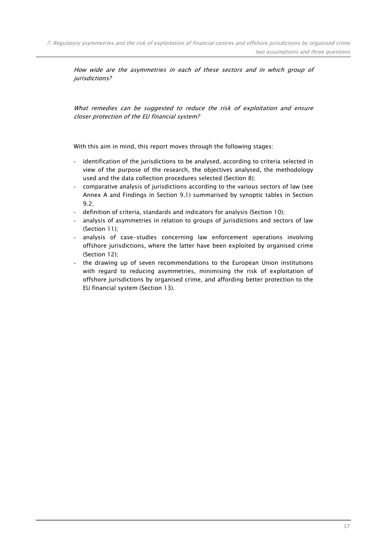How wide are the asymmetries in each of these sectors and in which group of jurisdictions?

What remedies can be suggested to reduce the risk of exploitation and ensure closer protection of the EU financial system?

With this aim in mind, this report moves through the following stages:

- identification of the jurisdictions to be analysed, according to criteria selected in view of the purpose of the research, the objectives analysed, the methodology used and the data collection procedures selected (Section 8);
- comparative analysis of jurisdictions according to the various sectors of law (see Annex A and Findings in Section 9.1) summarised by synoptic tables in Section 9.2;
- definition of criteria, standards and indicators for analysis (Section 10);
- analysis of asymmetries in relation to groups of jurisdictions and sectors of law (Section 11);
- analysis of case-studies concerning law enforcement operations involving offshore jurisdictions, where the latter have been exploited by organised crime (Section 12);
- the drawing up of seven recommendations to the European Union institutions with regard to reducing asymmetries, minimising the risk of exploitation of offshore jurisdictions by organised crime, and affording better protection to the EU financial system (Section 13).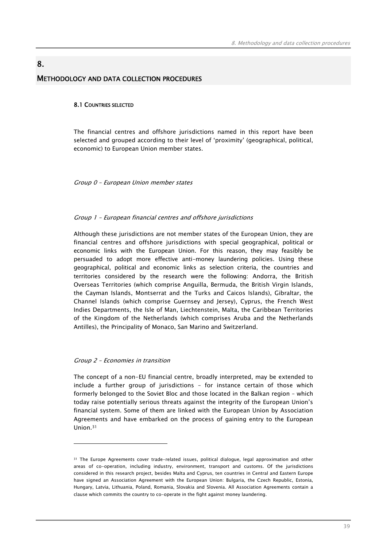# 8. METHODOLOGY AND DATA COLLECTION PROCEDURES

#### 8.1 COUNTRIES SELECTED

The financial centres and offshore jurisdictions named in this report have been selected and grouped according to their level of 'proximity' (geographical, political, economic) to European Union member states.

Group 0 – European Union member states

#### Group 1 – European financial centres and offshore jurisdictions

Although these jurisdictions are not member states of the European Union, they are financial centres and offshore jurisdictions with special geographical, political or economic links with the European Union. For this reason, they may feasibly be persuaded to adopt more effective anti-money laundering policies. Using these geographical, political and economic links as selection criteria, the countries and territories considered by the research were the following: Andorra, the British Overseas Territories (which comprise Anguilla, Bermuda, the British Virgin Islands, the Cayman Islands, Montserrat and the Turks and Caicos Islands), Gibraltar, the Channel Islands (which comprise Guernsey and Jersey), Cyprus, the French West Indies Departments, the Isle of Man, Liechtenstein, Malta, the Caribbean Territories of the Kingdom of the Netherlands (which comprises Aruba and the Netherlands Antilles), the Principality of Monaco, San Marino and Switzerland.

#### Group 2 – Economies in transition

 $\overline{a}$ 

The concept of a non-EU financial centre, broadly interpreted, may be extended to include a further group of jurisdictions – for instance certain of those which formerly belonged to the Soviet Bloc and those located in the Balkan region – which today raise potentially serious threats against the integrity of the European Union's financial system. Some of them are linked with the European Union by Association Agreements and have embarked on the process of gaining entry to the European Union.31

<sup>31</sup> The Europe Agreements cover trade-related issues, political dialogue, legal approximation and other areas of co-operation, including industry, environment, transport and customs. Of the jurisdictions considered in this research project, besides Malta and Cyprus, ten countries in Central and Eastern Europe have signed an Association Agreement with the European Union: Bulgaria, the Czech Republic, Estonia, Hungary, Latvia, Lithuania, Poland, Romania, Slovakia and Slovenia. All Association Agreements contain a clause which commits the country to co-operate in the fight against money laundering.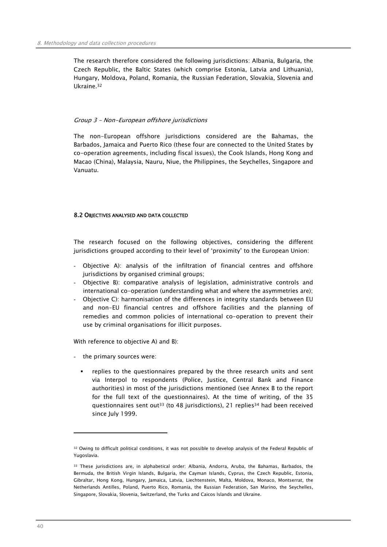The research therefore considered the following jurisdictions: Albania, Bulgaria, the Czech Republic, the Baltic States (which comprise Estonia, Latvia and Lithuania), Hungary, Moldova, Poland, Romania, the Russian Federation, Slovakia, Slovenia and Ukraine.32

### Group 3 – Non-European offshore jurisdictions

The non-European offshore jurisdictions considered are the Bahamas, the Barbados, Jamaica and Puerto Rico (these four are connected to the United States by co-operation agreements, including fiscal issues), the Cook Islands, Hong Kong and Macao (China), Malaysia, Nauru, Niue, the Philippines, the Seychelles, Singapore and Vanuatu.

### 8.2 OBJECTIVES ANALYSED AND DATA COLLECTED

The research focused on the following objectives, considering the different jurisdictions grouped according to their level of 'proximity' to the European Union:

- Objective A): analysis of the infiltration of financial centres and offshore jurisdictions by organised criminal groups;
- Objective B): comparative analysis of legislation, administrative controls and international co-operation (understanding what and where the asymmetries are);
- Objective C): harmonisation of the differences in integrity standards between EU and non-EU financial centres and offshore facilities and the planning of remedies and common policies of international co-operation to prevent their use by criminal organisations for illicit purposes.

With reference to objective A) and B):

- the primary sources were:
	- replies to the questionnaires prepared by the three research units and sent via Interpol to respondents (Police, Justice, Central Bank and Finance authorities) in most of the jurisdictions mentioned (see Annex B to the report for the full text of the questionnaires). At the time of writing, of the 35 questionnaires sent out33 (to 48 jurisdictions), 21 replies34 had been received since July 1999.

<sup>32</sup> Owing to difficult political conditions, it was not possible to develop analysis of the Federal Republic of Yugoslavia.

<sup>33</sup> These jurisdictions are, in alphabetical order: Albania, Andorra, Aruba, the Bahamas, Barbados, the Bermuda, the British Virgin Islands, Bulgaria, the Cayman Islands, Cyprus, the Czech Republic, Estonia, Gibraltar, Hong Kong, Hungary, Jamaica, Latvia, Liechtenstein, Malta, Moldova, Monaco, Montserrat, the Netherlands Antilles, Poland, Puerto Rico, Romania, the Russian Federation, San Marino, the Seychelles, Singapore, Slovakia, Slovenia, Switzerland, the Turks and Caicos Islands and Ukraine.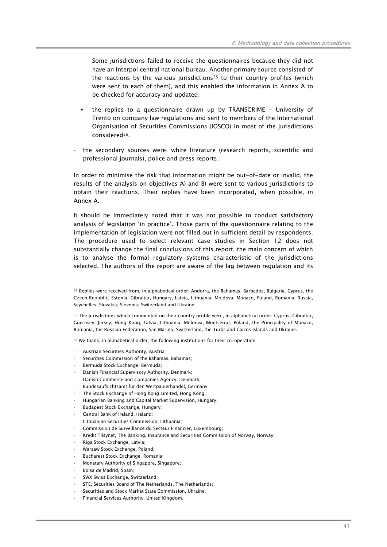Some jurisdictions failed to receive the questionnaires because they did not have an Interpol central national bureau. Another primary source consisted of the reactions by the various jurisdictions<sup>35</sup> to their country profiles (which were sent to each of them), and this enabled the information in Annex A to be checked for accuracy and updated;

- the replies to a questionnaire drawn up by TRANSCRIME University of Trento on company law regulations and sent to members of the International Organisation of Securities Commissions (IOSCO) in most of the jurisdictions considered36.
- the secondary sources were: white literature (research reports, scientific and professional journals), police and press reports.

In order to minimise the risk that information might be out-of-date or invalid, the results of the analysis on objectives A) and B) were sent to various jurisdictions to obtain their reactions. Their replies have been incorporated, when possible, in Annex A.

It should be immediately noted that it was not possible to conduct satisfactory analysis of legislation 'in practice'. Those parts of the questionnaire relating to the implementation of legislation were not filled out in sufficient detail by respondents. The procedure used to select relevant case studies in Section 12 does not substantially change the final conclusions of this report, the main concern of which is to analyse the formal regulatory systems characteristic of the jurisdictions selected. The authors of the report are aware of the lag between regulation and its

35 The jurisdictions which commented on their country profile were, in alphabetical order: Cyprus, Gibraltar, Guernsey, Jersey, Hong Kong, Latvia, Lithuania, Moldova, Montserrat, Poland, the Principality of Monaco, Romania, the Russian Federation, San Marino, Switzerland, the Turks and Caicos Islands and Ukraine.

36 We thank, in alphabetical order, the following institutions for their co-operation:

Austrian Securities Authority, Austria;

- Securities Commission of the Bahamas, Bahamas;
- Bermuda Stock Exchange, Bermuda;
- Danish Financial Supervisory Authority, Denmark;
- Danish Commerce and Companies Agency, Denmark;
- Bundesaufsichtsamt für den Wertpapierhandel, Germany;
- The Stock Exchange of Hong Kong Limited, Hong Kong;
- Hungarian Banking and Capital Market Supervision, Hungary;
- Budapest Stock Exchange, Hungary;
- Central Bank of Ireland, Ireland;
- Lithuanian Securities Commission, Lithuania;
- Commission de Surveillance du Secteur Financier, Luxembourg;
- Kredit Tilsynet, The Banking, Insurance and Securities Commission of Norway, Norway;
- Riga Stock Exchange, Latvia;
- Warsaw Stock Exchange, Poland;
- Bucharest Stock Exchange, Romania;
- Monetary Authority of Singapore, Singapore;
- Bolsa de Madrid, Spain;
- SWX Swiss Exchange, Switzerland:
- STE, Securities Board of The Netherlands, The Netherlands;
- Securities and Stock Market State Commission, Ukraine;
- Financial Services Authority, United Kingdom.

<sup>34</sup> Replies were received from, in alphabetical order: Andorra, the Bahamas, Barbados, Bulgaria, Cyprus, the Czech Republic, Estonia, Gibraltar, Hungary, Latvia, Lithuania, Moldova, Monaco, Poland, Romania, Russia, Seychelles, Slovakia, Slovenia, Switzerland and Ukraine.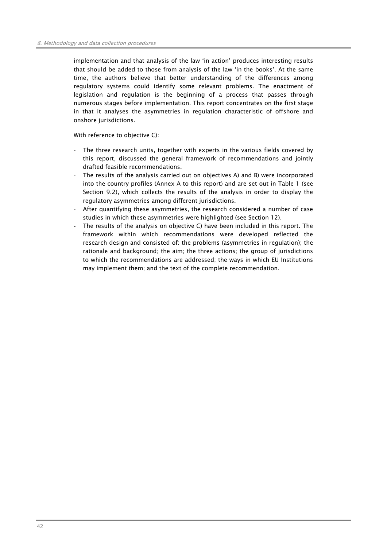implementation and that analysis of the law 'in action' produces interesting results that should be added to those from analysis of the law 'in the books'. At the same time, the authors believe that better understanding of the differences among regulatory systems could identify some relevant problems. The enactment of legislation and regulation is the beginning of a process that passes through numerous stages before implementation. This report concentrates on the first stage in that it analyses the asymmetries in regulation characteristic of offshore and onshore jurisdictions.

With reference to objective C):

- The three research units, together with experts in the various fields covered by this report, discussed the general framework of recommendations and jointly drafted feasible recommendations.
- The results of the analysis carried out on objectives A) and B) were incorporated into the country profiles (Annex A to this report) and are set out in Table 1 (see Section 9.2), which collects the results of the analysis in order to display the regulatory asymmetries among different jurisdictions.
- After quantifying these asymmetries, the research considered a number of case studies in which these asymmetries were highlighted (see Section 12).
- The results of the analysis on objective C) have been included in this report. The framework within which recommendations were developed reflected the research design and consisted of: the problems (asymmetries in regulation); the rationale and background; the aim; the three actions; the group of jurisdictions to which the recommendations are addressed; the ways in which EU Institutions may implement them; and the text of the complete recommendation.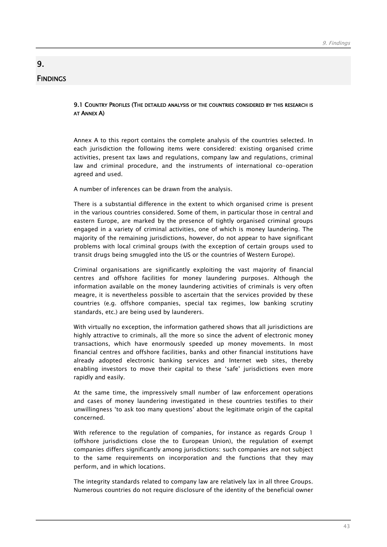# **FINDINGS**

9.

# 9.1 COUNTRY PROFILES (THE DETAILED ANALYSIS OF THE COUNTRIES CONSIDERED BY THIS RESEARCH IS AT ANNEX A)

Annex A to this report contains the complete analysis of the countries selected. In each jurisdiction the following items were considered: existing organised crime activities, present tax laws and regulations, company law and regulations, criminal law and criminal procedure, and the instruments of international co-operation agreed and used.

A number of inferences can be drawn from the analysis.

There is a substantial difference in the extent to which organised crime is present in the various countries considered. Some of them, in particular those in central and eastern Europe, are marked by the presence of tightly organised criminal groups engaged in a variety of criminal activities, one of which is money laundering. The majority of the remaining jurisdictions, however, do not appear to have significant problems with local criminal groups (with the exception of certain groups used to transit drugs being smuggled into the US or the countries of Western Europe).

Criminal organisations are significantly exploiting the vast majority of financial centres and offshore facilities for money laundering purposes. Although the information available on the money laundering activities of criminals is very often meagre, it is nevertheless possible to ascertain that the services provided by these countries (e.g. offshore companies, special tax regimes, low banking scrutiny standards, etc.) are being used by launderers.

With virtually no exception, the information gathered shows that all jurisdictions are highly attractive to criminals, all the more so since the advent of electronic money transactions, which have enormously speeded up money movements. In most financial centres and offshore facilities, banks and other financial institutions have already adopted electronic banking services and Internet web sites, thereby enabling investors to move their capital to these 'safe' jurisdictions even more rapidly and easily.

At the same time, the impressively small number of law enforcement operations and cases of money laundering investigated in these countries testifies to their unwillingness 'to ask too many questions' about the legitimate origin of the capital concerned.

With reference to the regulation of companies, for instance as regards Group 1 (offshore jurisdictions close the to European Union), the regulation of exempt companies differs significantly among jurisdictions: such companies are not subject to the same requirements on incorporation and the functions that they may perform, and in which locations.

The integrity standards related to company law are relatively lax in all three Groups. Numerous countries do not require disclosure of the identity of the beneficial owner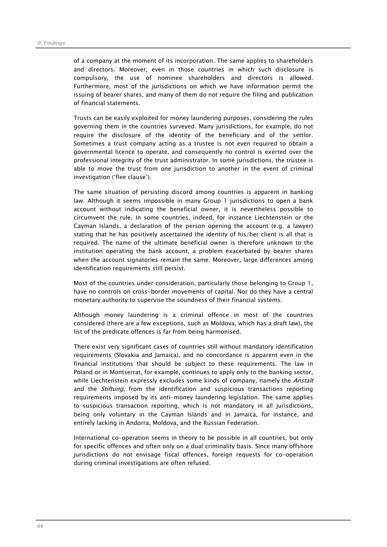of a company at the moment of its incorporation. The same applies to shareholders and directors. Moreover, even in those countries in which such disclosure is compulsory, the use of nominee shareholders and directors is allowed. Furthermore, most of the jurisdictions on which we have information permit the issuing of bearer shares, and many of them do not require the filing and publication of financial statements.

Trusts can be easily exploited for money laundering purposes, considering the rules governing them in the countries surveyed. Many jurisdictions, for example, do not require the disclosure of the identity of the beneficiary and of the settlor. Sometimes a trust company acting as a trustee is not even required to obtain a governmental licence to operate, and consequently no control is exerted over the professional integrity of the trust administrator. In some jurisdictions, the trustee is able to move the trust from one jurisdiction to another in the event of criminal investigation ('flee clause').

The same situation of persisting discord among countries is apparent in banking law. Although it seems impossible in many Group 1 jurisdictions to open a bank account without indicating the beneficial owner, it is nevertheless possible to circumvent the rule. In some countries, indeed, for instance Liechtenstein or the Cayman Islands, a declaration of the person opening the account (e.g. a lawyer) stating that he has positively ascertained the identity of his/her client is all that is required. The name of the ultimate beneficial owner is therefore unknown to the institution operating the bank account, a problem exacerbated by bearer shares when the account signatories remain the same. Moreover, large differences among identification requirements still persist.

Most of the countries under consideration, particularly those belonging to Group 1, have no controls on cross-border movements of capital. Nor do they have a central monetary authority to supervise the soundness of their financial systems.

Although money laundering is a criminal offence in most of the countries considered (there are a few exceptions, such as Moldova, which has a draft law), the list of the predicate offences is far from being harmonised.

There exist very significant cases of countries still without mandatory identification requirements (Slovakia and Jamaica), and no concordance is apparent even in the financial institutions that should be subject to these requirements. The law in Poland or in Montserrat, for example, continues to apply only to the banking sector, while Liechtenstein expressly excludes some kinds of company, namely the Anstalt and the Stiftung, from the identification and suspicious transactions reporting requirements imposed by its anti-money laundering legislation. The same applies to suspicious transaction reporting, which is not mandatory in all jurisdictions, being only voluntary in the Cayman Islands and in Jamaica, for instance, and entirely lacking in Andorra, Moldova, and the Russian Federation.

International co-operation seems in theory to be possible in all countries, but only for specific offences and often only on a dual criminality basis. Since many offshore jurisdictions do not envisage fiscal offences, foreign requests for co-operation during criminal investigations are often refused.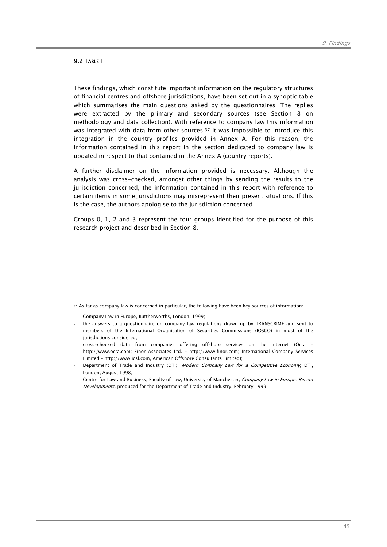# **9.2 TABLE 1**

 $\overline{a}$ 

These findings, which constitute important information on the regulatory structures of financial centres and offshore jurisdictions, have been set out in a synoptic table which summarises the main questions asked by the questionnaires. The replies were extracted by the primary and secondary sources (see Section 8 on methodology and data collection). With reference to company law this information was integrated with data from other sources.<sup>37</sup> It was impossible to introduce this integration in the country profiles provided in Annex A. For this reason, the information contained in this report in the section dedicated to company law is updated in respect to that contained in the Annex A (country reports).

A further disclaimer on the information provided is necessary. Although the analysis was cross-checked, amongst other things by sending the results to the jurisdiction concerned, the information contained in this report with reference to certain items in some jurisdictions may misrepresent their present situations. If this is the case, the authors apologise to the jurisdiction concerned.

Groups 0, 1, 2 and 3 represent the four groups identified for the purpose of this research project and described in Section 8.

<sup>&</sup>lt;sup>37</sup> As far as company law is concerned in particular, the following have been key sources of information:

Company Law in Europe, Buttherworths, London, 1999;

the answers to a questionnaire on company law regulations drawn up by TRANSCRIME and sent to members of the International Organisation of Securities Commissions (IOSCO) in most of the jurisdictions considered;

<sup>-</sup> cross-checked data from companies offering offshore services on the Internet (Ocra – http://www.ocra.com; Finor Associates Ltd. – http://www.finor.com; International Company Services Limited – http://www.icsl.com, American Offshore Consultants Limited);

Department of Trade and Industry (DTI), Modern Company Law for a Competitive Economy, DTI, London, August 1998;

Centre for Law and Business, Faculty of Law, University of Manchester, Company Law in Europe: Recent Developments, produced for the Department of Trade and Industry, February 1999.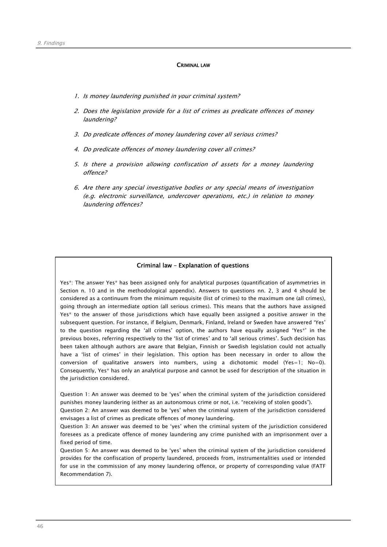#### CRIMINAL LAW

- 1. Is money laundering punished in your criminal system?
- 2. Does the legislation provide for a list of crimes as predicate offences of money laundering?
- 3. Do predicate offences of money laundering cover all serious crimes?
- 4. Do predicate offences of money laundering cover all crimes?
- 5. Is there a provision allowing confiscation of assets for a money laundering offence?
- 6. Are there any special investigative bodies or any special means of investigation (e.g. electronic surveillance, undercover operations, etc.) in relation to money laundering offences?

#### Criminal law – Explanation of questions

Yes\*: The answer Yes\* has been assigned only for analytical purposes (quantification of asymmetries in Section n. 10 and in the methodological appendix). Answers to questions nn. 2, 3 and 4 should be considered as a continuum from the minimum requisite (list of crimes) to the maximum one (all crimes), going through an intermediate option (all serious crimes). This means that the authors have assigned Yes\* to the answer of those jurisdictions which have equally been assigned a positive answer in the subsequent question. For instance, if Belgium, Denmark, Finland, Ireland or Sweden have answered 'Yes' to the question regarding the 'all crimes' option, the authors have equally assigned 'Yes\*' in the previous boxes, referring respectively to the 'list of crimes' and to 'all serious crimes'. Such decision has been taken although authors are aware that Belgian, Finnish or Swedish legislation could not actually have a 'list of crimes' in their legislation. This option has been necessary in order to allow the conversion of qualitative answers into numbers, using a dichotomic model (Yes=1; No=0). Consequently, Yes\* has only an analytical purpose and cannot be used for description of the situation in the jurisdiction considered.

Question 1: An answer was deemed to be 'yes' when the criminal system of the jurisdiction considered punishes money laundering (either as an autonomous crime or not, i.e. "receiving of stolen goods").

Question 2: An answer was deemed to be 'yes' when the criminal system of the jurisdiction considered envisages a list of crimes as predicate offences of money laundering.

Question 3: An answer was deemed to be 'yes' when the criminal system of the jurisdiction considered foresees as a predicate offence of money laundering any crime punished with an imprisonment over a fixed period of time.

Question 5: An answer was deemed to be 'yes' when the criminal system of the jurisdiction considered provides for the confiscation of property laundered, proceeds from, instrumentalities used or intended for use in the commission of any money laundering offence, or property of corresponding value (FATF Recommendation 7).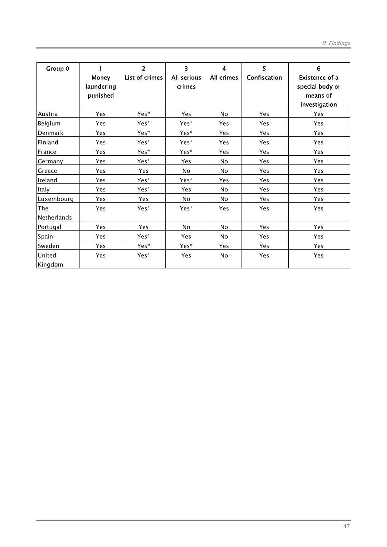| Group 0            | <b>Money</b><br>laundering<br>punished | $\overline{2}$<br>List of crimes | $\overline{\mathbf{3}}$<br>All serious<br>crimes | 4<br>All crimes | 5<br>Confiscation | 6<br>Existence of a<br>special body or<br>means of<br>investigation |
|--------------------|----------------------------------------|----------------------------------|--------------------------------------------------|-----------------|-------------------|---------------------------------------------------------------------|
| Austria            | <b>Yes</b>                             | Yes*                             | <b>Yes</b>                                       | <b>No</b>       | <b>Yes</b>        | <b>Yes</b>                                                          |
| Belgium            | Yes                                    | Yes*                             | Yes*                                             | Yes             | <b>Yes</b>        | <b>Yes</b>                                                          |
| Denmark            | Yes                                    | Yes*                             | Yes*                                             | <b>Yes</b>      | Yes               | Yes                                                                 |
| Finland            | Yes                                    | Yes*                             | Yes*                                             | Yes             | <b>Yes</b>        | <b>Yes</b>                                                          |
| France             | Yes                                    | Yes*                             | Yes*                                             | Yes             | Yes               | Yes                                                                 |
| Germany            | <b>Yes</b>                             | Yes*                             | <b>Yes</b>                                       | No.             | <b>Yes</b>        | <b>Yes</b>                                                          |
| Greece             | Yes                                    | Yes                              | No                                               | <b>No</b>       | Yes               | <b>Yes</b>                                                          |
| Ireland            | Yes                                    | Yes*                             | Yes*                                             | Yes             | Yes               | Yes                                                                 |
| Italy              | Yes                                    | Yes*                             | <b>Yes</b>                                       | No.             | <b>Yes</b>        | <b>Yes</b>                                                          |
| Luxembourg         | Yes                                    | Yes                              | <b>No</b>                                        | <b>No</b>       | Yes               | Yes                                                                 |
| The<br>Netherlands | Yes                                    | Yes*                             | Yes*                                             | Yes             | Yes               | <b>Yes</b>                                                          |
| Portugal           | Yes                                    | Yes                              | No                                               | <b>No</b>       | Yes               | Yes                                                                 |
| Spain              | Yes                                    | Yes*                             | <b>Yes</b>                                       | No.             | <b>Yes</b>        | <b>Yes</b>                                                          |
| Sweden             | Yes                                    | Yes*                             | Yes*                                             | Yes             | Yes               | <b>Yes</b>                                                          |
| United<br>Kingdom  | Yes                                    | Yes*                             | Yes                                              | No              | Yes               | Yes                                                                 |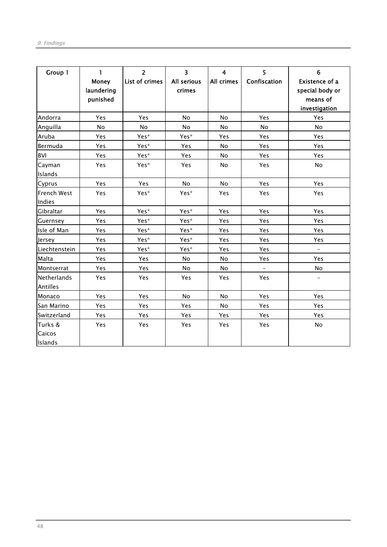| Group 1                        | $\mathbf{1}$<br><b>Money</b><br>laundering<br>punished | $\overline{2}$<br>List of crimes | $\overline{\mathbf{3}}$<br>All serious<br>crimes | $\overline{4}$<br>All crimes | 5<br>Confiscation | 6<br><b>Existence of a</b><br>special body or<br>means of<br>investigation |
|--------------------------------|--------------------------------------------------------|----------------------------------|--------------------------------------------------|------------------------------|-------------------|----------------------------------------------------------------------------|
| Andorra                        | Yes                                                    | Yes                              | <b>No</b>                                        | No                           | Yes               | Yes                                                                        |
| Anguilla                       | No                                                     | No                               | No                                               | <b>No</b>                    | No                | <b>No</b>                                                                  |
| Aruba                          | Yes                                                    | Yes*                             | Yes*                                             | Yes                          | Yes               | Yes                                                                        |
| Bermuda                        | Yes                                                    | Yes*                             | Yes                                              | No                           | Yes               | Yes                                                                        |
| <b>BVI</b>                     | Yes                                                    | Yes*                             | Yes                                              | No                           | Yes               | Yes                                                                        |
| Cayman<br>Islands              | Yes                                                    | Yes*                             | Yes                                              | <b>No</b>                    | Yes               | No                                                                         |
| Cyprus                         | Yes                                                    | Yes                              | No                                               | <b>No</b>                    | Yes               | Yes                                                                        |
| French West<br>Indies          | Yes                                                    | Yes*                             | Yes*                                             | <b>Yes</b>                   | Yes               | Yes                                                                        |
| Gibraltar                      | Yes                                                    | Yes*                             | Yes*                                             | Yes                          | Yes               | Yes                                                                        |
| Guernsey                       | Yes                                                    | Yes*                             | Yes*                                             | Yes                          | Yes               | Yes                                                                        |
| Isle of Man                    | Yes                                                    | Yes*                             | Yes*                                             | Yes                          | Yes               | Yes                                                                        |
| Jersey                         | Yes                                                    | Yes*                             | Yes*                                             | Yes                          | Yes               | Yes                                                                        |
| Liechtenstein                  | Yes                                                    | Yes*                             | Yes*                                             | Yes                          | Yes               | $\overline{\phantom{a}}$                                                   |
| Malta                          | Yes                                                    | Yes                              | No                                               | No                           | Yes               | Yes                                                                        |
| Montserrat                     | Yes                                                    | Yes                              | No                                               | <b>No</b>                    |                   | No                                                                         |
| <b>Netherlands</b><br>Antilles | Yes                                                    | Yes                              | Yes                                              | <b>Yes</b>                   | Yes               |                                                                            |
| Monaco                         | Yes                                                    | Yes                              | No                                               | No                           | Yes               | Yes                                                                        |
| San Marino                     | Yes                                                    | Yes                              | Yes                                              | No                           | Yes               | Yes                                                                        |
| Switzerland                    | Yes                                                    | Yes                              | Yes                                              | Yes                          | Yes               | Yes                                                                        |
| Turks &<br>Caicos<br>Islands   | Yes                                                    | Yes                              | Yes                                              | Yes                          | Yes               | No                                                                         |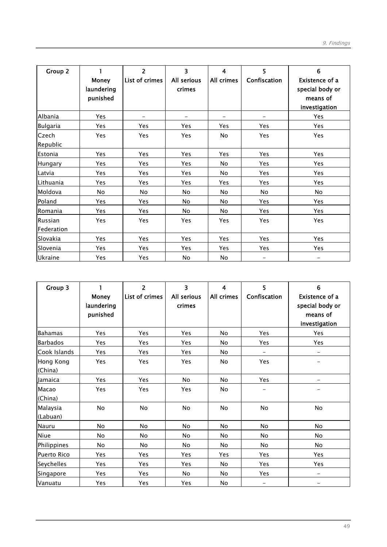| Group 2               | <b>Money</b><br>laundering<br>punished | $\overline{2}$<br>List of crimes | 3<br>All serious<br>crimes | 4<br>All crimes | 5<br>Confiscation | 6<br>Existence of a<br>special body or<br>means of<br>investigation |
|-----------------------|----------------------------------------|----------------------------------|----------------------------|-----------------|-------------------|---------------------------------------------------------------------|
| Albania               | Yes                                    |                                  |                            |                 |                   | Yes                                                                 |
| <b>Bulgaria</b>       | Yes                                    | <b>Yes</b>                       | Yes                        | Yes             | Yes               | Yes                                                                 |
| Czech<br>Republic     | Yes                                    | Yes                              | Yes                        | No              | Yes               | Yes                                                                 |
| Estonia               | Yes                                    | Yes                              | Yes                        | Yes             | Yes               | Yes                                                                 |
| <b>Hungary</b>        | Yes                                    | Yes                              | Yes                        | <b>No</b>       | Yes               | Yes                                                                 |
| Latvia                | Yes                                    | Yes                              | Yes                        | No              | Yes               | Yes                                                                 |
| Lithuania             | Yes                                    | Yes                              | <b>Yes</b>                 | Yes             | <b>Yes</b>        | <b>Yes</b>                                                          |
| Moldova               | No                                     | No                               | No                         | No.             | No                | No                                                                  |
| Poland                | Yes                                    | Yes                              | No                         | No              | Yes               | Yes                                                                 |
| Romania               | Yes                                    | Yes                              | No                         | <b>No</b>       | Yes               | Yes                                                                 |
| Russian<br>Federation | Yes                                    | Yes                              | Yes                        | Yes             | Yes               | Yes                                                                 |
| Slovakia              | Yes                                    | Yes                              | Yes                        | Yes             | Yes               | Yes                                                                 |
| Slovenia              | Yes                                    | Yes                              | Yes                        | Yes             | Yes               | Yes                                                                 |
| Ukraine               | Yes                                    | Yes                              | No                         | No              | $\qquad \qquad -$ |                                                                     |

| Group 3              | Money<br>laundering<br>punished | $\overline{2}$<br>List of crimes | 3<br>All serious<br>crimes | 4<br>All crimes | 5<br>Confiscation        | 6<br><b>Existence of a</b><br>special body or<br>means of<br>investigation |
|----------------------|---------------------------------|----------------------------------|----------------------------|-----------------|--------------------------|----------------------------------------------------------------------------|
| <b>Bahamas</b>       | Yes                             | <b>Yes</b>                       | Yes                        | <b>No</b>       | Yes                      | Yes                                                                        |
| <b>Barbados</b>      | Yes                             | Yes                              | Yes                        | <b>No</b>       | Yes                      | Yes                                                                        |
| Cook Islands         | Yes                             | Yes                              | Yes                        | <b>No</b>       | $\overline{\phantom{0}}$ | $\overline{\phantom{0}}$                                                   |
| Hong Kong<br>(China) | Yes                             | Yes                              | Yes                        | No              | Yes                      |                                                                            |
| Jamaica              | Yes                             | Yes                              | No                         | <b>No</b>       | Yes                      | -                                                                          |
| Macao<br>(China)     | Yes                             | Yes                              | Yes                        | <b>No</b>       |                          |                                                                            |
| Malaysia<br>(Labuan) | <b>No</b>                       | <b>No</b>                        | No                         | <b>No</b>       | <b>No</b>                | <b>No</b>                                                                  |
| Nauru                | <b>No</b>                       | No                               | No                         | <b>No</b>       | <b>No</b>                | <b>No</b>                                                                  |
| Niue                 | <b>No</b>                       | <b>No</b>                        | No                         | <b>No</b>       | <b>No</b>                | <b>No</b>                                                                  |
| Philippines          | <b>No</b>                       | No                               | No                         | <b>No</b>       | No                       | No                                                                         |
| <b>Puerto Rico</b>   | Yes                             | Yes                              | Yes                        | Yes             | Yes                      | Yes                                                                        |
| Seychelles           | <b>Yes</b>                      | Yes                              | <b>Yes</b>                 | <b>No</b>       | <b>Yes</b>               | Yes                                                                        |
| Singapore            | Yes                             | Yes                              | <b>No</b>                  | <b>No</b>       | <b>Yes</b>               | -                                                                          |
| Vanuatu              | Yes                             | Yes                              | Yes                        | No              |                          |                                                                            |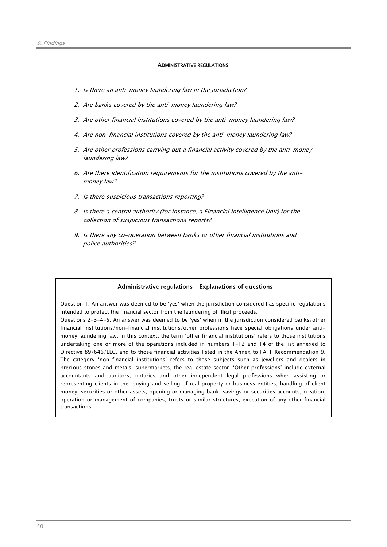#### ADMINISTRATIVE REGULATIONS

- 1. Is there an anti-money laundering law in the jurisdiction?
- 2. Are banks covered by the anti-money laundering law?
- 3. Are other financial institutions covered by the anti-money laundering law?
- 4. Are non-financial institutions covered by the anti-money laundering law?
- 5. Are other professions carrying out a financial activity covered by the anti-money laundering law?
- 6. Are there identification requirements for the institutions covered by the antimoney law?
- 7. Is there suspicious transactions reporting?
- 8. Is there a central authority (for instance, a Financial Intelligence Unit) for the collection of suspicious transactions reports?
- 9. Is there any co-operation between banks or other financial institutions and police authorities?

#### Administrative regulations – Explanations of questions

Question 1: An answer was deemed to be 'yes' when the jurisdiction considered has specific regulations intended to protect the financial sector from the laundering of illicit proceeds.

Questions 2-3-4-5: An answer was deemed to be 'yes' when in the jurisdiction considered banks/other financial institutions/non-financial institutions/other professions have special obligations under antimoney laundering law. In this context, the term 'other financial institutions' refers to those institutions undertaking one or more of the operations included in numbers 1-12 and 14 of the list annexed to Directive 89/646/EEC, and to those financial activities listed in the Annex to FATF Recommendation 9. The category 'non-financial institutions' refers to those subjects such as jewellers and dealers in precious stones and metals, supermarkets, the real estate sector. 'Other professions' include external accountants and auditors; notaries and other independent legal professions when assisting or representing clients in the: buying and selling of real property or business entities, handling of client money, securities or other assets, opening or managing bank, savings or securities accounts, creation, operation or management of companies, trusts or similar structures, execution of any other financial transactions.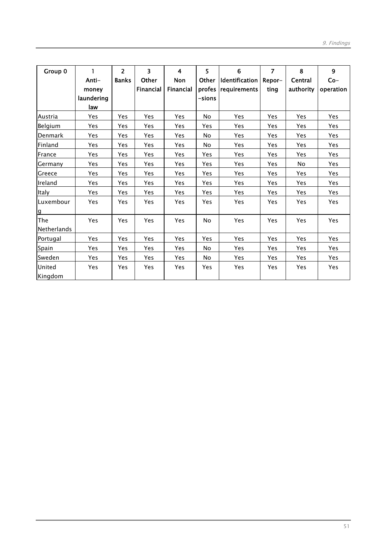| Group 0            | 1          | $\overline{2}$ | $\overline{\mathbf{3}}$ | $\overline{\mathbf{4}}$ | 5         | 6              | $\overline{7}$ | 8          | 9          |
|--------------------|------------|----------------|-------------------------|-------------------------|-----------|----------------|----------------|------------|------------|
|                    | Anti-      | <b>Banks</b>   | Other                   | Non                     | Other     | Identification | Repor-         | Central    | $Co-$      |
|                    | money      |                | <b>Financial</b>        | Financial               | profes    | requirements   | ting           | authority  | operation  |
|                    | laundering |                |                         |                         | -sions    |                |                |            |            |
|                    | law        |                |                         |                         |           |                |                |            |            |
| Austria            | Yes        | Yes            | Yes                     | <b>Yes</b>              | <b>No</b> | Yes            | Yes            | <b>Yes</b> | <b>Yes</b> |
| Belgium            | Yes        | Yes            | Yes                     | Yes                     | Yes       | Yes            | Yes            | Yes        | Yes        |
| Denmark            | Yes        | Yes            | Yes                     | <b>Yes</b>              | No        | Yes            | Yes            | Yes        | Yes        |
| Finland            | Yes        | Yes            | Yes                     | Yes                     | No        | Yes            | Yes            | Yes        | Yes        |
| France             | Yes        | Yes            | Yes                     | <b>Yes</b>              | Yes       | <b>Yes</b>     | Yes            | Yes        | Yes        |
| Germany            | Yes        | Yes            | Yes                     | Yes                     | Yes       | <b>Yes</b>     | Yes            | <b>No</b>  | Yes        |
| Greece             | Yes        | Yes            | Yes                     | <b>Yes</b>              | Yes       | Yes            | Yes            | Yes        | Yes        |
| Ireland            | Yes        | Yes            | Yes                     | Yes                     | Yes       | Yes            | Yes            | Yes        | Yes        |
| Italy              | Yes        | Yes            | Yes                     | <b>Yes</b>              | Yes       | <b>Yes</b>     | Yes            | Yes        | Yes        |
| Luxembour          | <b>Yes</b> | Yes            | Yes                     | Yes                     | Yes       | Yes            | Yes            | <b>Yes</b> | Yes        |
| g                  |            |                |                         |                         |           |                |                |            |            |
| The                | <b>Yes</b> | Yes            | Yes                     | <b>Yes</b>              | No        | Yes            | Yes            | Yes        | Yes        |
| <b>Netherlands</b> |            |                |                         |                         |           |                |                |            |            |
| Portugal           | Yes        | Yes            | Yes                     | Yes                     | Yes       | Yes            | Yes            | Yes        | <b>Yes</b> |
| Spain              | Yes        | Yes            | Yes                     | Yes                     | No.       | Yes            | Yes            | Yes        | Yes        |
| Sweden             | Yes        | Yes            | Yes                     | Yes                     | No        | Yes            | Yes            | Yes        | Yes        |
| United             | <b>Yes</b> | Yes            | Yes                     | Yes                     | Yes       | Yes            | Yes            | Yes        | Yes        |
| Kingdom            |            |                |                         |                         |           |                |                |            |            |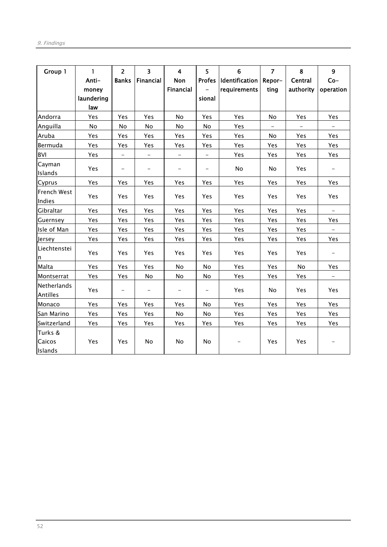| Group 1                 | $\mathbf{1}$      | $\overline{2}$           | $\overline{3}$           | $\overline{\mathbf{4}}$  | 5                        | 6                       | $\overline{7}$           | 8                 | $\overline{9}$           |
|-------------------------|-------------------|--------------------------|--------------------------|--------------------------|--------------------------|-------------------------|--------------------------|-------------------|--------------------------|
|                         | Anti-             | <b>Banks</b>             | Financial                | Non                      |                          | Profes   Identification | Repor-                   | Central           | $Co-$                    |
|                         | money             |                          |                          | <b>Financial</b>         |                          | requirements            | ting                     | authority         | operation                |
|                         | laundering<br>law |                          |                          |                          | sional                   |                         |                          |                   |                          |
| Andorra                 | Yes               | Yes                      | Yes                      | No                       | Yes                      | Yes                     | <b>No</b>                | Yes               | Yes                      |
| Anguilla                | No                | No                       | No                       | No                       | No                       | Yes                     | $\overline{\phantom{0}}$ | $\qquad \qquad -$ | $\equiv$                 |
| Aruba                   | Yes               | Yes                      | Yes                      | Yes                      | Yes                      | Yes                     | No                       | Yes               | Yes                      |
| Bermuda                 | Yes               | Yes                      | Yes                      | Yes                      | Yes                      | Yes                     | Yes                      | Yes               | Yes                      |
| BVI                     | Yes               | $\overline{\phantom{a}}$ | $\overline{\phantom{a}}$ | -                        | $\overline{\phantom{a}}$ | Yes                     | Yes                      | Yes               | Yes                      |
| Cayman<br>Islands       | Yes               | $\qquad \qquad -$        |                          | $\overline{\phantom{a}}$ | $\qquad \qquad -$        | No                      | No                       | Yes               | $\overline{\phantom{a}}$ |
| Cyprus                  | Yes               | Yes                      | Yes                      | Yes                      | Yes                      | Yes                     | Yes                      | Yes               | Yes                      |
| French West<br>Indies   | Yes               | Yes                      | Yes                      | Yes                      | Yes                      | Yes                     | Yes                      | Yes               | Yes                      |
| Gibraltar               | Yes               | Yes                      | Yes                      | Yes                      | Yes                      | Yes                     | Yes                      | Yes               | $\equiv$                 |
| Guernsey                | Yes               | Yes                      | Yes                      | Yes                      | Yes                      | Yes                     | Yes                      | Yes               | Yes                      |
| Isle of Man             | Yes               | Yes                      | Yes                      | Yes                      | Yes                      | Yes                     | Yes                      | Yes               | $\equiv$                 |
| Jersey                  | Yes               | Yes                      | Yes                      | Yes                      | Yes                      | Yes                     | Yes                      | Yes               | Yes                      |
| Liechtenstei<br>n       | Yes               | Yes                      | Yes                      | Yes                      | Yes                      | Yes                     | Yes                      | Yes               | $\overline{\phantom{a}}$ |
| Malta                   | Yes               | Yes                      | <b>Yes</b>               | No                       | <b>No</b>                | Yes                     | Yes                      | No                | Yes                      |
| Montserrat              | Yes               | Yes                      | No                       | No                       | No                       | Yes                     | Yes                      | Yes               |                          |
| Netherlands<br>Antilles | Yes               | $\overline{\phantom{a}}$ | $\overline{\phantom{a}}$ |                          | $\overline{\phantom{a}}$ | Yes                     | No                       | Yes               | Yes                      |
| Monaco                  | Yes               | Yes                      | Yes                      | Yes                      | No                       | Yes                     | Yes                      | Yes               | Yes                      |
| San Marino              | Yes               | Yes                      | Yes                      | No                       | No                       | Yes                     | Yes                      | Yes               | Yes                      |
| Switzerland             | Yes               | Yes                      | Yes                      | Yes                      | Yes                      | Yes                     | Yes                      | Yes               | Yes                      |
| Turks &<br>Caicos       | Yes               | Yes                      | No                       | No                       | No                       | -                       | Yes                      | Yes               | $\qquad \qquad -$        |
| Islands                 |                   |                          |                          |                          |                          |                         |                          |                   |                          |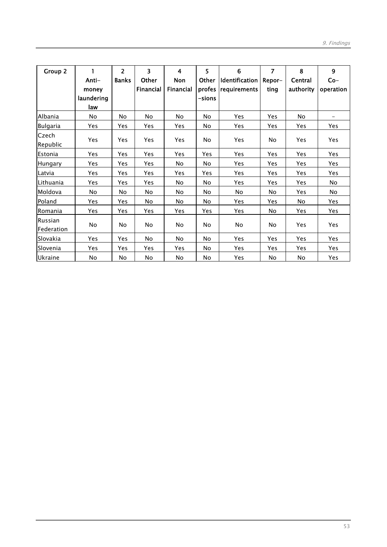| Group 2               | Anti-<br>money<br>laundering<br>law | $\overline{2}$<br><b>Banks</b> | 3<br>Other<br>Financial | 4<br>Non<br>Financial | 5<br>Other<br>profes<br>-sions | 6<br>Identification<br>requirements | 7<br>Repor-<br>ting | 8<br>Central<br>authority | 9<br>$Co-$<br>operation |
|-----------------------|-------------------------------------|--------------------------------|-------------------------|-----------------------|--------------------------------|-------------------------------------|---------------------|---------------------------|-------------------------|
| Albania               | No                                  | No                             | No                      | No                    | No                             | Yes                                 | Yes                 | No                        |                         |
| <b>Bulgaria</b>       | Yes                                 | Yes                            | Yes                     | Yes                   | No                             | Yes                                 | Yes                 | Yes                       | Yes                     |
| Czech<br>Republic     | Yes                                 | Yes                            | Yes                     | Yes                   | No                             | Yes                                 | No                  | Yes                       | Yes                     |
| Estonia               | <b>Yes</b>                          | Yes                            | Yes                     | Yes                   | Yes                            | Yes                                 | Yes                 | Yes                       | Yes                     |
| Hungary               | Yes                                 | Yes                            | Yes                     | No                    | No                             | Yes                                 | Yes                 | Yes                       | Yes                     |
| Latvia                | Yes                                 | Yes                            | Yes                     | Yes                   | Yes                            | Yes                                 | Yes                 | Yes                       | Yes                     |
| Lithuania             | Yes                                 | Yes                            | Yes                     | No                    | No                             | Yes                                 | Yes                 | Yes                       | No.                     |
| Moldova               | <b>No</b>                           | No                             | No                      | <b>No</b>             | No                             | No                                  | No.                 | Yes                       | No                      |
| Poland                | <b>Yes</b>                          | Yes                            | No                      | No                    | No                             | Yes                                 | Yes                 | No                        | Yes                     |
| Romania               | Yes                                 | Yes                            | Yes                     | Yes                   | Yes                            | Yes                                 | No.                 | Yes                       | Yes                     |
| Russian<br>Federation | No                                  | No                             | No                      | No                    | No                             | No                                  | No                  | Yes                       | Yes                     |
| Slovakia              | Yes                                 | Yes                            | No                      | No                    | No                             | Yes                                 | Yes                 | Yes                       | Yes                     |
| Slovenia              | Yes                                 | Yes                            | Yes                     | Yes                   | No                             | Yes                                 | Yes                 | Yes                       | Yes                     |
| Ukraine               | No                                  | No                             | No                      | No                    | No                             | Yes                                 | No                  | No                        | Yes                     |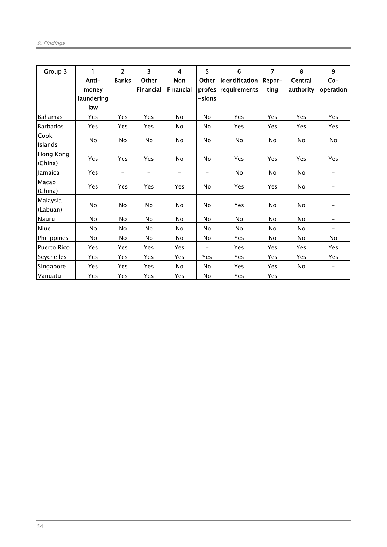| Group 3              | 1          | $\overline{2}$           | $\overline{\mathbf{3}}$  | $\overline{\mathbf{4}}$  | 5                        | $6\phantom{1}6$ | $\overline{7}$ | 8         | $\mathbf{9}$             |
|----------------------|------------|--------------------------|--------------------------|--------------------------|--------------------------|-----------------|----------------|-----------|--------------------------|
|                      | Anti-      | <b>Banks</b>             | Other                    | Non                      | <b>Other</b>             | Identification  | Repor-         | Central   | $Co-$                    |
|                      | money      |                          | Financial                | <b>Financial</b>         | profes                   | requirements    | ting           | authority | operation                |
|                      | laundering |                          |                          |                          | $-sions$                 |                 |                |           |                          |
|                      | law        |                          |                          |                          |                          |                 |                |           |                          |
| <b>Bahamas</b>       | Yes        | Yes                      | Yes                      | <b>No</b>                | <b>No</b>                | Yes             | Yes            | Yes       | Yes                      |
| <b>Barbados</b>      | Yes        | Yes                      | Yes                      | No                       | No                       | Yes             | Yes            | Yes       | Yes                      |
| Cook<br>Islands      | No         | No                       | No                       | <b>No</b>                | No                       | No              | No.            | No        | No                       |
| Hong Kong<br>(China) | Yes        | Yes                      | Yes                      | No                       | No                       | Yes             | Yes            | Yes       | Yes                      |
| Jamaica              | Yes        | $\overline{\phantom{0}}$ | $\overline{\phantom{m}}$ | $\overline{\phantom{0}}$ | $\overline{\phantom{0}}$ | No              | No             | No        | $\qquad \qquad -$        |
| Macao                | <b>Yes</b> | Yes                      | Yes                      | Yes                      | No                       | Yes             | Yes            | No        | -                        |
| (China)              |            |                          |                          |                          |                          |                 |                |           |                          |
| Malaysia             | <b>No</b>  | No                       | <b>No</b>                | No                       | No                       | Yes             | No             | No        |                          |
| (Labuan)             |            |                          |                          |                          |                          |                 |                |           |                          |
| Nauru                | <b>No</b>  | No                       | No                       | No                       | No                       | <b>No</b>       | No             | No        | $\overline{\phantom{0}}$ |
| Niue                 | No         | No                       | No                       | <b>No</b>                | No                       | No              | No             | No        |                          |
| Philippines          | No         | No                       | No                       | No                       | No                       | Yes             | No.            | No        | No                       |
| <b>Puerto Rico</b>   | Yes        | Yes                      | Yes                      | Yes                      | $\qquad \qquad -$        | Yes             | Yes            | Yes       | Yes                      |
| Seychelles           | Yes        | Yes                      | Yes                      | Yes                      | Yes                      | Yes             | Yes            | Yes       | Yes                      |
| Singapore            | <b>Yes</b> | Yes                      | Yes                      | <b>No</b>                | No                       | Yes             | Yes            | No        | -                        |
| Vanuatu              | Yes        | Yes                      | Yes                      | Yes                      | No                       | Yes             | Yes            | -         | -                        |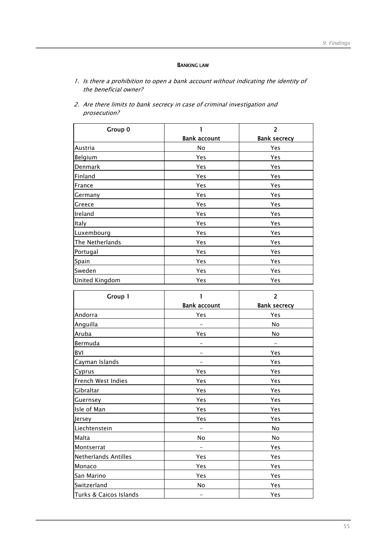## BANKING LAW

- 1. Is there a prohibition to open a bank account without indicating the identity of the beneficial owner?
- 2. Are there limits to bank secrecy in case of criminal investigation and prosecution?

| Group 0               |                     | $\overline{2}$      |
|-----------------------|---------------------|---------------------|
|                       | <b>Bank account</b> | <b>Bank secrecy</b> |
| Austria               | No                  | Yes                 |
| Belgium               | Yes                 | Yes                 |
| Denmark               | Yes                 | Yes                 |
| Finland               | Yes                 | Yes                 |
| France                | Yes                 | Yes                 |
| Germany               | Yes                 | Yes                 |
| Greece                | Yes                 | Yes                 |
| Ireland               | Yes                 | Yes                 |
| Italy                 | Yes                 | Yes                 |
| Luxembourg            | Yes                 | Yes                 |
| The Netherlands       | Yes                 | Yes                 |
| Portugal              | Yes                 | Yes                 |
| Spain                 | Yes                 | Yes                 |
| Sweden                | Yes                 | Yes                 |
| <b>United Kingdom</b> | Yes                 | Yes                 |

| Group 1                |                     | $\overline{2}$      |
|------------------------|---------------------|---------------------|
|                        | <b>Bank account</b> | <b>Bank secrecy</b> |
| Andorra                | Yes                 | Yes                 |
| Anguilla               |                     | No                  |
| Aruba                  | Yes                 | <b>No</b>           |
| Bermuda                |                     |                     |
| <b>BVI</b>             |                     | Yes                 |
| Cayman Islands         |                     | Yes                 |
| Cyprus                 | Yes                 | Yes                 |
| French West Indies     | Yes                 | Yes                 |
| Gibraltar              | Yes                 | Yes                 |
| Guernsey               | Yes                 | Yes                 |
| Isle of Man            | Yes                 | Yes                 |
| Jersey                 | Yes                 | Yes                 |
| Liechtenstein          |                     | No                  |
| Malta                  | No                  | No                  |
| Montserrat             |                     | Yes                 |
| Netherlands Antilles   | Yes                 | Yes                 |
| Monaco                 | Yes                 | Yes                 |
| San Marino             | Yes                 | Yes                 |
| Switzerland            | No                  | Yes                 |
| Turks & Caicos Islands |                     | Yes                 |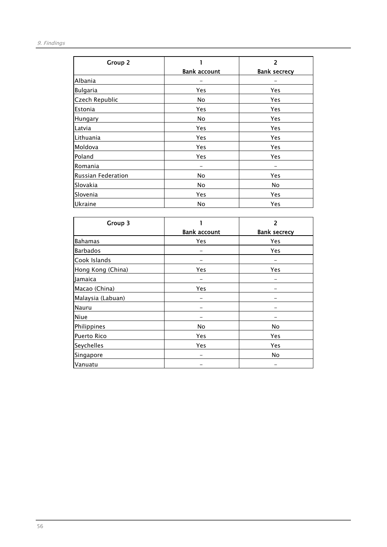| Group 2            |                     | 2                   |
|--------------------|---------------------|---------------------|
|                    | <b>Bank account</b> | <b>Bank secrecy</b> |
| Albania            |                     |                     |
| <b>Bulgaria</b>    | Yes                 | Yes                 |
| Czech Republic     | No.                 | Yes                 |
| Estonia            | Yes                 | Yes                 |
| Hungary            | No                  | Yes                 |
| Latvia             | Yes                 | Yes                 |
| Lithuania          | Yes                 | Yes                 |
| Moldova            | Yes                 | Yes                 |
| Poland             | Yes                 | Yes                 |
| Romania            |                     |                     |
| Russian Federation | No                  | Yes                 |
| Slovakia           | No                  | No                  |
| Slovenia           | Yes                 | Yes                 |
| Ukraine            | No                  | Yes                 |

| Group 3            |                     | 2                   |
|--------------------|---------------------|---------------------|
|                    | <b>Bank account</b> | <b>Bank secrecy</b> |
| <b>Bahamas</b>     | Yes                 | Yes                 |
| <b>Barbados</b>    |                     | Yes                 |
| Cook Islands       |                     |                     |
| Hong Kong (China)  | Yes                 | Yes                 |
| Jamaica            |                     |                     |
| Macao (China)      | Yes                 |                     |
| Malaysia (Labuan)  |                     |                     |
| Nauru              |                     |                     |
| <b>Niue</b>        |                     |                     |
| Philippines        | No                  | No                  |
| <b>Puerto Rico</b> | Yes                 | Yes                 |
| Seychelles         | Yes                 | Yes                 |
| Singapore          |                     | No                  |
| Vanuatu            |                     |                     |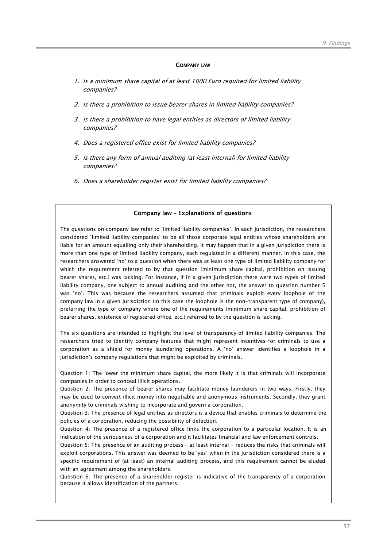### COMPANY LAW

- 1. Is a minimum share capital of at least 1000 Euro required for limited liability companies?
- 2. Is there a prohibition to issue bearer shares in limited liability companies?
- 3. Is there a prohibition to have legal entities as directors of limited liability companies?
- 4. Does a registered office exist for limited liability companies?
- 5. Is there any form of annual auditing (at least internal) for limited liability companies?
- 6. Does a shareholder register exist for limited liability companies?

# Company law – Explanations of questions

The questions on company law refer to 'limited liability companies'. In each jurisdiction, the researchers considered 'limited liability companies' to be all those corporate legal entities whose shareholders are liable for an amount equalling only their shareholding. It may happen that in a given jurisdiction there is more than one type of limited liability company, each regulated in a different manner. In this case, the researchers answered 'no' to a question when there was at least one type of limited liability company for which the requirement referred to by that question (minimum share capital, prohibition on issuing bearer shares, etc.) was lacking. For instance, if in a given jurisdiction there were two types of limited liability company, one subject to annual auditing and the other not, the answer to question number 5 was 'no'. This was because the researchers assumed that criminals exploit every loophole of the company law in a given jurisdiction (in this case the loophole is the non-transparent type of company), preferring the type of company where one of the requirements (minimum share capital, prohibition of bearer shares, existence of registered office, etc.) referred to by the question is lacking.

The six questions are intended to highlight the level of transparency of limited liability companies. The researchers tried to identify company features that might represent incentives for criminals to use a corporation as a shield for money laundering operations. A 'no' answer identifies a loophole in a jurisdiction's company regulations that might be exploited by criminals.

Question 1: The lower the minimum share capital, the more likely it is that criminals will incorporate companies in order to conceal illicit operations.

Question 2: The presence of bearer shares may facilitate money launderers in two ways. Firstly, they may be used to convert illicit money into negotiable and anonymous instruments. Secondly, they grant anonymity to criminals wishing to incorporate and govern a corporation.

Question 3: The presence of legal entities as directors is a device that enables criminals to determine the policies of a corporation, reducing the possibility of detection.

Question 4: The presence of a registered office links the corporation to a particular location. It is an indication of the seriousness of a corporation and it facilitates financial and law enforcement controls.

Question 5: The presence of an auditing process – at least internal - reduces the risks that criminals will exploit corporations. This answer was deemed to be 'yes' when in the jurisdiction considered there is a specific requirement of (at least) an internal auditing process, and this requirement cannot be eluded with an agreement among the shareholders.

Question 6: The presence of a shareholder register is indicative of the transparency of a corporation because it allows identification of the partners.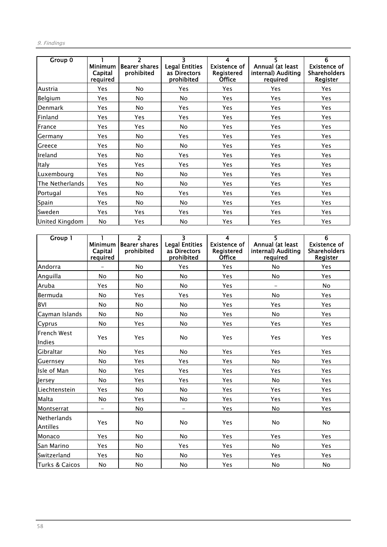## 9. Findings

| Group 0         | <b>Minimum</b><br>Capital<br>required | $\overline{\phantom{a}}$<br><b>Bearer shares</b><br>prohibited | 3<br><b>Legal Entities</b><br>as Directors<br>prohibited | 4<br><b>Existence of</b><br>Registered<br><b>Office</b> | 5.<br>Annual (at least<br>internal) Auditing<br>required | 6<br><b>Existence of</b><br><b>Shareholders</b><br>Register |
|-----------------|---------------------------------------|----------------------------------------------------------------|----------------------------------------------------------|---------------------------------------------------------|----------------------------------------------------------|-------------------------------------------------------------|
| Austria         | Yes                                   | No                                                             | Yes                                                      | Yes                                                     | Yes                                                      | Yes                                                         |
| Belgium         | <b>Yes</b>                            | No                                                             | No                                                       | Yes                                                     | Yes                                                      | Yes                                                         |
| Denmark         | <b>Yes</b>                            | No                                                             | Yes                                                      | <b>Yes</b>                                              | Yes                                                      | <b>Yes</b>                                                  |
| Finland         | <b>Yes</b>                            | Yes                                                            | Yes                                                      | Yes                                                     | Yes                                                      | Yes                                                         |
| France          | <b>Yes</b>                            | Yes                                                            | No                                                       | Yes                                                     | Yes                                                      | Yes                                                         |
| Germany         | Yes                                   | No                                                             | Yes                                                      | Yes                                                     | Yes                                                      | Yes                                                         |
| Greece          | <b>Yes</b>                            | No                                                             | No.                                                      | <b>Yes</b>                                              | <b>Yes</b>                                               | <b>Yes</b>                                                  |
| Ireland         | Yes                                   | No                                                             | <b>Yes</b>                                               | <b>Yes</b>                                              | Yes                                                      | <b>Yes</b>                                                  |
| Italy           | Yes                                   | Yes                                                            | <b>Yes</b>                                               | Yes                                                     | <b>Yes</b>                                               | Yes                                                         |
| Luxembourg      | Yes                                   | No                                                             | No.                                                      | Yes                                                     | Yes                                                      | Yes.                                                        |
| The Netherlands | Yes                                   | No.                                                            | <b>No</b>                                                | Yes                                                     | Yes                                                      | Yes                                                         |
| Portugal        | Yes                                   | No.                                                            | Yes                                                      | Yes                                                     | Yes                                                      | <b>Yes</b>                                                  |
| Spain           | Yes                                   | No.                                                            | No.                                                      | Yes                                                     | Yes                                                      | Yes                                                         |
| Sweden          | Yes                                   | Yes                                                            | Yes                                                      | Yes                                                     | Yes                                                      | Yes                                                         |
| United Kingdom  | No                                    | Yes                                                            | <b>No</b>                                                | <b>Yes</b>                                              | Yes                                                      | Yes                                                         |

| Group 1                        | <b>Minimum</b><br>Capital<br>required | $\overline{2}$<br><b>Bearer shares</b><br>prohibited | $\overline{\mathbf{3}}$<br><b>Legal Entities</b><br>as Directors<br>prohibited | $\overline{4}$<br><b>Existence of</b><br>Registered<br><b>Office</b> | $\overline{\mathsf{S}}$<br>Annual (at least<br>internal) Auditing<br>required | $\overline{6}$<br><b>Existence of</b><br><b>Shareholders</b><br>Register |
|--------------------------------|---------------------------------------|------------------------------------------------------|--------------------------------------------------------------------------------|----------------------------------------------------------------------|-------------------------------------------------------------------------------|--------------------------------------------------------------------------|
| Andorra                        |                                       | No                                                   | Yes                                                                            | Yes                                                                  | No                                                                            | Yes                                                                      |
| Anguilla                       | No                                    | <b>No</b>                                            | No                                                                             | Yes                                                                  | No                                                                            | Yes                                                                      |
| Aruba                          | Yes                                   | <b>No</b>                                            | <b>No</b>                                                                      | Yes                                                                  |                                                                               | <b>No</b>                                                                |
| Bermuda                        | No                                    | Yes                                                  | Yes                                                                            | Yes                                                                  | No                                                                            | Yes                                                                      |
| <b>BVI</b>                     | <b>No</b>                             | <b>No</b>                                            | No                                                                             | Yes                                                                  | Yes                                                                           | Yes                                                                      |
| Cayman Islands                 | No                                    | No                                                   | No                                                                             | Yes                                                                  | No                                                                            | Yes                                                                      |
| Cyprus                         | No                                    | Yes                                                  | No                                                                             | Yes                                                                  | Yes                                                                           | Yes                                                                      |
| French West<br>Indies          | Yes                                   | Yes                                                  | <b>No</b>                                                                      | Yes                                                                  | Yes                                                                           | <b>Yes</b>                                                               |
| Gibraltar                      | <b>No</b>                             | <b>Yes</b>                                           | <b>No</b>                                                                      | Yes                                                                  | Yes                                                                           | Yes                                                                      |
| Guernsey                       | <b>No</b>                             | Yes                                                  | Yes                                                                            | Yes                                                                  | <b>No</b>                                                                     | Yes                                                                      |
| Isle of Man                    | <b>No</b>                             | Yes                                                  | Yes                                                                            | Yes                                                                  | Yes                                                                           | Yes                                                                      |
| Jersey                         | <b>No</b>                             | Yes                                                  | Yes                                                                            | Yes                                                                  | <b>No</b>                                                                     | Yes                                                                      |
| Liechtenstein                  | Yes                                   | <b>No</b>                                            | <b>No</b>                                                                      | Yes                                                                  | Yes                                                                           | Yes                                                                      |
| Malta                          | <b>No</b>                             | <b>Yes</b>                                           | <b>No</b>                                                                      | Yes                                                                  | Yes                                                                           | Yes                                                                      |
| Montserrat                     |                                       | No                                                   |                                                                                | Yes                                                                  | No                                                                            | Yes                                                                      |
| <b>Netherlands</b><br>Antilles | Yes                                   | <b>No</b>                                            | No                                                                             | Yes                                                                  | No                                                                            | No                                                                       |
| Monaco                         | Yes                                   | <b>No</b>                                            | <b>No</b>                                                                      | Yes                                                                  | Yes                                                                           | Yes                                                                      |
| San Marino                     | Yes                                   | <b>No</b>                                            | Yes                                                                            | Yes                                                                  | <b>No</b>                                                                     | Yes                                                                      |
| Switzerland                    | Yes                                   | <b>No</b>                                            | <b>No</b>                                                                      | Yes                                                                  | Yes                                                                           | Yes                                                                      |
| Turks & Caicos                 | <b>No</b>                             | <b>No</b>                                            | <b>No</b>                                                                      | Yes                                                                  | No                                                                            | <b>No</b>                                                                |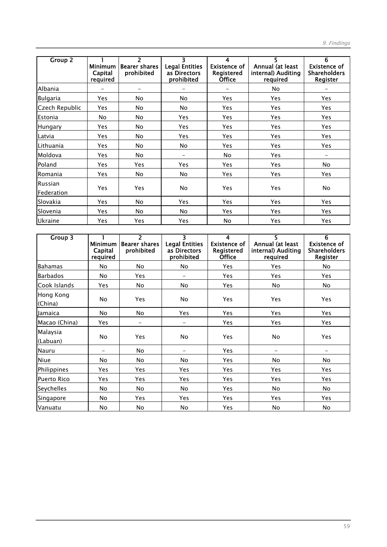| Group 2                      | <b>Minimum</b><br>Capital<br>required | $\overline{\phantom{a}}$<br><b>Bearer shares</b><br>prohibited | 3<br><b>Legal Entities</b><br>as Directors<br>prohibited | 4<br><b>Existence of</b><br>Registered<br><b>Office</b> | 5.<br>Annual (at least<br>internal) Auditing<br>required | 6<br><b>Existence of</b><br><b>Shareholders</b><br>Register |
|------------------------------|---------------------------------------|----------------------------------------------------------------|----------------------------------------------------------|---------------------------------------------------------|----------------------------------------------------------|-------------------------------------------------------------|
| Albania                      |                                       |                                                                |                                                          |                                                         | No.                                                      |                                                             |
| <b>Bulgaria</b>              | Yes                                   | No                                                             | No                                                       | Yes                                                     | Yes                                                      | Yes                                                         |
| Czech Republic               | Yes                                   | No.                                                            | No                                                       | Yes                                                     | <b>Yes</b>                                               | Yes.                                                        |
| Estonia                      | No                                    | No                                                             | Yes                                                      | Yes                                                     | Yes                                                      | Yes                                                         |
| Hungary                      | Yes                                   | No.                                                            | Yes                                                      | <b>Yes</b>                                              | Yes                                                      | Yes                                                         |
| Latvia                       | Yes                                   | No.                                                            | Yes                                                      | Yes.                                                    | Yes                                                      | Yes                                                         |
| Lithuania                    | Yes                                   | No.                                                            | No                                                       | <b>Yes</b>                                              | <b>Yes</b>                                               | <b>Yes</b>                                                  |
| Moldova                      | Yes                                   | No.                                                            | -                                                        | No.                                                     | Yes                                                      | $\overline{\phantom{m}}$                                    |
| Poland                       | Yes                                   | Yes                                                            | Yes                                                      | Yes                                                     | <b>Yes</b>                                               | <b>No</b>                                                   |
| Romania                      | Yes                                   | No.                                                            | No.                                                      | Yes                                                     | Yes                                                      | <b>Yes</b>                                                  |
| <b>Russian</b><br>Federation | Yes                                   | Yes                                                            | No.                                                      | Yes                                                     | <b>Yes</b>                                               | No                                                          |
| Slovakia                     | Yes                                   | No.                                                            | <b>Yes</b>                                               | <b>Yes</b>                                              | Yes                                                      | <b>Yes</b>                                                  |
| Slovenia                     | Yes                                   | No                                                             | No.                                                      | Yes                                                     | Yes                                                      | Yes.                                                        |
| Ukraine                      | Yes                                   | Yes                                                            | Yes                                                      | No.                                                     | Yes                                                      | <b>Yes</b>                                                  |

| Group 3              | <b>Minimum</b><br>Capital<br>required | $\overline{2}$<br><b>Bearer shares</b><br>prohibited | 3<br><b>Legal Entities</b><br>as Directors<br>prohibited | 4<br><b>Existence of</b><br>Registered<br><b>Office</b> | 5<br>Annual (at least<br>internal) Auditing<br>required | 6<br><b>Existence of</b><br><b>Shareholders</b><br>Register |
|----------------------|---------------------------------------|------------------------------------------------------|----------------------------------------------------------|---------------------------------------------------------|---------------------------------------------------------|-------------------------------------------------------------|
| <b>Bahamas</b>       | No                                    | No                                                   | No                                                       | Yes                                                     | Yes                                                     | No                                                          |
| <b>Barbados</b>      | No.                                   | Yes                                                  |                                                          | Yes                                                     | Yes                                                     | Yes                                                         |
| Cook Islands         | Yes                                   | No                                                   | No                                                       | Yes                                                     | No                                                      | No                                                          |
| Hong Kong<br>(China) | <b>No</b>                             | <b>Yes</b>                                           | No                                                       | Yes                                                     | Yes                                                     | Yes                                                         |
| Jamaica              | No.                                   | No                                                   | Yes                                                      | Yes                                                     | Yes                                                     | Yes                                                         |
| Macao (China)        | Yes                                   | $\overline{\phantom{m}}$                             | -                                                        | Yes                                                     | Yes                                                     | Yes                                                         |
| Malaysia<br>(Labuan) | No                                    | Yes                                                  | No                                                       | Yes                                                     | No                                                      | Yes                                                         |
| Nauru                |                                       | No                                                   |                                                          | Yes                                                     | -                                                       |                                                             |
| Niue                 | No.                                   | No                                                   | No                                                       | Yes                                                     | No                                                      | No                                                          |
| Philippines          | Yes                                   | Yes                                                  | Yes                                                      | Yes                                                     | Yes                                                     | Yes                                                         |
| <b>Puerto Rico</b>   | Yes                                   | Yes                                                  | Yes                                                      | Yes                                                     | Yes                                                     | Yes                                                         |
| Seychelles           | No                                    | No                                                   | No                                                       | Yes                                                     | No                                                      | No                                                          |
| Singapore            | No                                    | Yes                                                  | Yes                                                      | Yes                                                     | Yes                                                     | Yes                                                         |
| Vanuatu              | No                                    | No                                                   | No                                                       | Yes                                                     | No                                                      | No                                                          |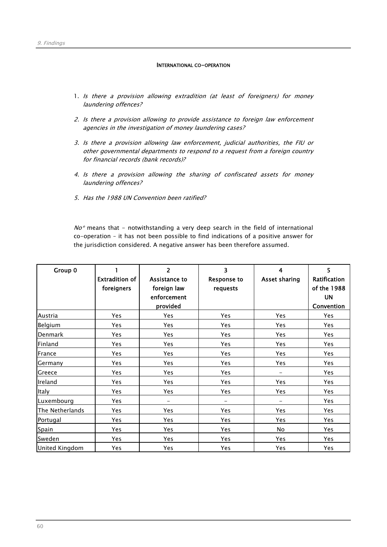### INTERNATIONAL CO-OPERATION

- 1. Is there a provision allowing extradition (at least of foreigners) for money laundering offences?
- 2. Is there a provision allowing to provide assistance to foreign law enforcement agencies in the investigation of money laundering cases?
- 3. Is there a provision allowing law enforcement, judicial authorities, the FIU or other governmental departments to respond to a request from a foreign country for financial records (bank records)?
- 4. Is there a provision allowing the sharing of confiscated assets for money laundering offences?
- 5. Has the 1988 UN Convention been ratified?

 $N\sigma^*$  means that - notwithstanding a very deep search in the field of international co-operation – it has not been possible to find indications of a positive answer for the jurisdiction considered. A negative answer has been therefore assumed.

| Group 0         | <b>Extradition of</b><br>foreigners | $\overline{2}$<br>Assistance to<br>foreign law<br>enforcement<br>provided | 3<br><b>Response to</b><br>requests | $\boldsymbol{4}$<br><b>Asset sharing</b> | 5<br>Ratification<br>of the 1988<br>UN<br>Convention |
|-----------------|-------------------------------------|---------------------------------------------------------------------------|-------------------------------------|------------------------------------------|------------------------------------------------------|
| Austria         | Yes                                 | Yes                                                                       | Yes                                 | Yes                                      | Yes.                                                 |
| Belgium         | Yes                                 | Yes                                                                       | Yes                                 | Yes                                      | Yes                                                  |
| Denmark         | Yes                                 | Yes                                                                       | Yes                                 | Yes                                      | Yes                                                  |
| Finland         | Yes                                 | Yes                                                                       | Yes                                 | Yes                                      | Yes                                                  |
| France          | Yes                                 | Yes                                                                       | Yes                                 | Yes                                      | Yes                                                  |
| Germany         | Yes                                 | Yes                                                                       | Yes                                 | Yes                                      | Yes                                                  |
| Greece          | Yes                                 | Yes                                                                       | Yes                                 | -                                        | Yes                                                  |
| Ireland         | Yes                                 | Yes                                                                       | Yes                                 | Yes                                      | Yes                                                  |
| <b>Italy</b>    | Yes                                 | Yes                                                                       | Yes                                 | Yes                                      | Yes                                                  |
| Luxembourg      | Yes                                 | ÷,                                                                        | $\overline{\phantom{0}}$            | -                                        | Yes.                                                 |
| The Netherlands | Yes                                 | Yes                                                                       | Yes                                 | Yes                                      | Yes                                                  |
| Portugal        | Yes                                 | Yes                                                                       | Yes                                 | Yes                                      | Yes                                                  |
| <b>Spain</b>    | Yes                                 | Yes                                                                       | Yes                                 | No                                       | Yes                                                  |
| Sweden          | Yes                                 | Yes                                                                       | Yes                                 | Yes                                      | Yes                                                  |
| United Kingdom  | Yes                                 | Yes                                                                       | Yes                                 | Yes                                      | Yes                                                  |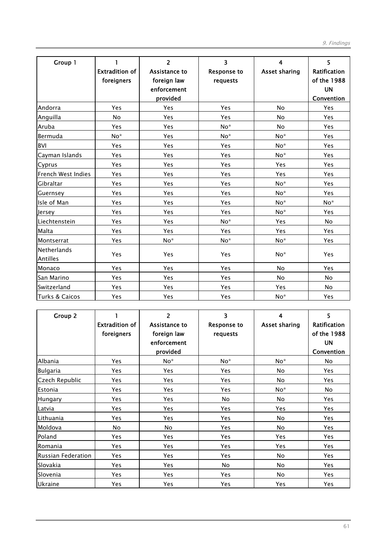| Group 1                        | 1<br><b>Extradition of</b><br>foreigners | $\overline{2}$<br>Assistance to<br>foreign law<br>enforcement<br>provided | 3<br><b>Response to</b><br>requests | 4<br><b>Asset sharing</b> | 5<br>Ratification<br>of the 1988<br><b>UN</b><br>Convention |
|--------------------------------|------------------------------------------|---------------------------------------------------------------------------|-------------------------------------|---------------------------|-------------------------------------------------------------|
| Andorra                        | Yes                                      | Yes                                                                       | Yes                                 | No                        | Yes                                                         |
| Anguilla                       | <b>No</b>                                | Yes                                                                       | Yes                                 | <b>No</b>                 | <b>Yes</b>                                                  |
| Aruba                          | Yes                                      | Yes                                                                       | No*                                 | No                        | Yes                                                         |
| Bermuda                        | No*                                      | Yes                                                                       | No*                                 | No*                       | Yes                                                         |
| <b>BVI</b>                     | Yes                                      | Yes                                                                       | Yes                                 | No*                       | Yes                                                         |
| Cayman Islands                 | Yes                                      | Yes                                                                       | Yes                                 | $No*$                     | Yes                                                         |
| Cyprus                         | Yes                                      | Yes                                                                       | Yes                                 | Yes                       | Yes                                                         |
| French West Indies             | Yes                                      | Yes                                                                       | Yes                                 | Yes                       | Yes                                                         |
| Gibraltar                      | Yes                                      | Yes                                                                       | Yes                                 | $No*$                     | Yes                                                         |
| Guernsey                       | Yes                                      | Yes                                                                       | Yes                                 | No*                       | Yes                                                         |
| Isle of Man                    | Yes                                      | Yes                                                                       | Yes                                 | No*                       | No*                                                         |
| Jersey                         | Yes                                      | Yes                                                                       | Yes                                 | No*                       | Yes                                                         |
| Liechtenstein                  | Yes                                      | Yes                                                                       | No*                                 | Yes                       | <b>No</b>                                                   |
| Malta                          | Yes                                      | Yes                                                                       | Yes                                 | <b>Yes</b>                | <b>Yes</b>                                                  |
| Montserrat                     | Yes                                      | No*                                                                       | $No*$                               | $No*$                     | Yes                                                         |
| <b>Netherlands</b><br>Antilles | Yes                                      | Yes                                                                       | Yes                                 | No*                       | Yes                                                         |
| Monaco                         | Yes                                      | Yes                                                                       | Yes                                 | <b>No</b>                 | Yes                                                         |
| San Marino                     | Yes                                      | Yes                                                                       | Yes                                 | <b>No</b>                 | <b>No</b>                                                   |
| <b>Switzerland</b>             | Yes                                      | Yes                                                                       | Yes                                 | Yes                       | <b>No</b>                                                   |
| <b>Turks &amp; Caicos</b>      | Yes                                      | Yes                                                                       | Yes                                 | $No*$                     | Yes                                                         |

| Group 2            | <b>Extradition of</b><br>foreigners | $\overline{2}$<br>Assistance to<br>foreign law<br>enforcement<br>provided | 3<br><b>Response to</b><br>requests | 4<br><b>Asset sharing</b> | 5<br>Ratification<br>of the 1988<br><b>UN</b><br>Convention |
|--------------------|-------------------------------------|---------------------------------------------------------------------------|-------------------------------------|---------------------------|-------------------------------------------------------------|
| Albania            | Yes                                 | $No*$                                                                     | $No*$                               | $No*$                     | No.                                                         |
| Bulgaria           | Yes                                 | Yes                                                                       | Yes                                 | No.                       | Yes                                                         |
| Czech Republic     | Yes                                 | <b>Yes</b>                                                                | Yes                                 | No                        | <b>Yes</b>                                                  |
| Estonia            | Yes                                 | Yes                                                                       | Yes                                 | No*                       | No                                                          |
| Hungary            | Yes                                 | Yes                                                                       | <b>No</b>                           | No                        | <b>Yes</b>                                                  |
| Latvia             | Yes                                 | Yes                                                                       | Yes                                 | Yes                       | Yes                                                         |
| Lithuania          | Yes                                 | Yes                                                                       | Yes                                 | No                        | Yes                                                         |
| Moldova            | <b>No</b>                           | <b>No</b>                                                                 | Yes                                 | No                        | Yes                                                         |
| Poland             | Yes                                 | Yes                                                                       | Yes                                 | Yes                       | Yes                                                         |
| Romania            | Yes                                 | Yes                                                                       | Yes                                 | Yes                       | Yes                                                         |
| Russian Federation | Yes                                 | Yes                                                                       | Yes                                 | No                        | Yes                                                         |
| Slovakia           | Yes                                 | Yes                                                                       | No                                  | No                        | Yes                                                         |
| Slovenia           | Yes                                 | <b>Yes</b>                                                                | Yes                                 | No.                       | <b>Yes</b>                                                  |
| Ukraine            | Yes                                 | Yes                                                                       | Yes                                 | Yes                       | Yes                                                         |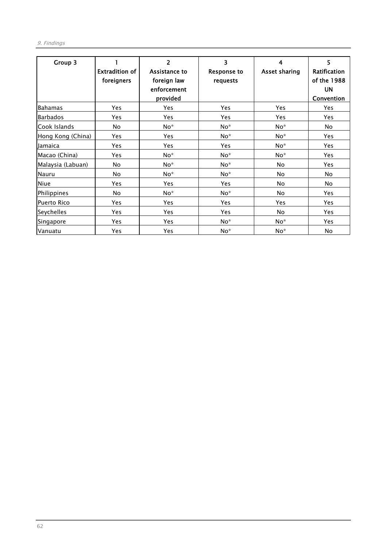| Group 3            | <b>Extradition of</b><br>foreigners | 2<br>Assistance to<br>foreign law<br>enforcement<br>provided | 3<br><b>Response to</b><br>requests | 4<br><b>Asset sharing</b> | 5<br>Ratification<br>of the 1988<br><b>UN</b><br>Convention |
|--------------------|-------------------------------------|--------------------------------------------------------------|-------------------------------------|---------------------------|-------------------------------------------------------------|
| <b>Bahamas</b>     | Yes                                 | <b>Yes</b>                                                   | Yes                                 | Yes                       | Yes                                                         |
| <b>Barbados</b>    | Yes                                 | Yes                                                          | Yes                                 | Yes                       | Yes                                                         |
| Cook Islands       | No                                  | No*                                                          | No*                                 | $No*$                     | No                                                          |
| Hong Kong (China)  | Yes                                 | Yes                                                          | No*                                 | No*                       | Yes                                                         |
| Jamaica            | Yes                                 | Yes                                                          | Yes                                 | No*                       | Yes                                                         |
| Macao (China)      | Yes                                 | $No*$                                                        | No*                                 | $No*$                     | Yes                                                         |
| Malaysia (Labuan)  | No                                  | $No*$                                                        | $No*$                               | No                        | Yes                                                         |
| Nauru              | No                                  | No*                                                          | No*                                 | No                        | No                                                          |
| Niue               | Yes                                 | Yes                                                          | Yes                                 | No.                       | No                                                          |
| Philippines        | No                                  | No*                                                          | No*                                 | No                        | Yes                                                         |
| <b>Puerto Rico</b> | Yes                                 | Yes                                                          | Yes                                 | Yes                       | Yes                                                         |
| Seychelles         | Yes                                 | Yes                                                          | Yes                                 | No                        | Yes                                                         |
| Singapore          | Yes                                 | Yes                                                          | $No*$                               | No*                       | Yes                                                         |
| Vanuatu            | Yes                                 | Yes                                                          | No*                                 | No*                       | No                                                          |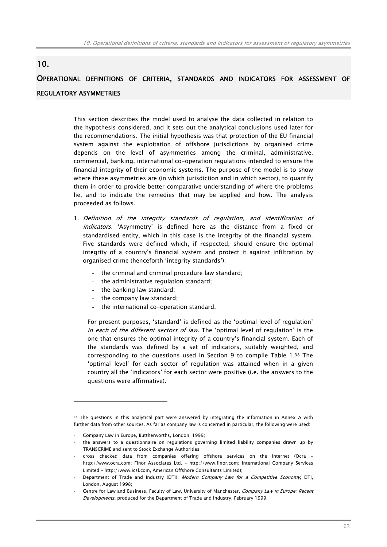# 10.

# OPERATIONAL DEFINITIONS OF CRITERIA, STANDARDS AND INDICATORS FOR ASSESSMENT OF REGULATORY ASYMMETRIES

This section describes the model used to analyse the data collected in relation to the hypothesis considered, and it sets out the analytical conclusions used later for the recommendations. The initial hypothesis was that protection of the EU financial system against the exploitation of offshore jurisdictions by organised crime depends on the level of asymmetries among the criminal, administrative, commercial, banking, international co-operation regulations intended to ensure the financial integrity of their economic systems. The purpose of the model is to show where these asymmetries are (in which jurisdiction and in which sector), to quantify them in order to provide better comparative understanding of where the problems lie, and to indicate the remedies that may be applied and how. The analysis proceeded as follows.

- 1. Definition of the integrity standards of regulation, and identification of indicators. 'Asymmetry' is defined here as the distance from a fixed or standardised entity, which in this case is the integrity of the financial system. Five standards were defined which, if respected, should ensure the optimal integrity of a country's financial system and protect it against infiltration by organised crime (henceforth 'integrity standards'):
	- the criminal and criminal procedure law standard;
	- the administrative regulation standard;
	- the banking law standard;
	- the company law standard;
	- the international co-operation standard.

For present purposes, 'standard' is defined as the 'optimal level of regulation' in each of the different sectors of law. The 'optimal level of regulation' is the one that ensures the optimal integrity of a country's financial system. Each of the standards was defined by a set of indicators, suitably weighted, and corresponding to the questions used in Section 9 to compile Table 1.38 The 'optimal level' for each sector of regulation was attained when in a given country all the 'indicators' for each sector were positive (i.e. the answers to the questions were affirmative).

<sup>38</sup> The questions in this analytical part were answered by integrating the information in Annex A with further data from other sources. As far as company law is concerned in particular, the following were used:

Company Law in Europe, Buttherworths, London, 1999;

<sup>-</sup> the answers to a questionnaire on regulations governing limited liability companies drawn up by TRANSCRIME and sent to Stock Exchange Authorities;

<sup>-</sup> cross checked data from companies offering offshore services on the Internet (Ocra – http://www.ocra.com; Finor Associates Ltd. – http://www.finor.com; International Company Services Limited – http://www.icsl.com, American Offshore Consultants Limited);

Department of Trade and Industry (DTI), Modern Company Law for a Competitive Economy, DTI, London, August 1998;

Centre for Law and Business, Faculty of Law, University of Manchester, Company Law in Europe: Recent Developments, produced for the Department of Trade and Industry, February 1999.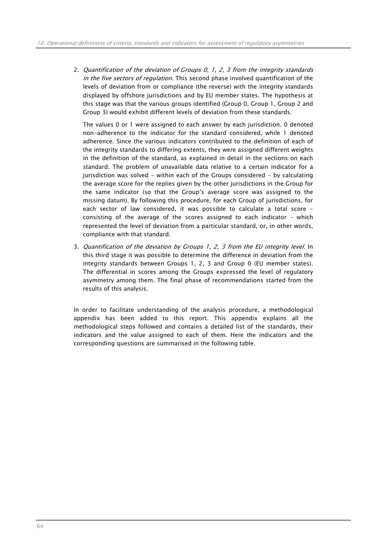2. Quantification of the deviation of Groups 0, 1, 2, 3 from the integrity standards in the five sectors of regulation. This second phase involved quantification of the levels of deviation from or compliance (the reverse) with the integrity standards displayed by offshore jurisdictions and by EU member states. The hypothesis at this stage was that the various groups identified (Group 0, Group 1, Group 2 and Group 3) would exhibit different levels of deviation from these standards.

The values 0 or 1 were assigned to each answer by each jurisdiction. 0 denoted non-adherence to the indicator for the standard considered, while 1 denoted adherence. Since the various indicators contributed to the definition of each of the integrity standards to differing extents, they were assigned different weights in the definition of the standard, as explained in detail in the sections on each standard. The problem of unavailable data relative to a certain indicator for a jurisdiction was solved - within each of the Groups considered - by calculating the average score for the replies given by the other jurisdictions in the Group for the same indicator (so that the Group's average score was assigned to the missing datum). By following this procedure, for each Group of jurisdictions, for each sector of law considered, it was possible to calculate a total score – consisting of the average of the scores assigned to each indicator – which represented the level of deviation from a particular standard, or, in other words, compliance with that standard.

3. Quantification of the deviation by Groups 1, 2, 3 from the EU integrity level. In this third stage it was possible to determine the difference in deviation from the integrity standards between Groups 1, 2, 3 and Group 0 (EU member states). The differential in scores among the Groups expressed the level of regulatory asymmetry among them. The final phase of recommendations started from the results of this analysis.

In order to facilitate understanding of the analysis procedure, a methodological appendix has been added to this report. This appendix explains all the methodological steps followed and contains a detailed list of the standards, their indicators and the value assigned to each of them. Here the indicators and the corresponding questions are summarised in the following table.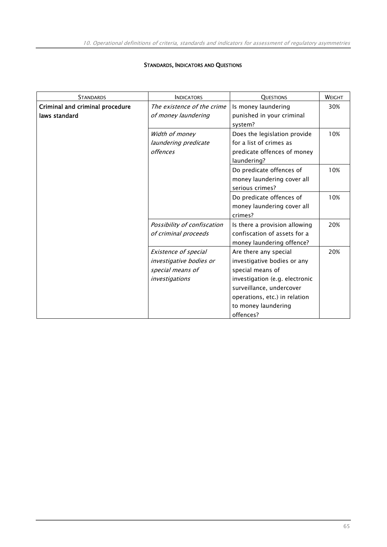# STANDARDS, INDICATORS AND QUESTIONS

| <b>STANDARDS</b>                | <b>INDICATORS</b>                      | <b>QUESTIONS</b>                                        | WEIGHT |
|---------------------------------|----------------------------------------|---------------------------------------------------------|--------|
| Criminal and criminal procedure | The existence of the crime             | Is money laundering                                     | 30%    |
| laws standard                   | of money laundering                    | punished in your criminal                               |        |
|                                 |                                        | system?                                                 |        |
|                                 | Width of money<br>laundering predicate | Does the legislation provide<br>for a list of crimes as | 10%    |
|                                 |                                        |                                                         |        |
|                                 | offences                               | predicate offences of money                             |        |
|                                 |                                        | laundering?                                             |        |
|                                 |                                        | Do predicate offences of                                | 10%    |
|                                 |                                        | money laundering cover all                              |        |
|                                 |                                        | serious crimes?                                         |        |
|                                 |                                        | Do predicate offences of                                | 10%    |
|                                 |                                        | money laundering cover all                              |        |
|                                 |                                        | crimes?                                                 |        |
|                                 | Possibility of confiscation            | Is there a provision allowing                           | 20%    |
|                                 | of criminal proceeds                   | confiscation of assets for a                            |        |
|                                 |                                        | money laundering offence?                               |        |
|                                 | Existence of special                   | Are there any special                                   | 20%    |
|                                 | investigative bodies or                | investigative bodies or any                             |        |
|                                 | special means of                       | special means of                                        |        |
|                                 | investigations                         | investigation (e.g. electronic                          |        |
|                                 |                                        | surveillance, undercover                                |        |
|                                 |                                        | operations, etc.) in relation                           |        |
|                                 |                                        | to money laundering                                     |        |
|                                 |                                        |                                                         |        |
|                                 |                                        | offences?                                               |        |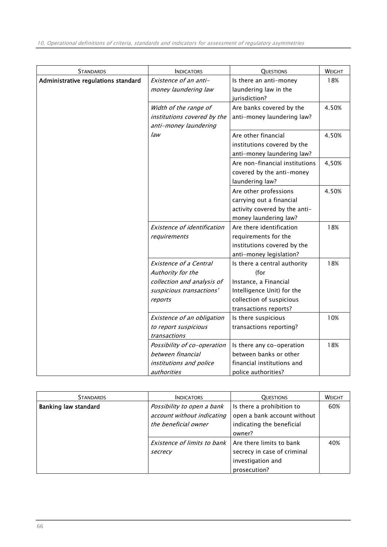| <b>STANDARDS</b>                    | <b>INDICATORS</b>                  | <b>QUESTIONS</b>               | WEIGHT |
|-------------------------------------|------------------------------------|--------------------------------|--------|
| Administrative regulations standard | Existence of an anti-              | Is there an anti-money         | 18%    |
|                                     | money laundering law               | laundering law in the          |        |
|                                     |                                    | jurisdiction?                  |        |
|                                     | Width of the range of              | Are banks covered by the       | 4.50%  |
|                                     | institutions covered by the        | anti-money laundering law?     |        |
|                                     | anti-money laundering              |                                |        |
|                                     | law                                | Are other financial            | 4.50%  |
|                                     |                                    | institutions covered by the    |        |
|                                     |                                    | anti-money laundering law?     |        |
|                                     |                                    | Are non-financial institutions | 4,50%  |
|                                     |                                    | covered by the anti-money      |        |
|                                     |                                    | laundering law?                |        |
|                                     |                                    | Are other professions          | 4.50%  |
|                                     |                                    | carrying out a financial       |        |
|                                     |                                    | activity covered by the anti-  |        |
|                                     |                                    | money laundering law?          |        |
|                                     | <b>Existence of identification</b> | Are there identification       | 18%    |
|                                     | requirements                       | requirements for the           |        |
|                                     |                                    | institutions covered by the    |        |
|                                     |                                    | anti-money legislation?        |        |
|                                     | <b>Existence of a Central</b>      | Is there a central authority   | 18%    |
|                                     | Authority for the                  | (for                           |        |
|                                     | collection and analysis of         | Instance, a Financial          |        |
|                                     | suspicious transactions'           | Intelligence Unit) for the     |        |
|                                     | reports                            | collection of suspicious       |        |
|                                     |                                    | transactions reports?          |        |
|                                     | Existence of an obligation         | Is there suspicious            | 10%    |
|                                     | to report suspicious               | transactions reporting?        |        |
|                                     | transactions                       |                                |        |
|                                     | Possibility of co-operation        | Is there any co-operation      | 18%    |
|                                     | between financial                  | between banks or other         |        |
|                                     | institutions and police            | financial institutions and     |        |
|                                     | authorities                        | police authorities?            |        |

| <b>STANDARDS</b>            | <b>INDICATORS</b>                                                                | <b>OUESTIONS</b>                                                                                | <b>WEIGHT</b> |
|-----------------------------|----------------------------------------------------------------------------------|-------------------------------------------------------------------------------------------------|---------------|
| <b>Banking law standard</b> | Possibility to open a bank<br>account without indicating<br>the beneficial owner | Is there a prohibition to<br>open a bank account without<br>indicating the beneficial<br>owner? | 60%           |
|                             | Existence of limits to bank<br>secrecy                                           | Are there limits to bank<br>secrecy in case of criminal<br>investigation and<br>prosecution?    | 40%           |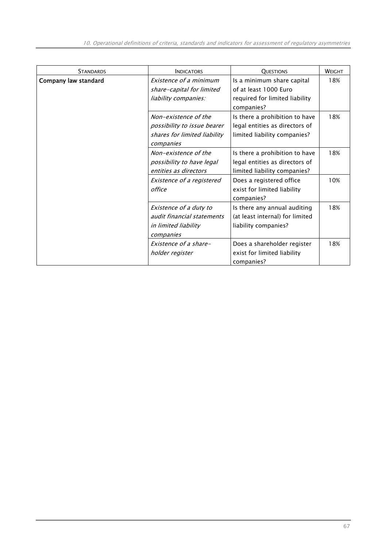| <b>STANDARDS</b>     | <b>INDICATORS</b>                                                                                | <b>QUESTIONS</b>                                                                                    | WEIGHT |
|----------------------|--------------------------------------------------------------------------------------------------|-----------------------------------------------------------------------------------------------------|--------|
| Company law standard | Existence of a minimum<br>share-capital for limited<br>liability companies:                      | Is a minimum share capital<br>of at least 1000 Euro<br>required for limited liability<br>companies? | 18%    |
|                      | Non-existence of the<br>possibility to issue bearer<br>shares for limited liability<br>companies | Is there a prohibition to have<br>legal entities as directors of<br>limited liability companies?    | 18%    |
|                      | Non-existence of the<br>possibility to have legal<br>entities as directors                       | Is there a prohibition to have<br>legal entities as directors of<br>limited liability companies?    | 18%    |
|                      | Existence of a registered<br>office                                                              | Does a registered office<br>exist for limited liability<br>companies?                               | 10%    |
|                      | Existence of a duty to<br>audit financial statements<br>in limited liability<br>companies        | Is there any annual auditing<br>(at least internal) for limited<br>liability companies?             | 18%    |
|                      | Existence of a share-<br>holder register                                                         | Does a shareholder register<br>exist for limited liability<br>companies?                            | 18%    |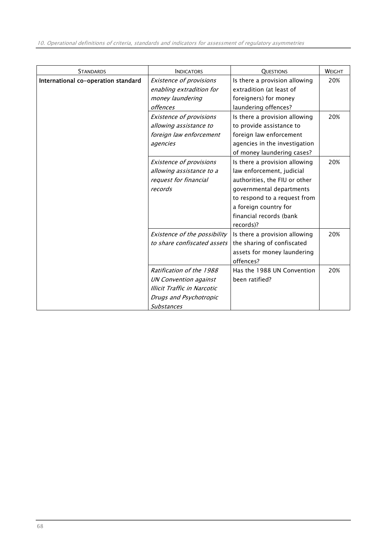| <b>STANDARDS</b>                    | <b>INDICATORS</b>                  | <b>QUESTIONS</b>              | <b>WEIGHT</b> |
|-------------------------------------|------------------------------------|-------------------------------|---------------|
| International co-operation standard | Existence of provisions            | Is there a provision allowing | 20%           |
|                                     | enabling extradition for           | extradition (at least of      |               |
|                                     | money laundering                   | foreigners) for money         |               |
|                                     | <i>offences</i>                    | laundering offences?          |               |
|                                     | <b>Existence of provisions</b>     | Is there a provision allowing | 20%           |
|                                     | allowing assistance to             | to provide assistance to      |               |
|                                     | foreign law enforcement            | foreign law enforcement       |               |
|                                     | agencies                           | agencies in the investigation |               |
|                                     |                                    | of money laundering cases?    |               |
|                                     | <b>Existence of provisions</b>     | Is there a provision allowing | 20%           |
|                                     | allowing assistance to a           | law enforcement, judicial     |               |
|                                     | request for financial              | authorities, the FIU or other |               |
|                                     | records                            | governmental departments      |               |
|                                     |                                    | to respond to a request from  |               |
|                                     |                                    | a foreign country for         |               |
|                                     |                                    | financial records (bank       |               |
|                                     |                                    | records)?                     |               |
|                                     | Existence of the possibility       | Is there a provision allowing | 20%           |
|                                     | to share confiscated assets        | the sharing of confiscated    |               |
|                                     |                                    | assets for money laundering   |               |
|                                     |                                    | offences?                     |               |
|                                     | Ratification of the 1988           | Has the 1988 UN Convention    | 20%           |
|                                     | <b>UN Convention against</b>       | been ratified?                |               |
|                                     | <b>Illicit Traffic in Narcotic</b> |                               |               |
|                                     | Drugs and Psychotropic             |                               |               |
|                                     | <b>Substances</b>                  |                               |               |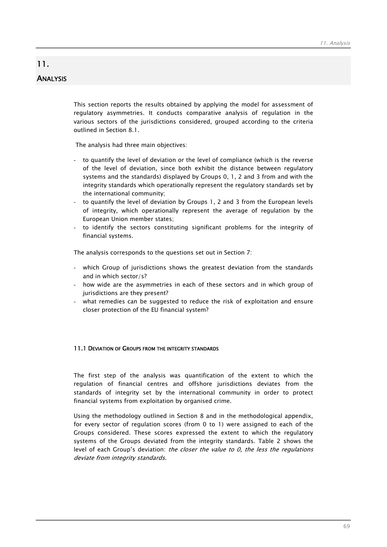## 11. ANALYSIS

This section reports the results obtained by applying the model for assessment of regulatory asymmetries. It conducts comparative analysis of regulation in the various sectors of the jurisdictions considered, grouped according to the criteria outlined in Section 8.1.

The analysis had three main objectives:

- to quantify the level of deviation or the level of compliance (which is the reverse of the level of deviation, since both exhibit the distance between regulatory systems and the standards) displayed by Groups 0, 1, 2 and 3 from and with the integrity standards which operationally represent the regulatory standards set by the international community;
- to quantify the level of deviation by Groups 1, 2 and 3 from the European levels of integrity, which operationally represent the average of regulation by the European Union member states;
- to identify the sectors constituting significant problems for the integrity of financial systems.

The analysis corresponds to the questions set out in Section 7:

- which Group of jurisdictions shows the greatest deviation from the standards and in which sector/s?
- how wide are the asymmetries in each of these sectors and in which group of jurisdictions are they present?
- what remedies can be suggested to reduce the risk of exploitation and ensure closer protection of the EU financial system?

## 11.1 DEVIATION OF GROUPS FROM THE INTEGRITY STANDARDS

The first step of the analysis was quantification of the extent to which the regulation of financial centres and offshore jurisdictions deviates from the standards of integrity set by the international community in order to protect financial systems from exploitation by organised crime.

Using the methodology outlined in Section 8 and in the methodological appendix, for every sector of regulation scores (from 0 to 1) were assigned to each of the Groups considered. These scores expressed the extent to which the regulatory systems of the Groups deviated from the integrity standards. Table 2 shows the level of each Group's deviation: the closer the value to  $0$ , the less the regulations deviate from integrity standards.

69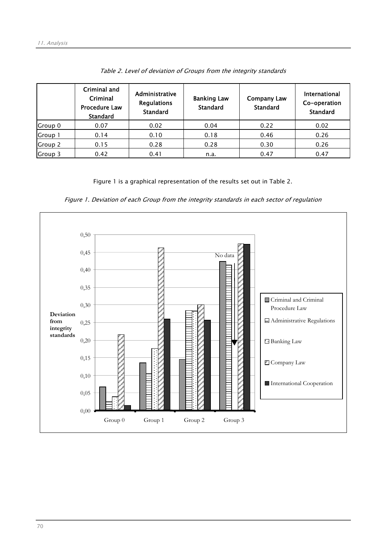|         | Criminal and<br>Criminal<br><b>Procedure Law</b><br><b>Standard</b> | Administrative<br><b>Regulations</b><br><b>Standard</b> | <b>Banking Law</b><br><b>Standard</b> | <b>Company Law</b><br><b>Standard</b> | <b>International</b><br>Co-operation<br><b>Standard</b> |
|---------|---------------------------------------------------------------------|---------------------------------------------------------|---------------------------------------|---------------------------------------|---------------------------------------------------------|
| Group 0 | 0.07                                                                | 0.02                                                    | 0.04                                  | 0.22                                  | 0.02                                                    |
| Group 1 | 0.14                                                                | 0.10                                                    | 0.18                                  | 0.46                                  | 0.26                                                    |
| Group 2 | 0.15                                                                | 0.28                                                    | 0.28                                  | 0.30                                  | 0.26                                                    |
| Group 3 | 0.42                                                                | 0.41                                                    | n.a.                                  | 0.47                                  | 0.47                                                    |

Table 2. Level of deviation of Groups from the integrity standards

Figure 1 is a graphical representation of the results set out in Table 2.



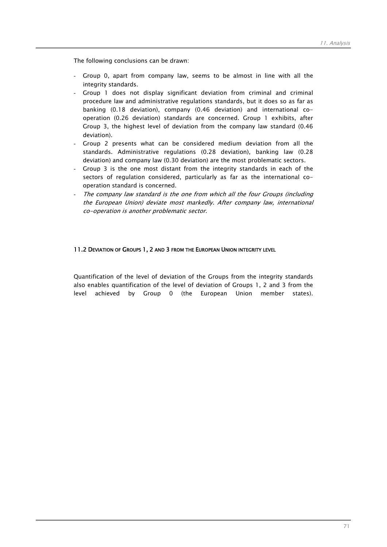The following conclusions can be drawn:

- Group 0, apart from company law, seems to be almost in line with all the integrity standards.
- Group 1 does not display significant deviation from criminal and criminal procedure law and administrative regulations standards, but it does so as far as banking (0.18 deviation), company (0.46 deviation) and international cooperation (0.26 deviation) standards are concerned. Group 1 exhibits, after Group 3, the highest level of deviation from the company law standard (0.46 deviation).
- Group 2 presents what can be considered medium deviation from all the standards. Administrative regulations (0.28 deviation), banking law (0.28 deviation) and company law (0.30 deviation) are the most problematic sectors.
- Group 3 is the one most distant from the integrity standards in each of the sectors of regulation considered, particularly as far as the international cooperation standard is concerned.
- The company law standard is the one from which all the four Groups (including the European Union) deviate most markedly. After company law, international co-operation is another problematic sector.

## 11.2 DEVIATION OF GROUPS 1, 2 AND 3 FROM THE EUROPEAN UNION INTEGRITY LEVEL

Quantification of the level of deviation of the Groups from the integrity standards also enables quantification of the level of deviation of Groups 1, 2 and 3 from the level achieved by Group 0 (the European Union member states).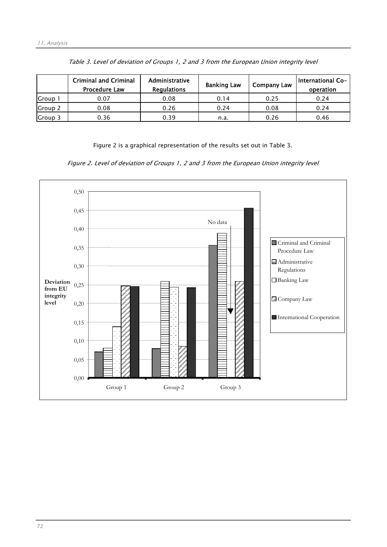|         | <b>Criminal and Criminal</b><br><b>Procedure Law</b> | Administrative<br><b>Regulations</b> | <b>Banking Law</b> | <b>Company Law</b> | <b>International Co-</b><br>operation |
|---------|------------------------------------------------------|--------------------------------------|--------------------|--------------------|---------------------------------------|
| Group 1 | 0.07                                                 | 0.08                                 | 0.14               | 0.25               | 0.24                                  |
| Group 2 | 0.08                                                 | 0.26                                 | 0.24               | 0.08               | 0.24                                  |
| Group 3 | 0.36                                                 | 0.39                                 | n.a.               | 0.26               | 0.46                                  |

Table 3. Level of deviation of Groups 1, 2 and 3 from the European Union integrity level

Figure 2 is a graphical representation of the results set out in Table 3.

Figure 2. Level of deviation of Groups 1, 2 and 3 from the European Union integrity level

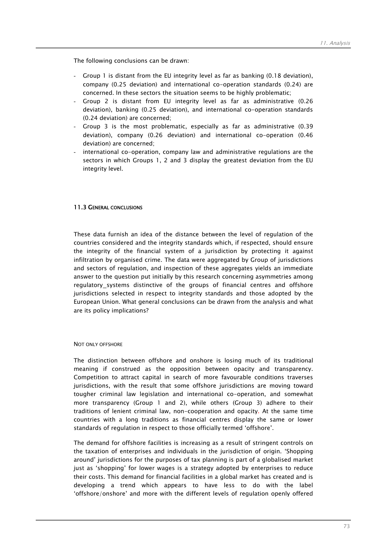The following conclusions can be drawn:

- Group 1 is distant from the EU integrity level as far as banking (0.18 deviation), company (0.25 deviation) and international co-operation standards (0.24) are concerned. In these sectors the situation seems to be highly problematic;
- Group 2 is distant from EU integrity level as far as administrative (0.26 deviation), banking (0.25 deviation), and international co-operation standards (0.24 deviation) are concerned;
- Group 3 is the most problematic, especially as far as administrative (0.39 deviation), company (0.26 deviation) and international co-operation (0.46 deviation) are concerned;
- international co-operation, company law and administrative regulations are the sectors in which Groups 1, 2 and 3 display the greatest deviation from the EU integrity level.

## 11.3 GENERAL CONCLUSIONS

These data furnish an idea of the distance between the level of regulation of the countries considered and the integrity standards which, if respected, should ensure the integrity of the financial system of a jurisdiction by protecting it against infiltration by organised crime. The data were aggregated by Group of jurisdictions and sectors of regulation, and inspection of these aggregates yields an immediate answer to the question put initially by this research concerning asymmetries among regulatory\_systems distinctive of the groups of financial centres and offshore jurisdictions selected in respect to integrity standards and those adopted by the European Union. What general conclusions can be drawn from the analysis and what are its policy implications?

#### NOT ONLY OFFSHORE

The distinction between offshore and onshore is losing much of its traditional meaning if construed as the opposition between opacity and transparency. Competition to attract capital in search of more favourable conditions traverses jurisdictions, with the result that some offshore jurisdictions are moving toward tougher criminal law legislation and international co-operation, and somewhat more transparency (Group 1 and 2), while others (Group 3) adhere to their traditions of lenient criminal law, non-cooperation and opacity. At the same time countries with a long traditions as financial centres display the same or lower standards of regulation in respect to those officially termed 'offshore'.

The demand for offshore facilities is increasing as a result of stringent controls on the taxation of enterprises and individuals in the jurisdiction of origin. 'Shopping around' jurisdictions for the purposes of tax planning is part of a globalised market just as 'shopping' for lower wages is a strategy adopted by enterprises to reduce their costs. This demand for financial facilities in a global market has created and is developing a trend which appears to have less to do with the label 'offshore/onshore' and more with the different levels of regulation openly offered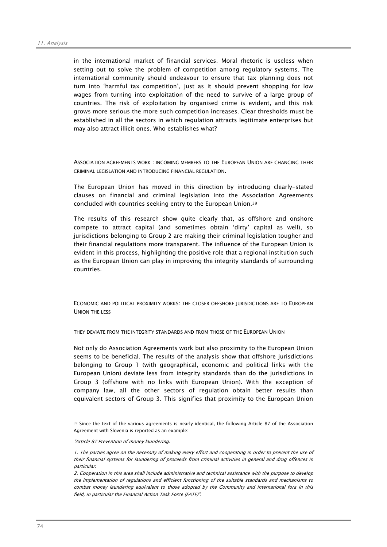in the international market of financial services. Moral rhetoric is useless when setting out to solve the problem of competition among regulatory systems. The international community should endeavour to ensure that tax planning does not turn into 'harmful tax competition', just as it should prevent shopping for low wages from turning into exploitation of the need to survive of a large group of countries. The risk of exploitation by organised crime is evident, and this risk grows more serious the more such competition increases. Clear thresholds must be established in all the sectors in which regulation attracts legitimate enterprises but may also attract illicit ones. Who establishes what?

ASSOCIATION AGREEMENTS WORK : INCOMING MEMBERS TO THE EUROPEAN UNION ARE CHANGING THEIR CRIMINAL LEGISLATION AND INTRODUCING FINANCIAL REGULATION.

The European Union has moved in this direction by introducing clearly-stated clauses on financial and criminal legislation into the Association Agreements concluded with countries seeking entry to the European Union.39

The results of this research show quite clearly that, as offshore and onshore compete to attract capital (and sometimes obtain 'dirty' capital as well), so jurisdictions belonging to Group 2 are making their criminal legislation tougher and their financial regulations more transparent. The influence of the European Union is evident in this process, highlighting the positive role that a regional institution such as the European Union can play in improving the integrity standards of surrounding countries.

ECONOMIC AND POLITICAL PROXIMITY WORKS: THE CLOSER OFFSHORE JURISDICTIONS ARE TO EUROPEAN UNION THE LESS

THEY DEVIATE FROM THE INTEGRITY STANDARDS AND FROM THOSE OF THE EUROPEAN UNION

Not only do Association Agreements work but also proximity to the European Union seems to be beneficial. The results of the analysis show that offshore jurisdictions belonging to Group 1 (with geographical, economic and political links with the European Union) deviate less from integrity standards than do the jurisdictions in Group 3 (offshore with no links with European Union). With the exception of company law, all the other sectors of regulation obtain better results than equivalent sectors of Group 3. This signifies that proximity to the European Union

 $\overline{a}$ 

<sup>39</sup> Since the text of the various agreements is nearly identical, the following Article 87 of the Association Agreement with Slovenia is reported as an example:

<sup>&</sup>quot;Article 87 Prevention of money laundering.

<sup>1.</sup> The parties agree on the necessity of making every effort and cooperating in order to prevent the use of their financial systems for laundering of proceeds from criminal activities in general and drug offences in particular.

<sup>2.</sup> Cooperation in this area shall include administrative and technical assistance with the purpose to develop the implementation of regulations and efficient functioning of the suitable standards and mechanisms to combat money laundering equivalent to those adopted by the Community and international fora in this field, in particular the Financial Action Task Force (FATF)".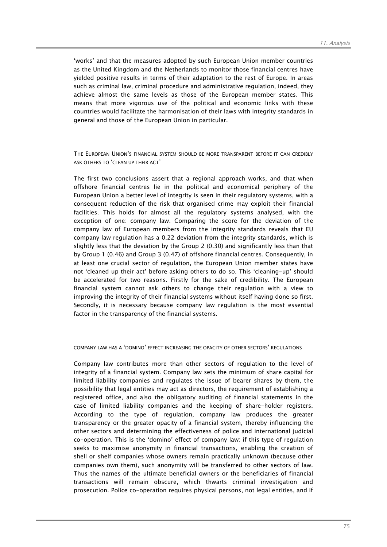'works' and that the measures adopted by such European Union member countries as the United Kingdom and the Netherlands to monitor those financial centres have yielded positive results in terms of their adaptation to the rest of Europe. In areas such as criminal law, criminal procedure and administrative regulation, indeed, they achieve almost the same levels as those of the European member states. This means that more vigorous use of the political and economic links with these countries would facilitate the harmonisation of their laws with integrity standards in general and those of the European Union in particular.

THE FUROPEAN UNION'S FINANCIAL SYSTEM SHOULD BE MORE TRANSPARENT BEFORE IT CAN CREDIBLY ASK OTHERS TO 'CLEAN UP THEIR ACT'

The first two conclusions assert that a regional approach works, and that when offshore financial centres lie in the political and economical periphery of the European Union a better level of integrity is seen in their regulatory systems, with a consequent reduction of the risk that organised crime may exploit their financial facilities. This holds for almost all the regulatory systems analysed, with the exception of one: company law. Comparing the score for the deviation of the company law of European members from the integrity standards reveals that EU company law regulation has a 0.22 deviation from the integrity standards, which is slightly less that the deviation by the Group 2 (0.30) and significantly less than that by Group 1 (0.46) and Group 3 (0.47) of offshore financial centres. Consequently, in at least one crucial sector of regulation, the European Union member states have not 'cleaned up their act' before asking others to do so. This 'cleaning-up' should be accelerated for two reasons. Firstly for the sake of credibility. The European financial system cannot ask others to change their regulation with a view to improving the integrity of their financial systems without itself having done so first. Secondly, it is necessary because company law regulation is the most essential factor in the transparency of the financial systems.

#### COMPANY LAW HAS A 'DOMINO' EFFECT INCREASING THE OPACITY OF OTHER SECTORS' REGULATIONS

Company law contributes more than other sectors of regulation to the level of integrity of a financial system. Company law sets the minimum of share capital for limited liability companies and regulates the issue of bearer shares by them, the possibility that legal entities may act as directors, the requirement of establishing a registered office, and also the obligatory auditing of financial statements in the case of limited liability companies and the keeping of share-holder registers. According to the type of regulation, company law produces the greater transparency or the greater opacity of a financial system, thereby influencing the other sectors and determining the effectiveness of police and international judicial co-operation. This is the 'domino' effect of company law: if this type of regulation seeks to maximise anonymity in financial transactions, enabling the creation of shell or shelf companies whose owners remain practically unknown (because other companies own them), such anonymity will be transferred to other sectors of law. Thus the names of the ultimate beneficial owners or the beneficiaries of financial transactions will remain obscure, which thwarts criminal investigation and prosecution. Police co-operation requires physical persons, not legal entities, and if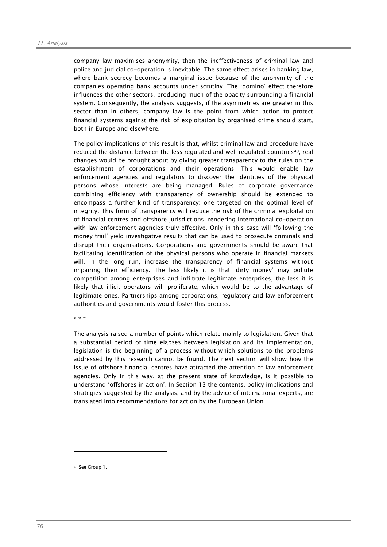company law maximises anonymity, then the ineffectiveness of criminal law and police and judicial co-operation is inevitable. The same effect arises in banking law, where bank secrecy becomes a marginal issue because of the anonymity of the companies operating bank accounts under scrutiny. The 'domino' effect therefore influences the other sectors, producing much of the opacity surrounding a financial system. Consequently, the analysis suggests, if the asymmetries are greater in this sector than in others, company law is the point from which action to protect financial systems against the risk of exploitation by organised crime should start, both in Europe and elsewhere.

The policy implications of this result is that, whilst criminal law and procedure have reduced the distance between the less regulated and well regulated countries<sup>40</sup>, real changes would be brought about by giving greater transparency to the rules on the establishment of corporations and their operations. This would enable law enforcement agencies and regulators to discover the identities of the physical persons whose interests are being managed. Rules of corporate governance combining efficiency with transparency of ownership should be extended to encompass a further kind of transparency: one targeted on the optimal level of integrity. This form of transparency will reduce the risk of the criminal exploitation of financial centres and offshore jurisdictions, rendering international co-operation with law enforcement agencies truly effective. Only in this case will 'following the money trail' yield investigative results that can be used to prosecute criminals and disrupt their organisations. Corporations and governments should be aware that facilitating identification of the physical persons who operate in financial markets will, in the long run, increase the transparency of financial systems without impairing their efficiency. The less likely it is that 'dirty money' may pollute competition among enterprises and infiltrate legitimate enterprises, the less it is likely that illicit operators will proliferate, which would be to the advantage of legitimate ones. Partnerships among corporations, regulatory and law enforcement authorities and governments would foster this process.

\* \* \*

The analysis raised a number of points which relate mainly to legislation. Given that a substantial period of time elapses between legislation and its implementation, legislation is the beginning of a process without which solutions to the problems addressed by this research cannot be found. The next section will show how the issue of offshore financial centres have attracted the attention of law enforcement agencies. Only in this way, at the present state of knowledge, is it possible to understand 'offshores in action'. In Section 13 the contents, policy implications and strategies suggested by the analysis, and by the advice of international experts, are translated into recommendations for action by the European Union.

40 See Group 1.

 $\overline{a}$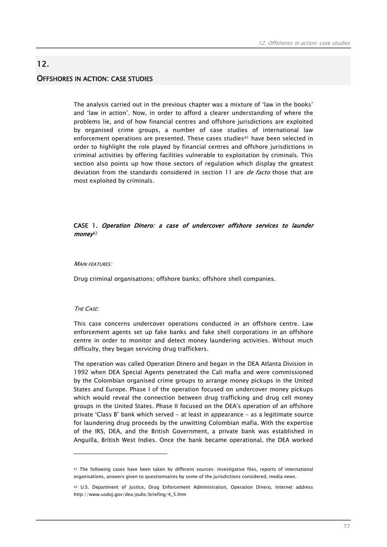## OFFSHORES IN ACTION: CASE STUDIES

12.

The analysis carried out in the previous chapter was a mixture of 'law in the books' and 'law in action'. Now, in order to afford a clearer understanding of where the problems lie, and of how financial centres and offshore jurisdictions are exploited by organised crime groups, a number of case studies of international law enforcement operations are presented. These cases studies<sup>41</sup> have been selected in order to highlight the role played by financial centres and offshore jurisdictions in criminal activities by offering facilities vulnerable to exploitation by criminals. This section also points up how those sectors of regulation which display the greatest deviation from the standards considered in section 11 are *de facto* those that are most exploited by criminals.

## CASE 1. Operation Dinero: a case of undercover offshore services to launder  $m$ oney<sup>42</sup>

#### **MAIN FEATURES:**

Drug criminal organisations; offshore banks; offshore shell companies.

## THE CASE:

 $\overline{a}$ 

This case concerns undercover operations conducted in an offshore centre. Law enforcement agents set up fake banks and fake shell corporations in an offshore centre in order to monitor and detect money laundering activities. Without much difficulty, they began servicing drug traffickers.

The operation was called Operation Dinero and began in the DEA Atlanta Division in 1992 when DEA Special Agents penetrated the Cali mafia and were commissioned by the Colombian organised crime groups to arrange money pickups in the United States and Europe. Phase I of the operation focused on undercover money pickups which would reveal the connection between drug trafficking and drug cell money groups in the United States. Phase II focused on the DEA's operation of an offshore private 'Class B' bank which served - at least in appearance - as a legitimate source for laundering drug proceeds by the unwitting Colombian mafia. With the expertise of the IRS, DEA, and the British Government, a private bank was established in Anguilla, British West Indies. Once the bank became operational, the DEA worked

<sup>41</sup> The following cases have been taken by different sources: investigative files, reports of international organisations, answers given to questionnaires by some of the jurisdictions considered, media news.

<sup>42</sup> U.S. Department of Justice, Drug Enforcement Administration, Operation Dinero, Internet address http://www.usdoj.gov/dea/pubs/briefing/4\_5.htm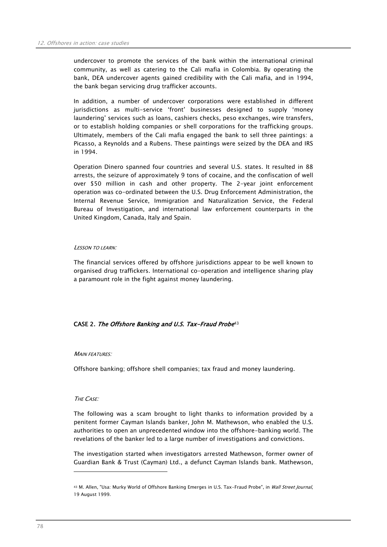undercover to promote the services of the bank within the international criminal community, as well as catering to the Cali mafia in Colombia. By operating the bank, DEA undercover agents gained credibility with the Cali mafia, and in 1994, the bank began servicing drug trafficker accounts.

In addition, a number of undercover corporations were established in different jurisdictions as multi-service 'front' businesses designed to supply 'money laundering' services such as loans, cashiers checks, peso exchanges, wire transfers, or to establish holding companies or shell corporations for the trafficking groups. Ultimately, members of the Cali mafia engaged the bank to sell three paintings: a Picasso, a Reynolds and a Rubens. These paintings were seized by the DEA and IRS in 1994.

Operation Dinero spanned four countries and several U.S. states. It resulted in 88 arrests, the seizure of approximately 9 tons of cocaine, and the confiscation of well over \$50 million in cash and other property. The 2-year joint enforcement operation was co-ordinated between the U.S. Drug Enforcement Administration, the Internal Revenue Service, Immigration and Naturalization Service, the Federal Bureau of Investigation, and international law enforcement counterparts in the United Kingdom, Canada, Italy and Spain.

## LESSON TO LEARN:

The financial services offered by offshore jurisdictions appear to be well known to organised drug traffickers. International co-operation and intelligence sharing play a paramount role in the fight against money laundering.

## CASE 2. The Offshore Banking and U.S. Tax-Fraud Probe<sup>43</sup>

#### **MAIN FEATURES:**

Offshore banking; offshore shell companies; tax fraud and money laundering.

#### THE CASE:

 $\overline{a}$ 

The following was a scam brought to light thanks to information provided by a penitent former Cayman Islands banker, John M. Mathewson, who enabled the U.S. authorities to open an unprecedented window into the offshore-banking world. The revelations of the banker led to a large number of investigations and convictions.

The investigation started when investigators arrested Mathewson, former owner of Guardian Bank & Trust (Cayman) Ltd., a defunct Cayman Islands bank. Mathewson,

<sup>43</sup> M. Allen, "Usa: Murky World of Offshore Banking Emerges in U.S. Tax-Fraud Probe", in Wall Street Journal, 19 August 1999.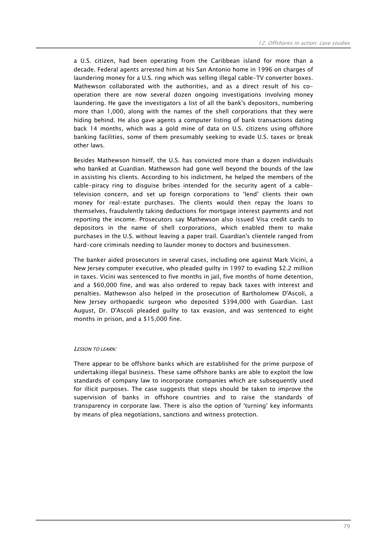a U.S. citizen, had been operating from the Caribbean island for more than a decade. Federal agents arrested him at his San Antonio home in 1996 on charges of laundering money for a U.S. ring which was selling illegal cable-TV converter boxes. Mathewson collaborated with the authorities, and as a direct result of his cooperation there are now several dozen ongoing investigations involving money laundering. He gave the investigators a list of all the bank's depositors, numbering more than 1,000, along with the names of the shell corporations that they were hiding behind. He also gave agents a computer listing of bank transactions dating back 14 months, which was a gold mine of data on U.S. citizens using offshore banking facilities, some of them presumably seeking to evade U.S. taxes or break other laws.

Besides Mathewson himself, the U.S. has convicted more than a dozen individuals who banked at Guardian. Mathewson had gone well beyond the bounds of the law in assisting his clients. According to his indictment, he helped the members of the cable-piracy ring to disguise bribes intended for the security agent of a cabletelevision concern, and set up foreign corporations to 'lend' clients their own money for real-estate purchases. The clients would then repay the loans to themselves, fraudulently taking deductions for mortgage interest payments and not reporting the income. Prosecutors say Mathewson also issued Visa credit cards to depositors in the name of shell corporations, which enabled them to make purchases in the U.S. without leaving a paper trail. Guardian's clientele ranged from hard-core criminals needing to launder money to doctors and businessmen.

The banker aided prosecutors in several cases, including one against Mark Vicini, a New Jersey computer executive, who pleaded guilty in 1997 to evading \$2.2 million in taxes. Vicini was sentenced to five months in jail, five months of home detention, and a \$60,000 fine, and was also ordered to repay back taxes with interest and penalties. Mathewson also helped in the prosecution of Bartholomew D'Ascoli, a New Jersey orthopaedic surgeon who deposited \$394,000 with Guardian. Last August, Dr. D'Ascoli pleaded guilty to tax evasion, and was sentenced to eight months in prison, and a \$15,000 fine.

#### LESSON TO LEARN:

There appear to be offshore banks which are established for the prime purpose of undertaking illegal business. These same offshore banks are able to exploit the low standards of company law to incorporate companies which are subsequently used for illicit purposes. The case suggests that steps should be taken to improve the supervision of banks in offshore countries and to raise the standards of transparency in corporate law. There is also the option of 'turning' key informants by means of plea negotiations, sanctions and witness protection.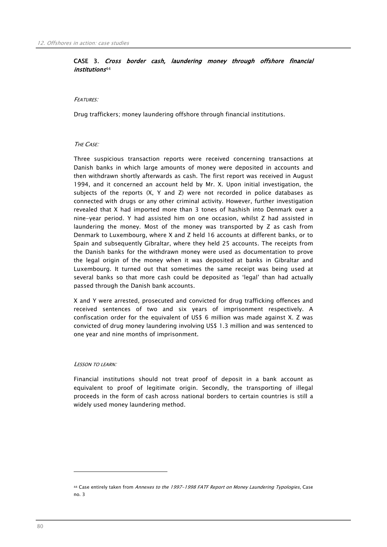## CASE 3. Cross border cash, laundering money through offshore financial institutions44

## FEATURES:

Drug traffickers; money laundering offshore through financial institutions.

## THE CASE:

Three suspicious transaction reports were received concerning transactions at Danish banks in which large amounts of money were deposited in accounts and then withdrawn shortly afterwards as cash. The first report was received in August 1994, and it concerned an account held by Mr. X. Upon initial investigation, the subjects of the reports (X, Y and Z) were not recorded in police databases as connected with drugs or any other criminal activity. However, further investigation revealed that X had imported more than 3 tones of hashish into Denmark over a nine-year period. Y had assisted him on one occasion, whilst Z had assisted in laundering the money. Most of the money was transported by Z as cash from Denmark to Luxembourg, where X and Z held 16 accounts at different banks, or to Spain and subsequently Gibraltar, where they held 25 accounts. The receipts from the Danish banks for the withdrawn money were used as documentation to prove the legal origin of the money when it was deposited at banks in Gibraltar and Luxembourg. It turned out that sometimes the same receipt was being used at several banks so that more cash could be deposited as 'legal' than had actually passed through the Danish bank accounts.

X and Y were arrested, prosecuted and convicted for drug trafficking offences and received sentences of two and six years of imprisonment respectively. A confiscation order for the equivalent of US\$ 6 million was made against X. Z was convicted of drug money laundering involving US\$ 1.3 million and was sentenced to one year and nine months of imprisonment.

#### LESSON TO LEARN:

 $\overline{a}$ 

Financial institutions should not treat proof of deposit in a bank account as equivalent to proof of legitimate origin. Secondly, the transporting of illegal proceeds in the form of cash across national borders to certain countries is still a widely used money laundering method.

<sup>44</sup> Case entirely taken from Annexes to the 1997-1998 FATF Report on Money Laundering Typologies, Case no. 3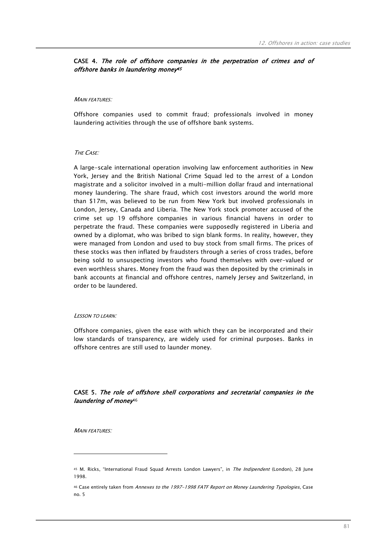## CASE 4. The role of offshore companies in the perpetration of crimes and of offshore banks in laundering money<sup>45</sup>

#### MAIN FEATURES<sup>.</sup>

Offshore companies used to commit fraud; professionals involved in money laundering activities through the use of offshore bank systems.

#### THE CASE:

A large-scale international operation involving law enforcement authorities in New York, Jersey and the British National Crime Squad led to the arrest of a London magistrate and a solicitor involved in a multi-million dollar fraud and international money laundering. The share fraud, which cost investors around the world more than \$17m, was believed to be run from New York but involved professionals in London, Jersey, Canada and Liberia. The New York stock promoter accused of the crime set up 19 offshore companies in various financial havens in order to perpetrate the fraud. These companies were supposedly registered in Liberia and owned by a diplomat, who was bribed to sign blank forms. In reality, however, they were managed from London and used to buy stock from small firms. The prices of these stocks was then inflated by fraudsters through a series of cross trades, before being sold to unsuspecting investors who found themselves with over-valued or even worthless shares. Money from the fraud was then deposited by the criminals in bank accounts at financial and offshore centres, namely Jersey and Switzerland, in order to be laundered.

#### LESSON TO LEARN:

Offshore companies, given the ease with which they can be incorporated and their low standards of transparency, are widely used for criminal purposes. Banks in offshore centres are still used to launder money.

## CASE 5. The role of offshore shell corporations and secretarial companies in the laundering of money<sup>46</sup>

**MAIN FEATURES:** 

 $\overline{a}$ 

<sup>45</sup> M. Ricks, "International Fraud Squad Arrests London Lawyers", in The Indipendent (London), 28 June 1998.

<sup>46</sup> Case entirely taken from Annexes to the 1997-1998 FATF Report on Money Laundering Typologies, Case no. 5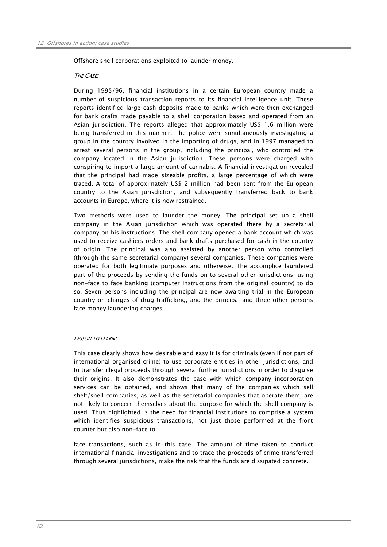Offshore shell corporations exploited to launder money.

## THE CASE:

During 1995/96, financial institutions in a certain European country made a number of suspicious transaction reports to its financial intelligence unit. These reports identified large cash deposits made to banks which were then exchanged for bank drafts made payable to a shell corporation based and operated from an Asian jurisdiction. The reports alleged that approximately US\$ 1.6 million were being transferred in this manner. The police were simultaneously investigating a group in the country involved in the importing of drugs, and in 1997 managed to arrest several persons in the group, including the principal, who controlled the company located in the Asian jurisdiction. These persons were charged with conspiring to import a large amount of cannabis. A financial investigation revealed that the principal had made sizeable profits, a large percentage of which were traced. A total of approximately US\$ 2 million had been sent from the European country to the Asian jurisdiction, and subsequently transferred back to bank accounts in Europe, where it is now restrained.

Two methods were used to launder the money. The principal set up a shell company in the Asian jurisdiction which was operated there by a secretarial company on his instructions. The shell company opened a bank account which was used to receive cashiers orders and bank drafts purchased for cash in the country of origin. The principal was also assisted by another person who controlled (through the same secretarial company) several companies. These companies were operated for both legitimate purposes and otherwise. The accomplice laundered part of the proceeds by sending the funds on to several other jurisdictions, using non-face to face banking (computer instructions from the original country) to do so. Seven persons including the principal are now awaiting trial in the European country on charges of drug trafficking, and the principal and three other persons face money laundering charges.

## LESSON TO LEARN:

This case clearly shows how desirable and easy it is for criminals (even if not part of international organised crime) to use corporate entities in other jurisdictions, and to transfer illegal proceeds through several further jurisdictions in order to disguise their origins. It also demonstrates the ease with which company incorporation services can be obtained, and shows that many of the companies which sell shelf/shell companies, as well as the secretarial companies that operate them, are not likely to concern themselves about the purpose for which the shell company is used. Thus highlighted is the need for financial institutions to comprise a system which identifies suspicious transactions, not just those performed at the front counter but also non-face to

face transactions, such as in this case. The amount of time taken to conduct international financial investigations and to trace the proceeds of crime transferred through several jurisdictions, make the risk that the funds are dissipated concrete.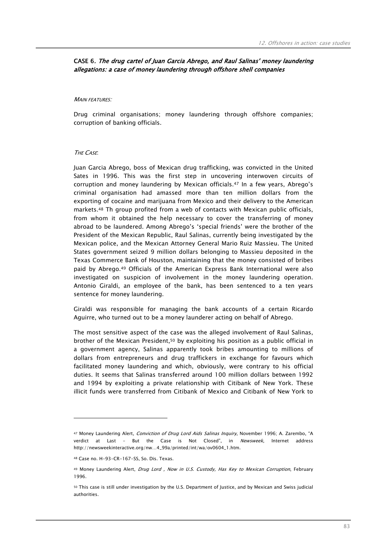## CASE 6. The drug cartel of Juan Garcia Abrego, and Raul Salinas' money laundering allegations: a case of money laundering through offshore shell companies

#### MAIN FEATURES:

Drug criminal organisations; money laundering through offshore companies; corruption of banking officials.

#### THE CASE:

Juan Garcia Abrego, boss of Mexican drug trafficking, was convicted in the United Sates in 1996. This was the first step in uncovering interwoven circuits of corruption and money laundering by Mexican officials.47 In a few years, Abrego's criminal organisation had amassed more than ten million dollars from the exporting of cocaine and marijuana from Mexico and their delivery to the American markets.48 Th group profited from a web of contacts with Mexican public officials, from whom it obtained the help necessary to cover the transferring of money abroad to be laundered. Among Abrego's 'special friends' were the brother of the President of the Mexican Republic, Raul Salinas, currently being investigated by the Mexican police, and the Mexican Attorney General Mario Ruiz Massieu. The United States government seized 9 million dollars belonging to Massieu deposited in the Texas Commerce Bank of Houston, maintaining that the money consisted of bribes paid by Abrego.49 Officials of the American Express Bank International were also investigated on suspicion of involvement in the money laundering operation. Antonio Giraldi, an employee of the bank, has been sentenced to a ten years sentence for money laundering.

Giraldi was responsible for managing the bank accounts of a certain Ricardo Aguirre, who turned out to be a money launderer acting on behalf of Abrego.

The most sensitive aspect of the case was the alleged involvement of Raul Salinas, brother of the Mexican President,50 by exploiting his position as a public official in a government agency, Salinas apparently took bribes amounting to millions of dollars from entrepreneurs and drug traffickers in exchange for favours which facilitated money laundering and which, obviously, were contrary to his official duties. It seems that Salinas transferred around 100 million dollars between 1992 and 1994 by exploiting a private relationship with Citibank of New York. These illicit funds were transferred from Citibank of Mexico and Citibank of New York to

 $\overline{a}$ 

<sup>47</sup> Money Laundering Alert, Conviction of Drug Lord Aids Salinas Inquiry, November 1996; A. Zarembo, "A verdict at Last - But the Case is Not Closed", in Newsweek, Internet address http://newsweekinteractive.org/nw…4\_99a/printed/int/wa/ov0604\_1.htm.

<sup>48</sup> Case no. H-93-CR-167-SS, So. Dis. Texas.

<sup>49</sup> Money Laundering Alert, Drug Lord , Now in U.S. Custody, Has Key to Mexican Corruption, February 1996.

<sup>50</sup> This case is still under investigation by the U.S. Department of Justice, and by Mexican and Swiss judicial authorities.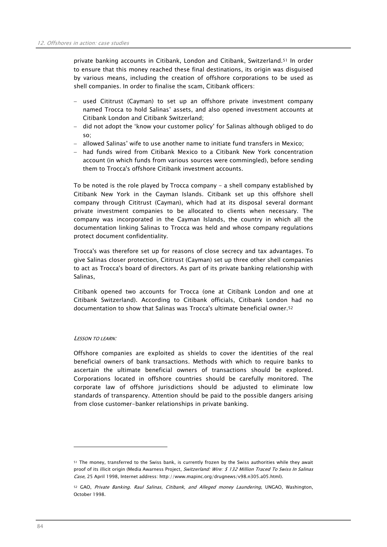private banking accounts in Citibank, London and Citibank, Switzerland.51 In order to ensure that this money reached these final destinations, its origin was disguised by various means, including the creation of offshore corporations to be used as shell companies. In order to finalise the scam, Citibank officers:

- − used Cititrust (Cayman) to set up an offshore private investment company named Trocca to hold Salinas' assets, and also opened investment accounts at Citibank London and Citibank Switzerland;
- − did not adopt the 'know your customer policy' for Salinas although obliged to do so;
- − allowed Salinas' wife to use another name to initiate fund transfers in Mexico;
- − had funds wired from Citibank Mexico to a Citibank New York concentration account (in which funds from various sources were commingled), before sending them to Trocca's offshore Citibank investment accounts.

To be noted is the role played by Trocca company - a shell company established by Citibank New York in the Cayman Islands. Citibank set up this offshore shell company through Cititrust (Cayman), which had at its disposal several dormant private investment companies to be allocated to clients when necessary. The company was incorporated in the Cayman Islands, the country in which all the documentation linking Salinas to Trocca was held and whose company regulations protect document confidentiality.

Trocca's was therefore set up for reasons of close secrecy and tax advantages. To give Salinas closer protection, Cititrust (Cayman) set up three other shell companies to act as Trocca's board of directors. As part of its private banking relationship with Salinas,

Citibank opened two accounts for Trocca (one at Citibank London and one at Citibank Switzerland). According to Citibank officials, Citibank London had no documentation to show that Salinas was Trocca's ultimate beneficial owner.52

## LESSON TO LEARN:

 $\overline{a}$ 

Offshore companies are exploited as shields to cover the identities of the real beneficial owners of bank transactions. Methods with which to require banks to ascertain the ultimate beneficial owners of transactions should be explored. Corporations located in offshore countries should be carefully monitored. The corporate law of offshore jurisdictions should be adjusted to eliminate low standards of transparency. Attention should be paid to the possible dangers arising from close customer-banker relationships in private banking.

<sup>51</sup> The money, transferred to the Swiss bank, is currently frozen by the Swiss authorities while they await proof of its illicit origin (Media Awarness Project, Switzerland: Wire: \$ 132 Million Traced To Swiss In Salinas Case, 25 April 1998, Internet address: http://www.mapinc.org/drugnews/v98.n305.a05.html).

<sup>52</sup> GAO, Private Banking. Raul Salinas, Citibank, and Alleged money Laundering, UNGAO, Washington, October 1998.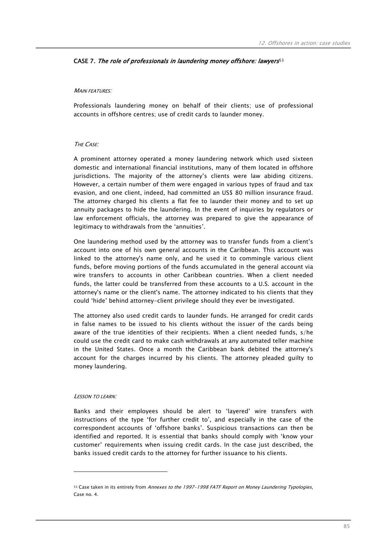## CASE 7. The role of professionals in laundering money offshore: lawyers<sup>53</sup>

## **MAIN FEATURES:**

Professionals laundering money on behalf of their clients; use of professional accounts in offshore centres; use of credit cards to launder money.

## THE CASE:

A prominent attorney operated a money laundering network which used sixteen domestic and international financial institutions, many of them located in offshore jurisdictions. The majority of the attorney's clients were law abiding citizens. However, a certain number of them were engaged in various types of fraud and tax evasion, and one client, indeed, had committed an US\$ 80 million insurance fraud. The attorney charged his clients a flat fee to launder their money and to set up annuity packages to hide the laundering. In the event of inquiries by regulators or law enforcement officials, the attorney was prepared to give the appearance of legitimacy to withdrawals from the 'annuities'.

One laundering method used by the attorney was to transfer funds from a client's account into one of his own general accounts in the Caribbean. This account was linked to the attorney's name only, and he used it to commingle various client funds, before moving portions of the funds accumulated in the general account via wire transfers to accounts in other Caribbean countries. When a client needed funds, the latter could be transferred from these accounts to a U.S. account in the attorney's name or the client's name. The attorney indicated to his clients that they could 'hide' behind attorney-client privilege should they ever be investigated.

The attorney also used credit cards to launder funds. He arranged for credit cards in false names to be issued to his clients without the issuer of the cards being aware of the true identities of their recipients. When a client needed funds, s/he could use the credit card to make cash withdrawals at any automated teller machine in the United States. Once a month the Caribbean bank debited the attorney's account for the charges incurred by his clients. The attorney pleaded guilty to money laundering.

#### LESSON TO LEARN:

 $\overline{a}$ 

Banks and their employees should be alert to 'layered' wire transfers with instructions of the type 'for further credit to', and especially in the case of the correspondent accounts of 'offshore banks'. Suspicious transactions can then be identified and reported. It is essential that banks should comply with 'know your customer' requirements when issuing credit cards. In the case just described, the banks issued credit cards to the attorney for further issuance to his clients.

<sup>53</sup> Case taken in its entirety from Annexes to the 1997-1998 FATF Report on Money Laundering Typologies, Case no. 4.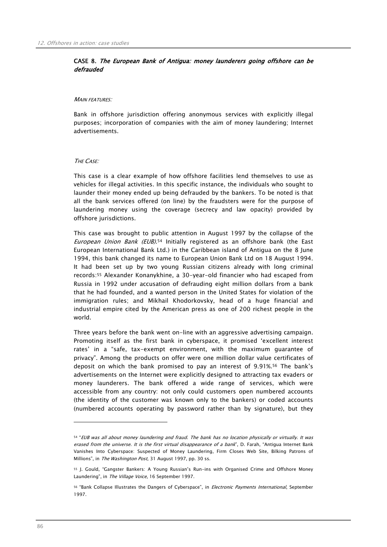## CASE 8. The European Bank of Antigua: money launderers going offshore can be defrauded

#### MAIN FEATURES'

Bank in offshore jurisdiction offering anonymous services with explicitly illegal purposes; incorporation of companies with the aim of money laundering; Internet advertisements.

## THE CASE:

This case is a clear example of how offshore facilities lend themselves to use as vehicles for illegal activities. In this specific instance, the individuals who sought to launder their money ended up being defrauded by the bankers. To be noted is that all the bank services offered (on line) by the fraudsters were for the purpose of laundering money using the coverage (secrecy and law opacity) provided by offshore jurisdictions.

This case was brought to public attention in August 1997 by the collapse of the European Union Bank (EUB).<sup>54</sup> Initially registered as an offshore bank (the East European International Bank Ltd.) in the Caribbean island of Antigua on the 8 June 1994, this bank changed its name to European Union Bank Ltd on 18 August 1994. It had been set up by two young Russian citizens already with long criminal records:55 Alexander Konanykhine, a 30-year-old financier who had escaped from Russia in 1992 under accusation of defrauding eight million dollars from a bank that he had founded, and a wanted person in the United States for violation of the immigration rules; and Mikhail Khodorkovsky, head of a huge financial and industrial empire cited by the American press as one of 200 richest people in the world.

Three years before the bank went on-line with an aggressive advertising campaign. Promoting itself as the first bank in cyberspace, it promised 'excellent interest rates' in a "safe, tax-exempt environment, with the maximum guarantee of privacy". Among the products on offer were one million dollar value certificates of deposit on which the bank promised to pay an interest of 9.91%.56 The bank's advertisements on the Internet were explicitly designed to attracting tax evaders or money launderers. The bank offered a wide range of services, which were accessible from any country: not only could customers open numbered accounts (the identity of the customer was known only to the bankers) or coded accounts (numbered accounts operating by password rather than by signature), but they

 $\overline{a}$ 

<sup>54 &</sup>quot;EUB was all about money laundering and fraud. The bank has no location physically or virtually. It was erased from the universe. It is the first virtual disappearance of a bank", D. Farah, "Antigua Internet Bank Vanishes Into Cyberspace: Suspected of Money Laundering, Firm Closes Web Site, Bilking Patrons of Millions", in The Washington Post, 31 August 1997, pp. 30 ss.

<sup>55</sup> J. Gould, "Gangster Bankers: A Young Russian's Run-ins with Organised Crime and Offshore Money Laundering", in The Village Voice, 16 September 1997.

<sup>56 &</sup>quot;Bank Collapse Illustrates the Dangers of Cyberspace", in *Electronic Payments International*, September 1997.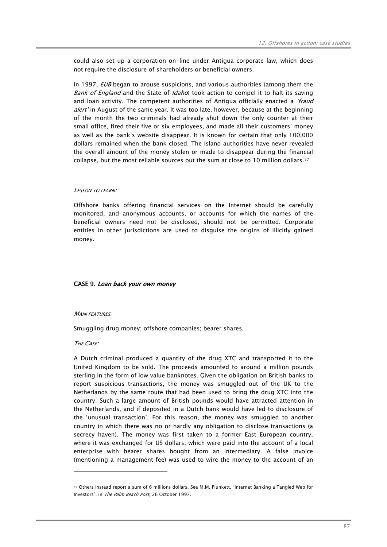could also set up a corporation on-line under Antigua corporate law, which does not require the disclosure of shareholders or beneficial owners.

In 1997,  $EUB$  began to arouse suspicions, and various authorities (among them the Bank of England and the State of *Idaho*) took action to compel it to halt its saving and loan activity. The competent authorities of Antigua officially enacted a 'fraud alert' in August of the same year. It was too late, however, because at the beginning of the month the two criminals had already shut down the only counter at their small office, fired their five or six employees, and made all their customers' money as well as the bank's website disappear. It is known for certain that only 100,000 dollars remained when the bank closed. The island authorities have never revealed the overall amount of the money stolen or made to disappear during the financial collapse, but the most reliable sources put the sum at close to 10 million dollars.57

#### LESSON TO LEARN:

Offshore banks offering financial services on the Internet should be carefully monitored, and anonymous accounts, or accounts for which the names of the beneficial owners need not be disclosed, should not be permitted. Corporate entities in other jurisdictions are used to disguise the origins of illicitly gained money.

## CASE 9. Loan back your own money

#### **MAIN FEATURES**

Smuggling drug money; offshore companies; bearer shares.

#### THE CASE:

 $\overline{a}$ 

A Dutch criminal produced a quantity of the drug XTC and transported it to the United Kingdom to be sold. The proceeds amounted to around a million pounds sterling in the form of low value banknotes. Given the obligation on British banks to report suspicious transactions, the money was smuggled out of the UK to the Netherlands by the same route that had been used to bring the drug XTC into the country. Such a large amount of British pounds would have attracted attention in the Netherlands, and if deposited in a Dutch bank would have led to disclosure of the 'unusual transaction'. For this reason, the money was smuggled to another country in which there was no or hardly any obligation to disclose transactions (a secrecy haven). The money was first taken to a former East European country, where it was exchanged for US dollars, which were paid into the account of a local enterprise with bearer shares bought from an intermediary. A false invoice (mentioning a management fee) was used to wire the money to the account of an

<sup>57</sup> Others instead report a sum of 6 millions dollars. See M.M. Plunkett, "Internet Banking a Tangled Web for Investors", in The Palm Beach Post, 26 October 1997.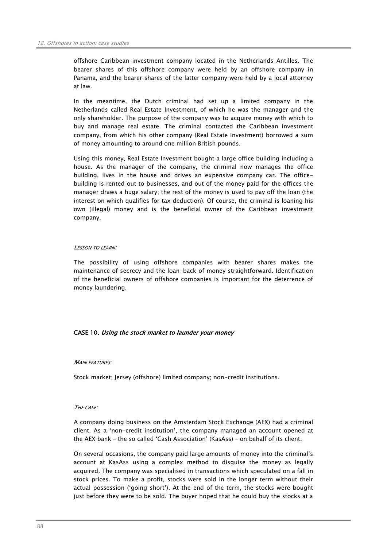offshore Caribbean investment company located in the Netherlands Antilles. The bearer shares of this offshore company were held by an offshore company in Panama, and the bearer shares of the latter company were held by a local attorney at law.

In the meantime, the Dutch criminal had set up a limited company in the Netherlands called Real Estate Investment, of which he was the manager and the only shareholder. The purpose of the company was to acquire money with which to buy and manage real estate. The criminal contacted the Caribbean investment company, from which his other company (Real Estate Investment) borrowed a sum of money amounting to around one million British pounds.

Using this money, Real Estate Investment bought a large office building including a house. As the manager of the company, the criminal now manages the office building, lives in the house and drives an expensive company car. The officebuilding is rented out to businesses, and out of the money paid for the offices the manager draws a huge salary; the rest of the money is used to pay off the loan (the interest on which qualifies for tax deduction). Of course, the criminal is loaning his own (illegal) money and is the beneficial owner of the Caribbean investment company.

## LESSON TO LEARN:

The possibility of using offshore companies with bearer shares makes the maintenance of secrecy and the loan-back of money straightforward. Identification of the beneficial owners of offshore companies is important for the deterrence of money laundering.

## CASE 10. Using the stock market to launder your money

#### **MAIN FEATURES:**

Stock market; Jersey (offshore) limited company; non-credit institutions.

#### THE CASE:

A company doing business on the Amsterdam Stock Exchange (AEX) had a criminal client. As a 'non-credit institution', the company managed an account opened at the AEX bank – the so called 'Cash Association' (KasAss) – on behalf of its client.

On several occasions, the company paid large amounts of money into the criminal's account at KasAss using a complex method to disguise the money as legally acquired. The company was specialised in transactions which speculated on a fall in stock prices. To make a profit, stocks were sold in the longer term without their actual possession ('going short'). At the end of the term, the stocks were bought just before they were to be sold. The buyer hoped that he could buy the stocks at a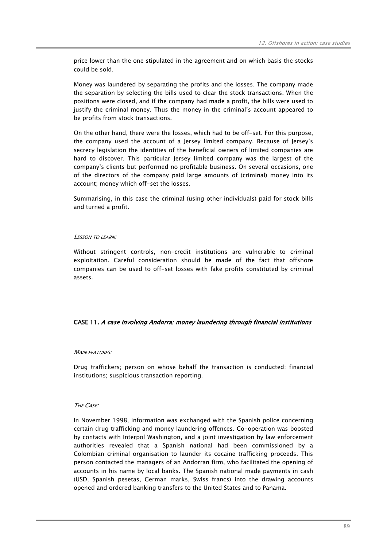price lower than the one stipulated in the agreement and on which basis the stocks could be sold.

Money was laundered by separating the profits and the losses. The company made the separation by selecting the bills used to clear the stock transactions. When the positions were closed, and if the company had made a profit, the bills were used to justify the criminal money. Thus the money in the criminal's account appeared to be profits from stock transactions.

On the other hand, there were the losses, which had to be off-set. For this purpose, the company used the account of a Jersey limited company. Because of Jersey's secrecy legislation the identities of the beneficial owners of limited companies are hard to discover. This particular Jersey limited company was the largest of the company's clients but performed no profitable business. On several occasions, one of the directors of the company paid large amounts of (criminal) money into its account; money which off-set the losses.

Summarising, in this case the criminal (using other individuals) paid for stock bills and turned a profit.

## LESSON TO LEARN:

Without stringent controls, non-credit institutions are vulnerable to criminal exploitation. Careful consideration should be made of the fact that offshore companies can be used to off-set losses with fake profits constituted by criminal assets.

## CASE 11. A case involving Andorra: money laundering through financial institutions

## **MAIN FFATURES:**

Drug traffickers; person on whose behalf the transaction is conducted; financial institutions; suspicious transaction reporting.

## THE CASE:

In November 1998, information was exchanged with the Spanish police concerning certain drug trafficking and money laundering offences. Co-operation was boosted by contacts with Interpol Washington, and a joint investigation by law enforcement authorities revealed that a Spanish national had been commissioned by a Colombian criminal organisation to launder its cocaine trafficking proceeds. This person contacted the managers of an Andorran firm, who facilitated the opening of accounts in his name by local banks. The Spanish national made payments in cash (USD, Spanish pesetas, German marks, Swiss francs) into the drawing accounts opened and ordered banking transfers to the United States and to Panama.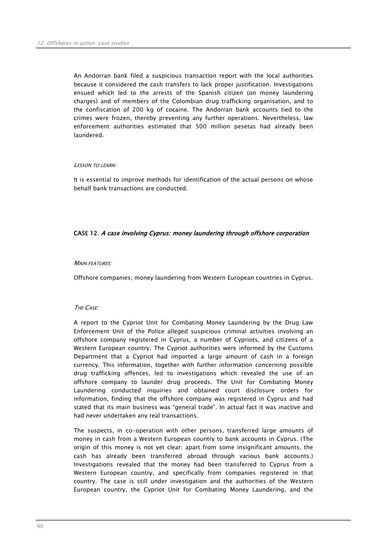An Andorran bank filed a suspicious transaction report with the local authorities because it considered the cash transfers to lack proper justification. Investigations ensued which led to the arrests of the Spanish citizen (on money laundering charges) and of members of the Colombian drug trafficking organisation, and to the confiscation of 200 kg of cocaine. The Andorran bank accounts tied to the crimes were frozen, thereby preventing any further operations. Nevertheless, law enforcement authorities estimated that 500 million pesetas had already been laundered.

#### LESSON TO LEARN:

It is essential to improve methods for identification of the actual persons on whose behalf bank transactions are conducted.

## CASE 12. A case involving Cyprus: money laundering through offshore corporation

#### **MAIN FFATURES:**

Offshore companies; money laundering from Western European countries in Cyprus.

## THE CASE:

A report to the Cypriot Unit for Combating Money Laundering by the Drug Law Enforcement Unit of the Police alleged suspicious criminal activities involving an offshore company registered in Cyprus, a number of Cypriots, and citizens of a Western European country. The Cypriot authorities were informed by the Customs Department that a Cypriot had imported a large amount of cash in a foreign currency. This information, together with further information concerning possible drug trafficking offences, led to investigations which revealed the use of an offshore company to launder drug proceeds. The Unit for Combating Money Laundering conducted inquiries and obtained court disclosure orders for information, finding that the offshore company was registered in Cyprus and had stated that its main business was "general trade". In actual fact it was inactive and had never undertaken any real transactions.

The suspects, in co-operation with other persons, transferred large amounts of money in cash from a Western European country to bank accounts in Cyprus. (The origin of this money is not yet clear: apart from some insignificant amounts, the cash has already been transferred abroad through various bank accounts.) Investigations revealed that the money had been transferred to Cyprus from a Western European country, and specifically from companies registered in that country. The case is still under investigation and the authorities of the Western European country, the Cypriot Unit for Combating Money Laundering, and the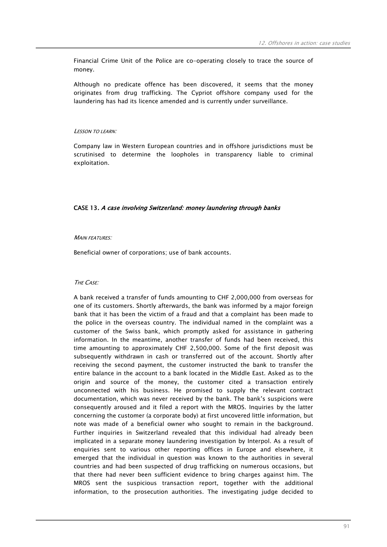Financial Crime Unit of the Police are co-operating closely to trace the source of money.

Although no predicate offence has been discovered, it seems that the money originates from drug trafficking. The Cypriot offshore company used for the laundering has had its licence amended and is currently under surveillance.

#### LESSON TO LEARN:

Company law in Western European countries and in offshore jurisdictions must be scrutinised to determine the loopholes in transparency liable to criminal exploitation.

#### CASE 13. A case involving Switzerland: money laundering through banks

## MAIN FEATURES:

Beneficial owner of corporations; use of bank accounts.

#### THE CASE:

A bank received a transfer of funds amounting to CHF 2,000,000 from overseas for one of its customers. Shortly afterwards, the bank was informed by a major foreign bank that it has been the victim of a fraud and that a complaint has been made to the police in the overseas country. The individual named in the complaint was a customer of the Swiss bank, which promptly asked for assistance in gathering information. In the meantime, another transfer of funds had been received, this time amounting to approximately CHF 2,500,000. Some of the first deposit was subsequently withdrawn in cash or transferred out of the account. Shortly after receiving the second payment, the customer instructed the bank to transfer the entire balance in the account to a bank located in the Middle East. Asked as to the origin and source of the money, the customer cited a transaction entirely unconnected with his business. He promised to supply the relevant contract documentation, which was never received by the bank. The bank's suspicions were consequently aroused and it filed a report with the MROS. Inquiries by the latter concerning the customer (a corporate body) at first uncovered little information, but note was made of a beneficial owner who sought to remain in the background. Further inquiries in Switzerland revealed that this individual had already been implicated in a separate money laundering investigation by Interpol. As a result of enquiries sent to various other reporting offices in Europe and elsewhere, it emerged that the individual in question was known to the authorities in several countries and had been suspected of drug trafficking on numerous occasions, but that there had never been sufficient evidence to bring charges against him. The MROS sent the suspicious transaction report, together with the additional information, to the prosecution authorities. The investigating judge decided to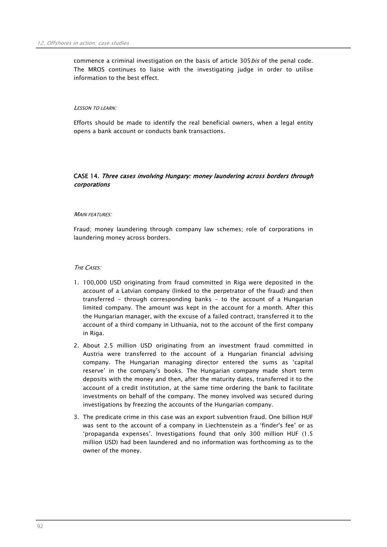commence a criminal investigation on the basis of article 305 bis of the penal code. The MROS continues to liaise with the investigating judge in order to utilise information to the best effect.

#### LESSON TO LEARN:

Efforts should be made to identify the real beneficial owners, when a legal entity opens a bank account or conducts bank transactions.

## CASE 14. Three cases involving Hungary: money laundering across borders through corporations

## MAIN FEATURES<sup>:</sup>

Fraud; money laundering through company law schemes; role of corporations in laundering money across borders.

## THE CASES:

- 1. 100,000 USD originating from fraud committed in Riga were deposited in the account of a Latvian company (linked to the perpetrator of the fraud) and then transferred - through corresponding banks - to the account of a Hungarian limited company. The amount was kept in the account for a month. After this the Hungarian manager, with the excuse of a failed contract, transferred it to the account of a third company in Lithuania, not to the account of the first company in Riga.
- 2. About 2.5 million USD originating from an investment fraud committed in Austria were transferred to the account of a Hungarian financial advising company. The Hungarian managing director entered the sums as 'capital reserve' in the company's books. The Hungarian company made short term deposits with the money and then, after the maturity dates, transferred it to the account of a credit institution, at the same time ordering the bank to facilitate investments on behalf of the company. The money involved was secured during investigations by freezing the accounts of the Hungarian company.
- 3. The predicate crime in this case was an export subvention fraud. One billion HUF was sent to the account of a company in Liechtenstein as a 'finder's fee' or as 'propaganda expenses'. Investigations found that only 300 million HUF (1.5 million USD) had been laundered and no information was forthcoming as to the owner of the money.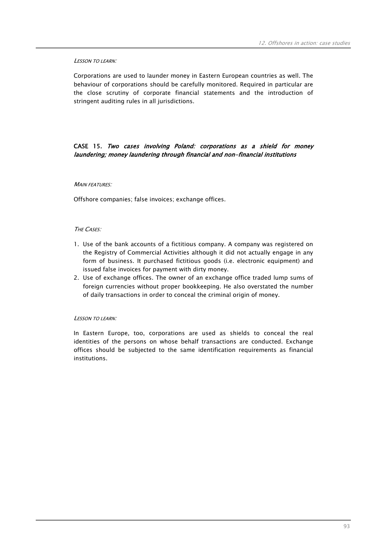## LESSON TO LEARN:

Corporations are used to launder money in Eastern European countries as well. The behaviour of corporations should be carefully monitored. Required in particular are the close scrutiny of corporate financial statements and the introduction of stringent auditing rules in all jurisdictions.

## CASE 15. Two cases involving Poland: corporations as a shield for money laundering; money laundering through financial and non-financial institutions

## **MAIN FEATURES:**

Offshore companies; false invoices; exchange offices.

## THE CASES:

- 1. Use of the bank accounts of a fictitious company. A company was registered on the Registry of Commercial Activities although it did not actually engage in any form of business. It purchased fictitious goods (i.e. electronic equipment) and issued false invoices for payment with dirty money.
- 2. Use of exchange offices. The owner of an exchange office traded lump sums of foreign currencies without proper bookkeeping. He also overstated the number of daily transactions in order to conceal the criminal origin of money.

## LESSON TO LEARN:

In Eastern Europe, too, corporations are used as shields to conceal the real identities of the persons on whose behalf transactions are conducted. Exchange offices should be subjected to the same identification requirements as financial institutions.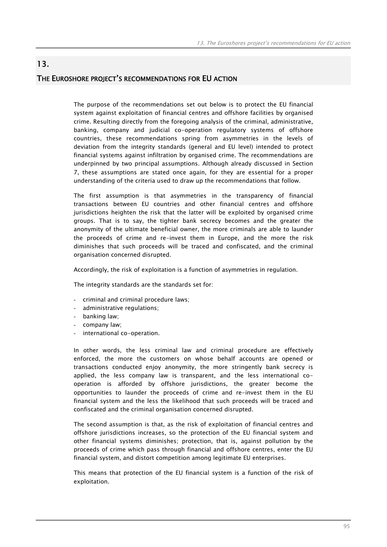# THE EUROSHORE PROJECT'S RECOMMENDATIONS FOR EU ACTION

13.

The purpose of the recommendations set out below is to protect the EU financial system against exploitation of financial centres and offshore facilities by organised crime. Resulting directly from the foregoing analysis of the criminal, administrative, banking, company and judicial co-operation regulatory systems of offshore countries, these recommendations spring from asymmetries in the levels of deviation from the integrity standards (general and EU level) intended to protect financial systems against infiltration by organised crime. The recommendations are underpinned by two principal assumptions. Although already discussed in Section 7, these assumptions are stated once again, for they are essential for a proper understanding of the criteria used to draw up the recommendations that follow.

The first assumption is that asymmetries in the transparency of financial transactions between EU countries and other financial centres and offshore jurisdictions heighten the risk that the latter will be exploited by organised crime groups. That is to say, the tighter bank secrecy becomes and the greater the anonymity of the ultimate beneficial owner, the more criminals are able to launder the proceeds of crime and re-invest them in Europe, and the more the risk diminishes that such proceeds will be traced and confiscated, and the criminal organisation concerned disrupted.

Accordingly, the risk of exploitation is a function of asymmetries in regulation.

The integrity standards are the standards set for:

- criminal and criminal procedure laws;
- administrative regulations;
- banking law;
- company law;
- international co-operation.

In other words, the less criminal law and criminal procedure are effectively enforced, the more the customers on whose behalf accounts are opened or transactions conducted enjoy anonymity, the more stringently bank secrecy is applied, the less company law is transparent, and the less international cooperation is afforded by offshore jurisdictions, the greater become the opportunities to launder the proceeds of crime and re-invest them in the EU financial system and the less the likelihood that such proceeds will be traced and confiscated and the criminal organisation concerned disrupted.

The second assumption is that, as the risk of exploitation of financial centres and offshore jurisdictions increases, so the protection of the EU financial system and other financial systems diminishes; protection, that is, against pollution by the proceeds of crime which pass through financial and offshore centres, enter the EU financial system, and distort competition among legitimate EU enterprises.

This means that protection of the EU financial system is a function of the risk of exploitation.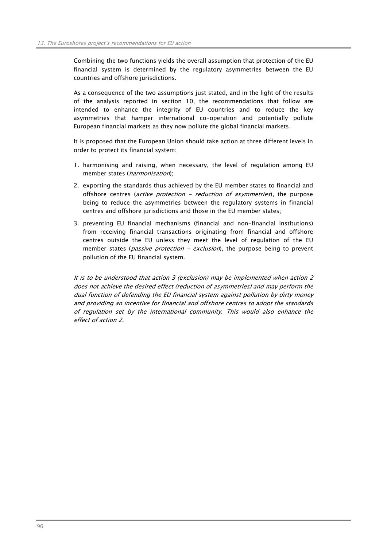Combining the two functions yields the overall assumption that protection of the EU financial system is determined by the regulatory asymmetries between the EU countries and offshore jurisdictions.

As a consequence of the two assumptions just stated, and in the light of the results of the analysis reported in section 10, the recommendations that follow are intended to enhance the integrity of EU countries and to reduce the key asymmetries that hamper international co-operation and potentially pollute European financial markets as they now pollute the global financial markets.

It is proposed that the European Union should take action at three different levels in order to protect its financial system:

- 1. harmonising and raising, when necessary, the level of regulation among EU member states (harmonisation);
- 2. exporting the standards thus achieved by the EU member states to financial and offshore centres (*active protection - reduction of asymmetries*), the purpose being to reduce the asymmetries between the regulatory systems in financial centres and offshore jurisdictions and those in the EU member states;
- 3. preventing EU financial mechanisms (financial and non-financial institutions) from receiving financial transactions originating from financial and offshore centres outside the EU unless they meet the level of regulation of the EU member states (*passive protection - exclusion*), the purpose being to prevent pollution of the EU financial system.

It is to be understood that action 3 (exclusion) may be implemented when action 2 does not achieve the desired effect (reduction of asymmetries) and may perform the dual function of defending the EU financial system against pollution by dirty money and providing an incentive for financial and offshore centres to adopt the standards of regulation set by the international community. This would also enhance the effect of action 2.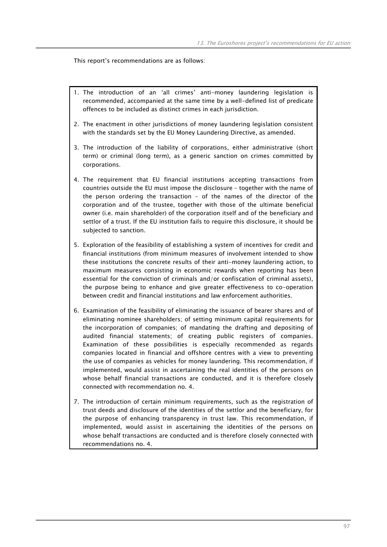This report's recommendations are as follows:

- 1. The introduction of an 'all crimes' anti-money laundering legislation is recommended, accompanied at the same time by a well-defined list of predicate offences to be included as distinct crimes in each jurisdiction.
- 2. The enactment in other jurisdictions of money laundering legislation consistent with the standards set by the EU Money Laundering Directive, as amended.
- 3. The introduction of the liability of corporations, either administrative (short term) or criminal (long term), as a generic sanction on crimes committed by corporations.
- 4. The requirement that EU financial institutions accepting transactions from countries outside the EU must impose the disclosure – together with the name of the person ordering the transaction – of the names of the director of the corporation and of the trustee, together with those of the ultimate beneficial owner (i.e. main shareholder) of the corporation itself and of the beneficiary and settlor of a trust. If the EU institution fails to require this disclosure, it should be subjected to sanction.
- 5. Exploration of the feasibility of establishing a system of incentives for credit and financial institutions (from minimum measures of involvement intended to show these institutions the concrete results of their anti-money laundering action, to maximum measures consisting in economic rewards when reporting has been essential for the conviction of criminals and/or confiscation of criminal assets), the purpose being to enhance and give greater effectiveness to co-operation between credit and financial institutions and law enforcement authorities.
- 6. Examination of the feasibility of eliminating the issuance of bearer shares and of eliminating nominee shareholders; of setting minimum capital requirements for the incorporation of companies; of mandating the drafting and depositing of audited financial statements; of creating public registers of companies. Examination of these possibilities is especially recommended as regards companies located in financial and offshore centres with a view to preventing the use of companies as vehicles for money laundering. This recommendation, if implemented, would assist in ascertaining the real identities of the persons on whose behalf financial transactions are conducted, and it is therefore closely connected with recommendation no. 4.
- 7. The introduction of certain minimum requirements, such as the registration of trust deeds and disclosure of the identities of the settlor and the beneficiary, for the purpose of enhancing transparency in trust law. This recommendation, if implemented, would assist in ascertaining the identities of the persons on whose behalf transactions are conducted and is therefore closely connected with recommendations no. 4.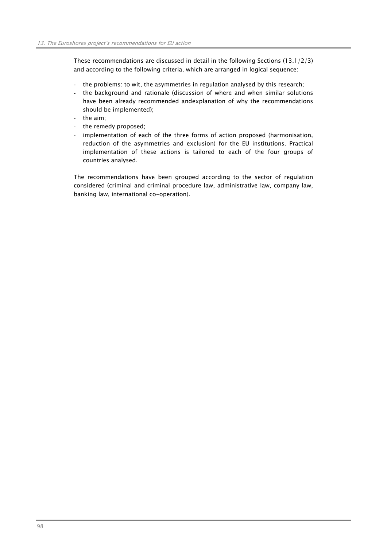These recommendations are discussed in detail in the following Sections (13.1/2/3) and according to the following criteria, which are arranged in logical sequence:

- the problems: to wit, the asymmetries in regulation analysed by this research;
- the background and rationale (discussion of where and when similar solutions have been already recommended andexplanation of why the recommendations should be implemented);
- the aim;
- the remedy proposed;
- implementation of each of the three forms of action proposed (harmonisation, reduction of the asymmetries and exclusion) for the EU institutions. Practical implementation of these actions is tailored to each of the four groups of countries analysed.

The recommendations have been grouped according to the sector of regulation considered (criminal and criminal procedure law, administrative law, company law, banking law, international co-operation).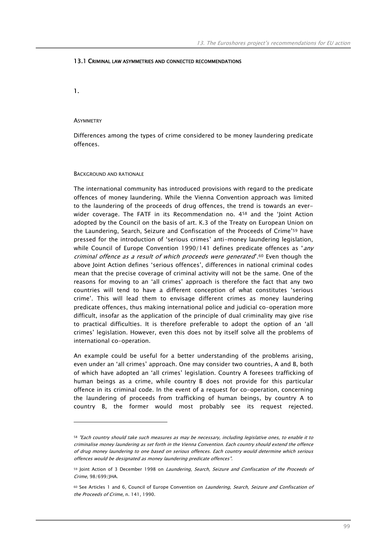## 13.1 CRIMINAL LAW ASYMMETRIES AND CONNECTED RECOMMENDATIONS

1.

 $\overline{a}$ 

#### **ASYMMETRY**

Differences among the types of crime considered to be money laundering predicate offences.

#### BACKGROUND AND RATIONALE

The international community has introduced provisions with regard to the predicate offences of money laundering. While the Vienna Convention approach was limited to the laundering of the proceeds of drug offences, the trend is towards an everwider coverage. The FATF in its Recommendation no. 458 and the 'Joint Action adopted by the Council on the basis of art. K.3 of the Treaty on European Union on the Laundering, Search, Seizure and Confiscation of the Proceeds of Crime'59 have pressed for the introduction of 'serious crimes' anti-money laundering legislation, while Council of Europe Convention 1990/141 defines predicate offences as " $any$ criminal offence as a result of which proceeds were generated".60 Even though the above Joint Action defines 'serious offences', differences in national criminal codes mean that the precise coverage of criminal activity will not be the same. One of the reasons for moving to an 'all crimes' approach is therefore the fact that any two countries will tend to have a different conception of what constitutes 'serious crime'. This will lead them to envisage different crimes as money laundering predicate offences, thus making international police and judicial co-operation more difficult, insofar as the application of the principle of dual criminality may give rise to practical difficulties. It is therefore preferable to adopt the option of an 'all crimes' legislation. However, even this does not by itself solve all the problems of international co-operation.

An example could be useful for a better understanding of the problems arising, even under an 'all crimes' approach. One may consider two countries, A and B, both of which have adopted an 'all crimes' legislation. Country A foresees trafficking of human beings as a crime, while country B does not provide for this particular offence in its criminal code. In the event of a request for co-operation, concerning the laundering of proceeds from trafficking of human beings, by country A to country B, the former would most probably see its request rejected.

<sup>58</sup> "Each country should take such measures as may be necessary, including legislative ones, to enable it to criminalise money laundering as set forth in the Vienna Convention. Each country should extend the offence of drug money laundering to one based on serious offences. Each country would determine which serious offences would be designated as money laundering predicate offences".

<sup>59</sup> Joint Action of 3 December 1998 on Laundering, Search, Seizure and Confiscation of the Proceeds of Crime, 98/699/JHA.

<sup>60</sup> See Articles 1 and 6, Council of Europe Convention on Laundering, Search, Seizure and Confiscation of the Proceeds of Crime, n. 141, 1990.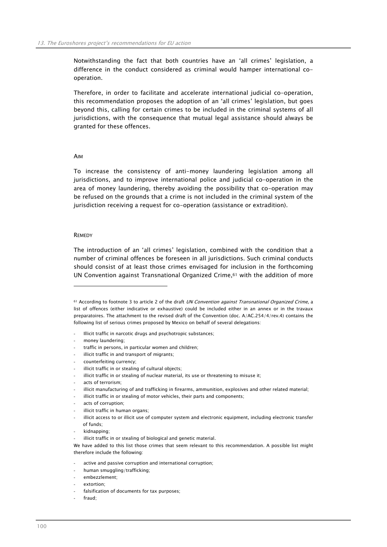Notwithstanding the fact that both countries have an 'all crimes' legislation, a difference in the conduct considered as criminal would hamper international cooperation.

Therefore, in order to facilitate and accelerate international judicial co-operation, this recommendation proposes the adoption of an 'all crimes' legislation, but goes beyond this, calling for certain crimes to be included in the criminal systems of all jurisdictions, with the consequence that mutual legal assistance should always be granted for these offences.

#### AIM

To increase the consistency of anti-money laundering legislation among all jurisdictions, and to improve international police and judicial co-operation in the area of money laundering, thereby avoiding the possibility that co-operation may be refused on the grounds that a crime is not included in the criminal system of the jurisdiction receiving a request for co-operation (assistance or extradition).

#### **REMEDY**

 $\overline{a}$ 

The introduction of an 'all crimes' legislation, combined with the condition that a number of criminal offences be foreseen in all jurisdictions. Such criminal conducts should consist of at least those crimes envisaged for inclusion in the forthcoming UN Convention against Transnational Organized Crime, $61$  with the addition of more

61 According to footnote 3 to article 2 of the draft UN Convention against Transnational Organized Crime, a list of offences (either indicative or exhaustive) could be included either in an annex or in the travaux preparatoires. The attachment to the revised draft of the Convention (doc. A/AC.254/4/rev.4) contains the following list of serious crimes proposed by Mexico on behalf of several delegations:

- Illicit traffic in narcotic drugs and psychotropic substances;
- money laundering:
- traffic in persons, in particular women and children;
- illicit traffic in and transport of migrants;
- counterfeiting currency;
- illicit traffic in or stealing of cultural objects;
- illicit traffic in or stealing of nuclear material, its use or threatening to misuse it;
- acts of terrorism:
- illicit manufacturing of and trafficking in firearms, ammunition, explosives and other related material;
- illicit traffic in or stealing of motor vehicles, their parts and components;
- acts of corruption;
- illicit traffic in human organs;
- illicit access to or illicit use of computer system and electronic equipment, including electronic transfer of funds;
- kidnapping;
- illicit traffic in or stealing of biological and genetic material.

- active and passive corruption and international corruption;
- human smuggling/trafficking;
- embezzlement;
- extortion:
- falsification of documents for tax purposes;
- fraud:

We have added to this list those crimes that seem relevant to this recommendation. A possible list might therefore include the following: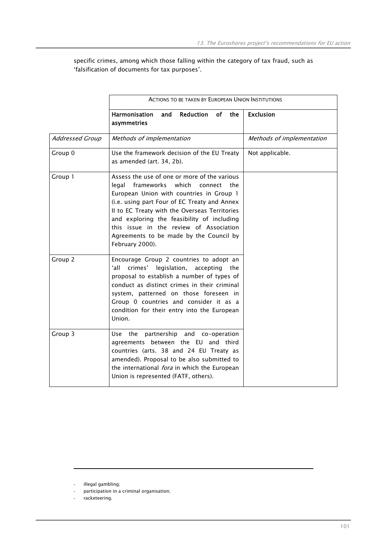specific crimes, among which those falling within the category of tax fraud, such as 'falsification of documents for tax purposes'.

|                        | <b>ACTIONS TO BE TAKEN BY EUROPEAN UNION INSTITUTIONS</b>                                                                                                                                                                                                                                                                                                                                       |                           |  |
|------------------------|-------------------------------------------------------------------------------------------------------------------------------------------------------------------------------------------------------------------------------------------------------------------------------------------------------------------------------------------------------------------------------------------------|---------------------------|--|
|                        | Reduction<br><b>of</b><br><b>Harmonisation</b><br>and<br>the<br>asymmetries                                                                                                                                                                                                                                                                                                                     | <b>Exclusion</b>          |  |
| <b>Addressed Group</b> | Methods of implementation                                                                                                                                                                                                                                                                                                                                                                       | Methods of implementation |  |
| Group 0                | Use the framework decision of the EU Treaty<br>as amended (art. 34, 2b).                                                                                                                                                                                                                                                                                                                        | Not applicable.           |  |
| Group 1                | Assess the use of one or more of the various<br>frameworks which<br>legal<br>the<br>connect<br>European Union with countries in Group 1<br>(i.e. using part Four of EC Treaty and Annex<br>II to EC Treaty with the Overseas Territories<br>and exploring the feasibility of including<br>this issue in the review of Association<br>Agreements to be made by the Council by<br>February 2000). |                           |  |
| Group 2                | Encourage Group 2 countries to adopt an<br>ʻall<br>crimes'<br>legislation,<br>accepting<br>the<br>proposal to establish a number of types of<br>conduct as distinct crimes in their criminal<br>system, patterned on those foreseen in<br>Group 0 countries and consider it as a<br>condition for their entry into the European<br>Union.                                                       |                           |  |
| Group 3                | the<br>partnership and co-operation<br>Use<br>agreements between the EU and third<br>countries (arts. 38 and 24 EU Treaty as<br>amended). Proposal to be also submitted to<br>the international <i>fora</i> in which the European<br>Union is represented (FATF, others).                                                                                                                       |                           |  |

 $\overline{a}$ 

illegal gambling;

participation in a criminal organisation;

racketeering.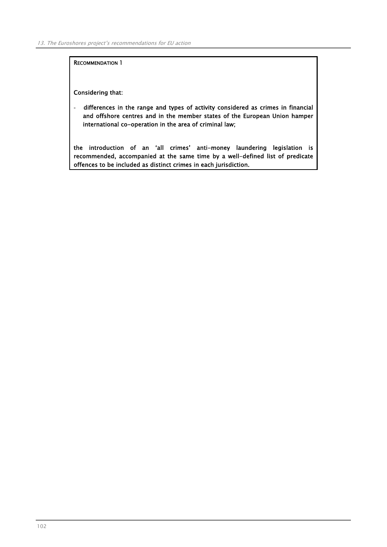RECOMMENDATION 1

Considering that:

- differences in the range and types of activity considered as crimes in financial and offshore centres and in the member states of the European Union hamper international co-operation in the area of criminal law;

the introduction of an 'all crimes' anti-money laundering legislation is recommended, accompanied at the same time by a well-defined list of predicate offences to be included as distinct crimes in each jurisdiction.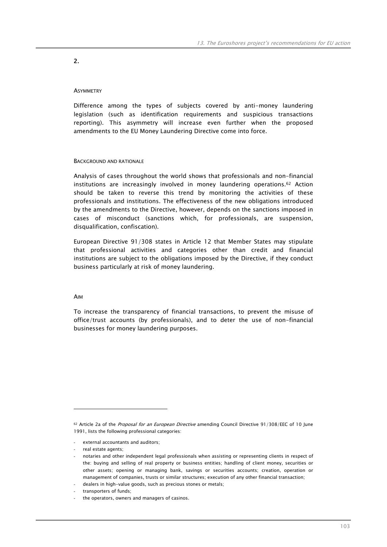## 2.

## **ASYMMETRY**

Difference among the types of subjects covered by anti-money laundering legislation (such as identification requirements and suspicious transactions reporting). This asymmetry will increase even further when the proposed amendments to the EU Money Laundering Directive come into force.

## BACKGROUND AND RATIONALE

Analysis of cases throughout the world shows that professionals and non-financial institutions are increasingly involved in money laundering operations.62 Action should be taken to reverse this trend by monitoring the activities of these professionals and institutions. The effectiveness of the new obligations introduced by the amendments to the Directive, however, depends on the sanctions imposed in cases of misconduct (sanctions which, for professionals, are suspension, disqualification, confiscation).

European Directive 91/308 states in Article 12 that Member States may stipulate that professional activities and categories other than credit and financial institutions are subject to the obligations imposed by the Directive, if they conduct business particularly at risk of money laundering.

## AIM

 $\overline{a}$ 

To increase the transparency of financial transactions, to prevent the misuse of office/trust accounts (by professionals), and to deter the use of non-financial businesses for money laundering purposes.

external accountants and auditors;

<sup>62</sup> Article 2a of the Proposal for an European Directive amending Council Directive 91/308/EEC of 10 June 1991, lists the following professional categories:

<sup>-</sup> real estate agents;

<sup>-</sup> notaries and other independent legal professionals when assisting or representing clients in respect of the: buying and selling of real property or business entities; handling of client money, securities or other assets; opening or managing bank, savings or securities accounts; creation, operation or management of companies, trusts or similar structures; execution of any other financial transaction;

dealers in high-value goods, such as precious stones or metals;

<sup>-</sup> transporters of funds;

the operators, owners and managers of casinos.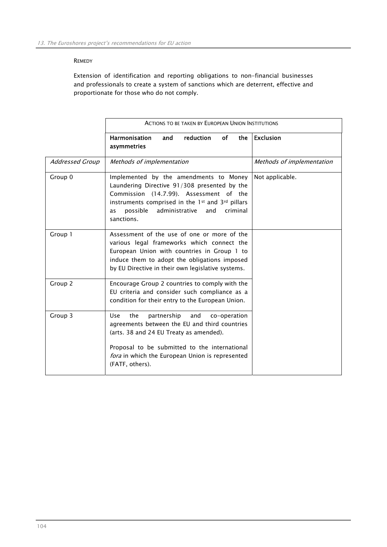## **REMEDY**

Extension of identification and reporting obligations to non-financial businesses and professionals to create a system of sanctions which are deterrent, effective and proportionate for those who do not comply.

|                        | <b>ACTIONS TO BE TAKEN BY EUROPEAN UNION INSTITUTIONS</b>                                                                                                                                                                                                                  |                           |  |  |
|------------------------|----------------------------------------------------------------------------------------------------------------------------------------------------------------------------------------------------------------------------------------------------------------------------|---------------------------|--|--|
|                        | <b>of</b><br>Harmonisation<br><b>reduction</b><br>the<br>and<br>asymmetries                                                                                                                                                                                                | <b>Exclusion</b>          |  |  |
| <b>Addressed Group</b> | Methods of implementation                                                                                                                                                                                                                                                  | Methods of implementation |  |  |
| Group 0                | Implemented by the amendments to Money<br>Laundering Directive 91/308 presented by the<br>Commission (14.7.99). Assessment of the<br>instruments comprised in the 1st and 3rd pillars<br>administrative<br>possible<br>criminal<br>and<br>as<br>sanctions.                 | Not applicable.           |  |  |
| Group 1                | Assessment of the use of one or more of the<br>various legal frameworks which connect the<br>European Union with countries in Group 1 to<br>induce them to adopt the obligations imposed<br>by EU Directive in their own legislative systems.                              |                           |  |  |
| Group 2                | Encourage Group 2 countries to comply with the<br>EU criteria and consider such compliance as a<br>condition for their entry to the European Union.                                                                                                                        |                           |  |  |
| Group 3                | the<br>partnership<br>and<br><b>Use</b><br>co-operation<br>agreements between the EU and third countries<br>(arts. 38 and 24 EU Treaty as amended).<br>Proposal to be submitted to the international<br>fora in which the European Union is represented<br>(FATF, others). |                           |  |  |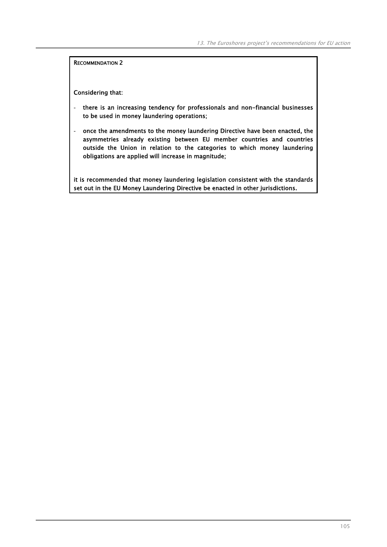Considering that:

- there is an increasing tendency for professionals and non-financial businesses to be used in money laundering operations;
- once the amendments to the money laundering Directive have been enacted, the asymmetries already existing between EU member countries and countries outside the Union in relation to the categories to which money laundering obligations are applied will increase in magnitude;

it is recommended that money laundering legislation consistent with the standards set out in the EU Money Laundering Directive be enacted in other jurisdictions.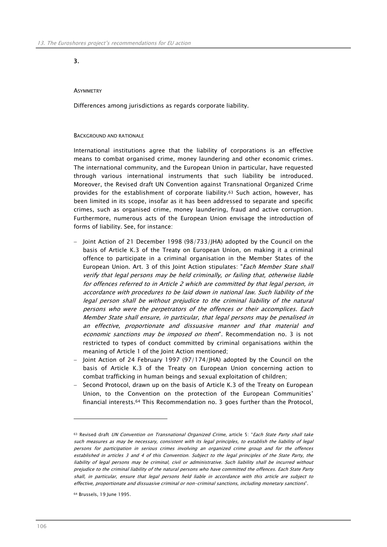# 3.

## **ASYMMETRY**

Differences among jurisdictions as regards corporate liability.

#### BACKGROUND AND RATIONALE

International institutions agree that the liability of corporations is an effective means to combat organised crime, money laundering and other economic crimes. The international community, and the European Union in particular, have requested through various international instruments that such liability be introduced. Moreover, the Revised draft UN Convention against Transnational Organized Crime provides for the establishment of corporate liability.63 Such action, however, has been limited in its scope, insofar as it has been addressed to separate and specific crimes, such as organised crime, money laundering, fraud and active corruption. Furthermore, numerous acts of the European Union envisage the introduction of forms of liability. See, for instance:

- − Joint Action of 21 December 1998 (98/733/JHA) adopted by the Council on the basis of Article K.3 of the Treaty on European Union, on making it a criminal offence to participate in a criminal organisation in the Member States of the European Union. Art. 3 of this Joint Action stipulates: "Each Member State shall verify that legal persons may be held criminally, or failing that, otherwise liable for offences referred to in Article 2 which are committed by that legal person, in accordance with procedures to be laid down in national law. Such liability of the legal person shall be without prejudice to the criminal liability of the natural persons who were the perpetrators of the offences or their accomplices. Each Member State shall ensure, in particular, that legal persons may be penalised in an effective, proportionate and dissuasive manner and that material and economic sanctions may be imposed on them". Recommendation no. 3 is not restricted to types of conduct committed by criminal organisations within the meaning of Article 1 of the Joint Action mentioned;
- − Joint Action of 24 February 1997 (97/174/JHA) adopted by the Council on the basis of Article K.3 of the Treaty on European Union concerning action to combat trafficking in human beings and sexual exploitation of children;
- Second Protocol, drawn up on the basis of Article K.3 of the Treaty on European Union, to the Convention on the protection of the European Communities' financial interests.64 This Recommendation no. 3 goes further than the Protocol,

 $\overline{a}$ 

<sup>63</sup> Revised draft UN Convention on Transnational Organized Crime, article 5: "Each State Party shall take such measures as may be necessary, consistent with its legal principles, to establish the liability of legal persons for participation in serious crimes involving an organized crime group and for the offences established in articles 3 and 4 of this Convention. Subject to the legal principles of the State Party, the liability of legal persons may be criminal, civil or administrative. Such liability shall be incurred without prejudice to the criminal liability of the natural persons who have committed the offences. Each State Party shall, in particular, ensure that legal persons held liable in accordance with this article are subject to effective, proportionate and dissuasive criminal or non-criminal sanctions, including monetary sanctions".

<sup>64</sup> Brussels, 19 June 1995.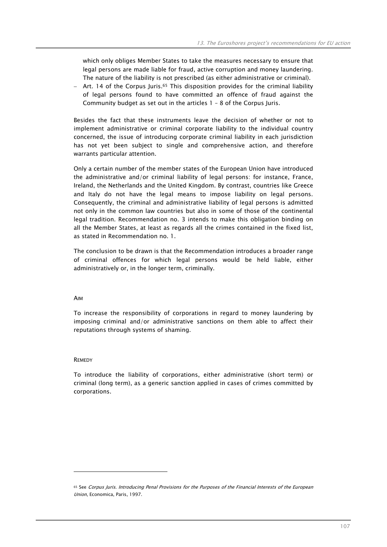which only obliges Member States to take the measures necessary to ensure that legal persons are made liable for fraud, active corruption and money laundering. The nature of the liability is not prescribed (as either administrative or criminal).

− Art. 14 of the Corpus Juris.65 This disposition provides for the criminal liability of legal persons found to have committed an offence of fraud against the Community budget as set out in the articles 1 – 8 of the Corpus Juris.

Besides the fact that these instruments leave the decision of whether or not to implement administrative or criminal corporate liability to the individual country concerned, the issue of introducing corporate criminal liability in each jurisdiction has not yet been subject to single and comprehensive action, and therefore warrants particular attention.

Only a certain number of the member states of the European Union have introduced the administrative and/or criminal liability of legal persons: for instance, France, Ireland, the Netherlands and the United Kingdom. By contrast, countries like Greece and Italy do not have the legal means to impose liability on legal persons. Consequently, the criminal and administrative liability of legal persons is admitted not only in the common law countries but also in some of those of the continental legal tradition. Recommendation no. 3 intends to make this obligation binding on all the Member States, at least as regards all the crimes contained in the fixed list, as stated in Recommendation no. 1.

The conclusion to be drawn is that the Recommendation introduces a broader range of criminal offences for which legal persons would be held liable, either administratively or, in the longer term, criminally.

### AIM

To increase the responsibility of corporations in regard to money laundering by imposing criminal and/or administrative sanctions on them able to affect their reputations through systems of shaming.

### **REMEDY**

 $\overline{a}$ 

To introduce the liability of corporations, either administrative (short term) or criminal (long term), as a generic sanction applied in cases of crimes committed by corporations.

<sup>65</sup> See Corpus Juris. Introducing Penal Provisions for the Purposes of the Financial Interests of the European Union, Economica, Paris, 1997.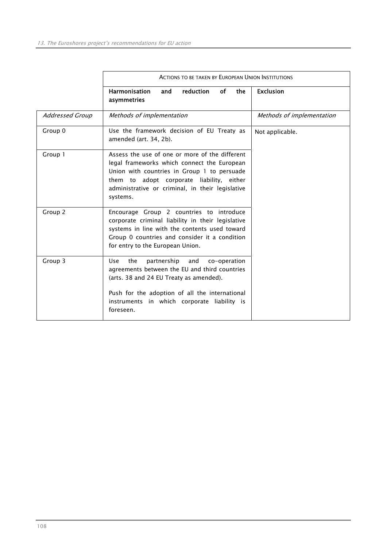|                        | <b>ACTIONS TO BE TAKEN BY EUROPEAN UNION INSTITUTIONS</b>                                                                                                                                                                                                         |                           |
|------------------------|-------------------------------------------------------------------------------------------------------------------------------------------------------------------------------------------------------------------------------------------------------------------|---------------------------|
|                        | <b>of</b><br><b>Harmonisation</b><br>reduction<br>the<br>and<br>asymmetries                                                                                                                                                                                       | <b>Exclusion</b>          |
| <b>Addressed Group</b> | Methods of implementation                                                                                                                                                                                                                                         | Methods of implementation |
| Group 0                | Use the framework decision of EU Treaty as<br>amended (art. 34, 2b).                                                                                                                                                                                              | Not applicable.           |
| Group 1                | Assess the use of one or more of the different<br>legal frameworks which connect the European<br>Union with countries in Group 1 to persuade<br>them to adopt corporate liability, either<br>administrative or criminal, in their legislative<br>systems.         |                           |
| Group 2                | Encourage Group 2 countries to introduce<br>corporate criminal liability in their legislative<br>systems in line with the contents used toward<br>Group 0 countries and consider it a condition<br>for entry to the European Union.                               |                           |
| Group 3                | the<br>partnership<br>and<br><b>Use</b><br>co-operation<br>agreements between the EU and third countries<br>(arts. 38 and 24 EU Treaty as amended).<br>Push for the adoption of all the international<br>instruments in which corporate liability is<br>foreseen. |                           |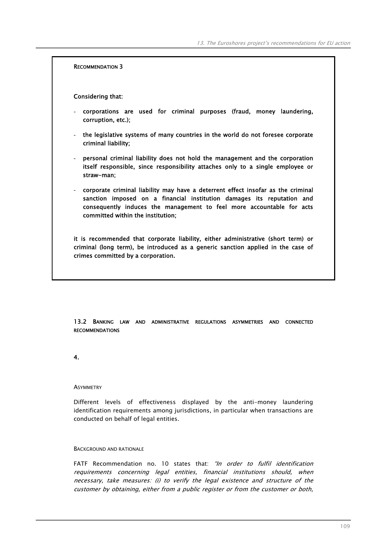Considering that:

- corporations are used for criminal purposes (fraud, money laundering, corruption, etc.);
- the legislative systems of many countries in the world do not foresee corporate criminal liability;
- personal criminal liability does not hold the management and the corporation itself responsible, since responsibility attaches only to a single employee or straw-man;
- corporate criminal liability may have a deterrent effect insofar as the criminal sanction imposed on a financial institution damages its reputation and consequently induces the management to feel more accountable for acts committed within the institution;

it is recommended that corporate liability, either administrative (short term) or criminal (long term), be introduced as a generic sanction applied in the case of crimes committed by a corporation.

13.2 BANKING LAW AND ADMINISTRATIVE REGULATIONS ASYMMETRIES AND CONNECTED RECOMMENDATIONS

4.

## **ASYMMETRY**

Different levels of effectiveness displayed by the anti-money laundering identification requirements among jurisdictions, in particular when transactions are conducted on behalf of legal entities.

BACKGROUND AND RATIONALE

FATF Recommendation no. 10 states that: "In order to fulfil identification requirements concerning legal entities, financial institutions should, when necessary, take measures: (i) to verify the legal existence and structure of the customer by obtaining, either from a public register or from the customer or both,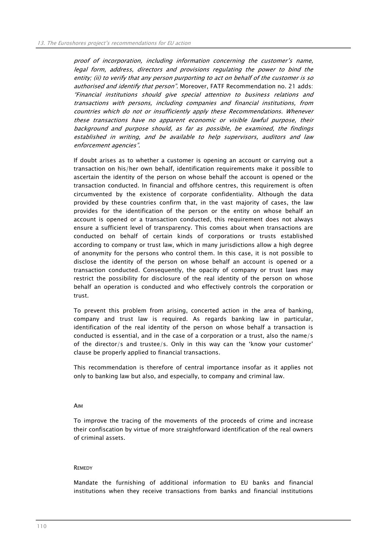proof of incorporation, including information concerning the customer's name, legal form, address, directors and provisions regulating the power to bind the entity; (ii) to verify that any person purporting to act on behalf of the customer is so authorised and identify that person". Moreover, FATF Recommendation no. 21 adds: "Financial institutions should give special attention to business relations and transactions with persons, including companies and financial institutions, from countries which do not or insufficiently apply these Recommendations. Whenever these transactions have no apparent economic or visible lawful purpose, their background and purpose should, as far as possible, be examined, the findings established in writing, and be available to help supervisors, auditors and law enforcement agencies".

If doubt arises as to whether a customer is opening an account or carrying out a transaction on his/her own behalf, identification requirements make it possible to ascertain the identity of the person on whose behalf the account is opened or the transaction conducted. In financial and offshore centres, this requirement is often circumvented by the existence of corporate confidentiality. Although the data provided by these countries confirm that, in the vast majority of cases, the law provides for the identification of the person or the entity on whose behalf an account is opened or a transaction conducted, this requirement does not always ensure a sufficient level of transparency. This comes about when transactions are conducted on behalf of certain kinds of corporations or trusts established according to company or trust law, which in many jurisdictions allow a high degree of anonymity for the persons who control them. In this case, it is not possible to disclose the identity of the person on whose behalf an account is opened or a transaction conducted. Consequently, the opacity of company or trust laws may restrict the possibility for disclosure of the real identity of the person on whose behalf an operation is conducted and who effectively controls the corporation or trust.

To prevent this problem from arising, concerted action in the area of banking, company and trust law is required. As regards banking law in particular, identification of the real identity of the person on whose behalf a transaction is conducted is essential, and in the case of a corporation or a trust, also the name/s of the director/s and trustee/s. Only in this way can the 'know your customer' clause be properly applied to financial transactions.

This recommendation is therefore of central importance insofar as it applies not only to banking law but also, and especially, to company and criminal law.

### AIM

To improve the tracing of the movements of the proceeds of crime and increase their confiscation by virtue of more straightforward identification of the real owners of criminal assets.

## **REMEDY**

Mandate the furnishing of additional information to EU banks and financial institutions when they receive transactions from banks and financial institutions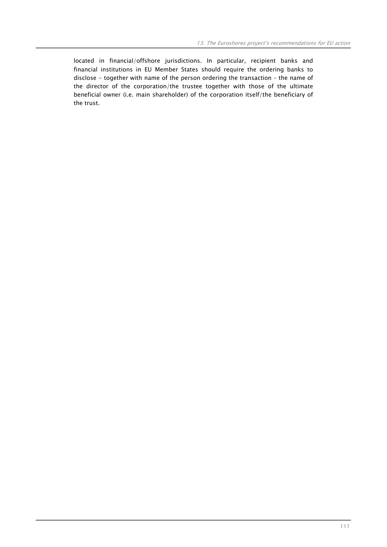located in financial/offshore jurisdictions. In particular, recipient banks and financial institutions in EU Member States should require the ordering banks to disclose - together with name of the person ordering the transaction – the name of the director of the corporation/the trustee together with those of the ultimate beneficial owner (i.e. main shareholder) of the corporation itself/the beneficiary of the trust.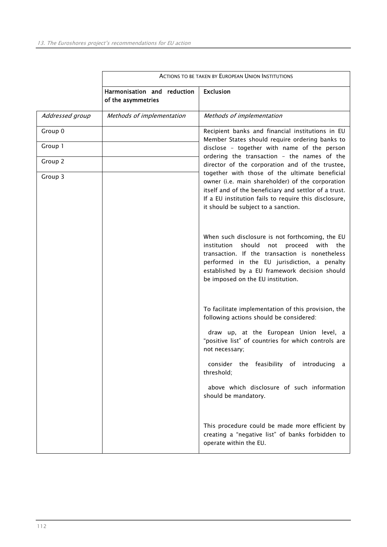|                 | <b>ACTIONS TO BE TAKEN BY EUROPEAN UNION INSTITUTIONS</b> |                                                                                                                                                                                                                                                                                               |  |  |
|-----------------|-----------------------------------------------------------|-----------------------------------------------------------------------------------------------------------------------------------------------------------------------------------------------------------------------------------------------------------------------------------------------|--|--|
|                 | Harmonisation and reduction<br>of the asymmetries         | <b>Exclusion</b>                                                                                                                                                                                                                                                                              |  |  |
| Addressed group | Methods of implementation                                 | Methods of implementation                                                                                                                                                                                                                                                                     |  |  |
| Group 0         |                                                           | Recipient banks and financial institutions in EU<br>Member States should require ordering banks to                                                                                                                                                                                            |  |  |
| Group 1         |                                                           | disclose - together with name of the person                                                                                                                                                                                                                                                   |  |  |
| Group 2         |                                                           | ordering the transaction - the names of the<br>director of the corporation and of the trustee,                                                                                                                                                                                                |  |  |
| Group 3         |                                                           | together with those of the ultimate beneficial<br>owner (i.e. main shareholder) of the corporation<br>itself and of the beneficiary and settlor of a trust.<br>If a EU institution fails to require this disclosure,<br>it should be subject to a sanction.                                   |  |  |
|                 |                                                           | When such disclosure is not forthcoming, the EU<br>institution<br>should<br>proceed<br>with the<br>not<br>transaction. If the transaction is nonetheless<br>performed in the EU jurisdiction, a penalty<br>established by a EU framework decision should<br>be imposed on the EU institution. |  |  |
|                 |                                                           | To facilitate implementation of this provision, the<br>following actions should be considered:                                                                                                                                                                                                |  |  |
|                 |                                                           | draw up, at the European Union level, a<br>"positive list" of countries for which controls are<br>not necessary;                                                                                                                                                                              |  |  |
|                 |                                                           | consider the feasibility of introducing a<br>threshold;                                                                                                                                                                                                                                       |  |  |
|                 |                                                           | above which disclosure of such information<br>should be mandatory.                                                                                                                                                                                                                            |  |  |
|                 |                                                           | This procedure could be made more efficient by<br>creating a "negative list" of banks forbidden to<br>operate within the EU.                                                                                                                                                                  |  |  |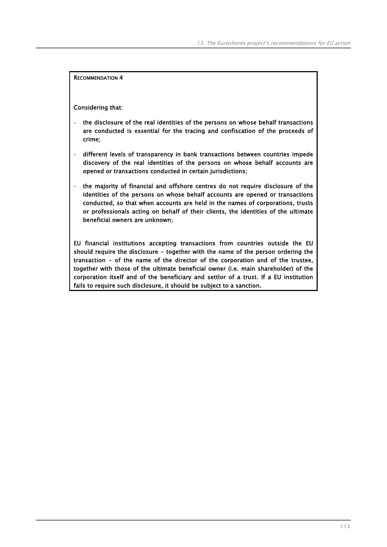Considering that:

- the disclosure of the real identities of the persons on whose behalf transactions are conducted is essential for the tracing and confiscation of the proceeds of crime;
- different levels of transparency in bank transactions between countries impede discovery of the real identities of the persons on whose behalf accounts are opened or transactions conducted in certain jurisdictions;
- the majority of financial and offshore centres do not require disclosure of the identities of the persons on whose behalf accounts are opened or transactions conducted, so that when accounts are held in the names of corporations, trusts or professionals acting on behalf of their clients, the identities of the ultimate beneficial owners are unknown;

EU financial institutions accepting transactions from countries outside the EU should require the disclosure - together with the name of the person ordering the transaction - of the name of the director of the corporation and of the trustee, together with those of the ultimate beneficial owner (i.e. main shareholder) of the corporation itself and of the beneficiary and settlor of a trust. If a EU institution fails to require such disclosure, it should be subject to a sanction.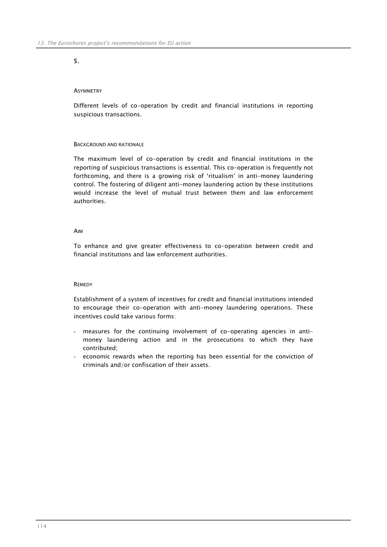# 5.

## **ASYMMETRY**

Different levels of co-operation by credit and financial institutions in reporting suspicious transactions.

## BACKGROUND AND RATIONALE

The maximum level of co-operation by credit and financial institutions in the reporting of suspicious transactions is essential. This co-operation is frequently not forthcoming, and there is a growing risk of 'ritualism' in anti-money laundering control. The fostering of diligent anti-money laundering action by these institutions would increase the level of mutual trust between them and law enforcement authorities.

## AIM

To enhance and give greater effectiveness to co-operation between credit and financial institutions and law enforcement authorities.

## **REMEDY**

Establishment of a system of incentives for credit and financial institutions intended to encourage their co-operation with anti-money laundering operations. These incentives could take various forms:

- measures for the continuing involvement of co-operating agencies in antimoney laundering action and in the prosecutions to which they have contributed;
- economic rewards when the reporting has been essential for the conviction of criminals and/or confiscation of their assets.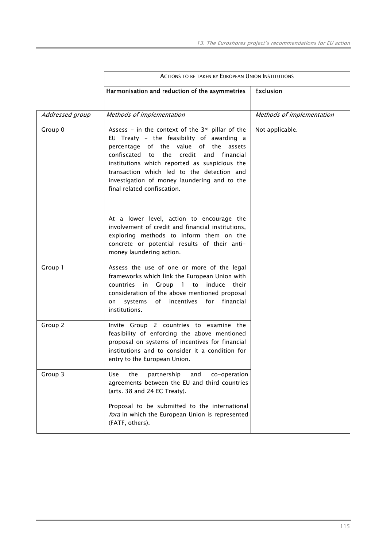|                 | <b>ACTIONS TO BE TAKEN BY EUROPEAN UNION INSTITUTIONS</b>                                                                                                                                                                                                                                                                                                               |                           |  |  |  |
|-----------------|-------------------------------------------------------------------------------------------------------------------------------------------------------------------------------------------------------------------------------------------------------------------------------------------------------------------------------------------------------------------------|---------------------------|--|--|--|
|                 | Harmonisation and reduction of the asymmetries                                                                                                                                                                                                                                                                                                                          | <b>Exclusion</b>          |  |  |  |
| Addressed group | Methods of implementation                                                                                                                                                                                                                                                                                                                                               | Methods of implementation |  |  |  |
| Group 0         | Assess - in the context of the $3rd$ pillar of the<br>EU Treaty - the feasibility of awarding a<br>percentage of the value of the assets<br>confiscated to<br>the credit and<br>financial<br>institutions which reported as suspicious the<br>transaction which led to the detection and<br>investigation of money laundering and to the<br>final related confiscation. | Not applicable.           |  |  |  |
|                 | At a lower level, action to encourage the<br>involvement of credit and financial institutions,<br>exploring methods to inform them on the<br>concrete or potential results of their anti-<br>money laundering action.                                                                                                                                                   |                           |  |  |  |
| Group 1         | Assess the use of one or more of the legal<br>frameworks which link the European Union with<br>countries in Group 1 to induce<br>their<br>consideration of the above mentioned proposal<br>incentives<br>for<br>financial<br>systems<br>of<br>on<br>institutions.                                                                                                       |                           |  |  |  |
| Group 2         | Invite Group 2 countries to examine the<br>feasibility of enforcing the above mentioned<br>proposal on systems of incentives for financial<br>institutions and to consider it a condition for<br>entry to the European Union.                                                                                                                                           |                           |  |  |  |
| Group 3         | the<br><b>Use</b><br>partnership<br>and<br>co-operation<br>agreements between the EU and third countries<br>(arts. 38 and 24 EC Treaty).<br>Proposal to be submitted to the international<br>fora in which the European Union is represented<br>(FATF, others).                                                                                                         |                           |  |  |  |
|                 |                                                                                                                                                                                                                                                                                                                                                                         |                           |  |  |  |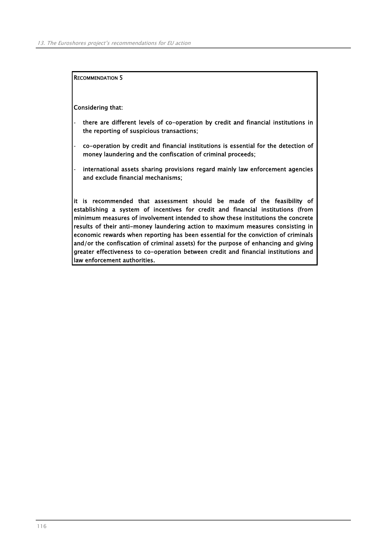Considering that:

- there are different levels of co-operation by credit and financial institutions in the reporting of suspicious transactions;
- co-operation by credit and financial institutions is essential for the detection of money laundering and the confiscation of criminal proceeds;
- international assets sharing provisions regard mainly law enforcement agencies and exclude financial mechanisms;

it is recommended that assessment should be made of the feasibility of establishing a system of incentives for credit and financial institutions (from minimum measures of involvement intended to show these institutions the concrete results of their anti-money laundering action to maximum measures consisting in economic rewards when reporting has been essential for the conviction of criminals and/or the confiscation of criminal assets) for the purpose of enhancing and giving greater effectiveness to co-operation between credit and financial institutions and law enforcement authorities.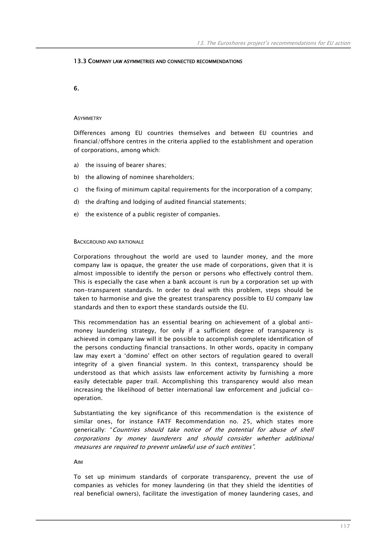## 13.3 COMPANY LAW ASYMMETRIES AND CONNECTED RECOMMENDATIONS

6.

### **ASYMMETRY**

Differences among EU countries themselves and between EU countries and financial/offshore centres in the criteria applied to the establishment and operation of corporations, among which:

- a) the issuing of bearer shares;
- b) the allowing of nominee shareholders;
- c) the fixing of minimum capital requirements for the incorporation of a company;
- d) the drafting and lodging of audited financial statements;
- e) the existence of a public register of companies.

### BACKGROUND AND RATIONALE

Corporations throughout the world are used to launder money, and the more company law is opaque, the greater the use made of corporations, given that it is almost impossible to identify the person or persons who effectively control them. This is especially the case when a bank account is run by a corporation set up with non-transparent standards. In order to deal with this problem, steps should be taken to harmonise and give the greatest transparency possible to EU company law standards and then to export these standards outside the EU.

This recommendation has an essential bearing on achievement of a global antimoney laundering strategy, for only if a sufficient degree of transparency is achieved in company law will it be possible to accomplish complete identification of the persons conducting financial transactions. In other words, opacity in company law may exert a 'domino' effect on other sectors of regulation geared to overall integrity of a given financial system. In this context, transparency should be understood as that which assists law enforcement activity by furnishing a more easily detectable paper trail. Accomplishing this transparency would also mean increasing the likelihood of better international law enforcement and judicial cooperation.

Substantiating the key significance of this recommendation is the existence of similar ones, for instance FATF Recommendation no. 25, which states more generically: "Countries should take notice of the potential for abuse of shell corporations by money launderers and should consider whether additional measures are required to prevent unlawful use of such entities".

## AIM

To set up minimum standards of corporate transparency, prevent the use of companies as vehicles for money laundering (in that they shield the identities of real beneficial owners), facilitate the investigation of money laundering cases, and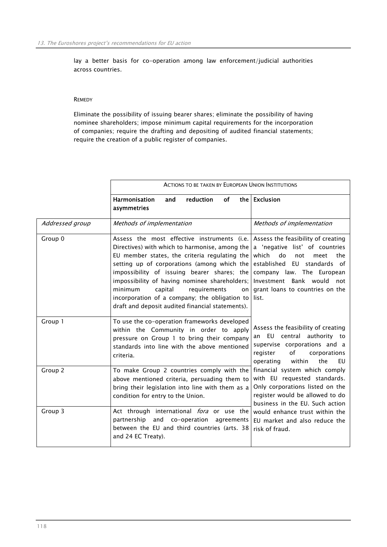lay a better basis for co-operation among law enforcement/judicial authorities across countries.

## **REMEDY**

Eliminate the possibility of issuing bearer shares; eliminate the possibility of having nominee shareholders; impose minimum capital requirements for the incorporation of companies; require the drafting and depositing of audited financial statements; require the creation of a public register of companies.

|                 | <b>ACTIONS TO BE TAKEN BY EUROPEAN UNION INSTITUTIONS</b>                                                                                                                                                                                                                                                                                                                                                                                      |                                                                                                                                                                                                                                                |
|-----------------|------------------------------------------------------------------------------------------------------------------------------------------------------------------------------------------------------------------------------------------------------------------------------------------------------------------------------------------------------------------------------------------------------------------------------------------------|------------------------------------------------------------------------------------------------------------------------------------------------------------------------------------------------------------------------------------------------|
|                 | <b>Harmonisation</b><br><b>reduction</b><br>of<br>and<br>asymmetries                                                                                                                                                                                                                                                                                                                                                                           | the   Exclusion                                                                                                                                                                                                                                |
| Addressed group | Methods of implementation                                                                                                                                                                                                                                                                                                                                                                                                                      | Methods of implementation                                                                                                                                                                                                                      |
| Group 0         | Assess the most effective instruments (i.e.<br>Directives) with which to harmonise, among the<br>EU member states, the criteria regulating the<br>setting up of corporations (among which the<br>impossibility of issuing bearer shares; the<br>impossibility of having nominee shareholders;<br>minimum<br>capital<br>requirements<br>on<br>incorporation of a company; the obligation to<br>draft and deposit audited financial statements). | Assess the feasibility of creating<br>a 'negative list' of countries<br>which<br>do<br>the<br>not<br>meet<br>established EU standards of<br>company law. The European<br>Investment Bank would not<br>grant loans to countries on the<br>list. |
| Group 1         | To use the co-operation frameworks developed<br>within the Community in order to apply<br>pressure on Group 1 to bring their company<br>standards into line with the above mentioned<br>criteria.                                                                                                                                                                                                                                              | Assess the feasibility of creating<br>an EU central authority to<br>supervise corporations and a<br>of<br>corporations<br>register<br>within<br>the<br><b>FU</b><br>operating                                                                  |
| Group 2         | To make Group 2 countries comply with the<br>above mentioned criteria, persuading them to<br>bring their legislation into line with them as a<br>condition for entry to the Union.                                                                                                                                                                                                                                                             | financial system which comply<br>with EU requested standards.<br>Only corporations listed on the<br>register would be allowed to do<br>business in the EU. Such action                                                                         |
| Group 3         | Act through international <i>fora</i> or use the<br>partnership<br>and<br>co-operation<br>agreements<br>between the EU and third countries (arts. 38<br>and 24 EC Treaty).                                                                                                                                                                                                                                                                     | would enhance trust within the<br>EU market and also reduce the<br>risk of fraud.                                                                                                                                                              |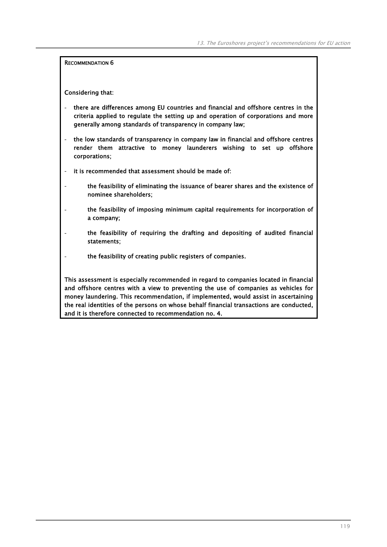Considering that:

- there are differences among EU countries and financial and offshore centres in the criteria applied to regulate the setting up and operation of corporations and more generally among standards of transparency in company law;
- the low standards of transparency in company law in financial and offshore centres render them attractive to money launderers wishing to set up offshore corporations;
- it is recommended that assessment should be made of:
- the feasibility of eliminating the issuance of bearer shares and the existence of nominee shareholders;
- the feasibility of imposing minimum capital requirements for incorporation of a company;
- the feasibility of requiring the drafting and depositing of audited financial statements;
- the feasibility of creating public registers of companies.

This assessment is especially recommended in regard to companies located in financial and offshore centres with a view to preventing the use of companies as vehicles for money laundering. This recommendation, if implemented, would assist in ascertaining the real identities of the persons on whose behalf financial transactions are conducted, and it is therefore connected to recommendation no. 4.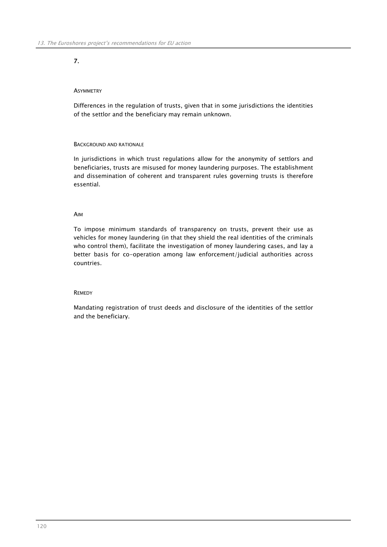# 7.

## **ASYMMETRY**

Differences in the regulation of trusts, given that in some jurisdictions the identities of the settlor and the beneficiary may remain unknown.

## BACKGROUND AND RATIONALE

In jurisdictions in which trust regulations allow for the anonymity of settlors and beneficiaries, trusts are misused for money laundering purposes. The establishment and dissemination of coherent and transparent rules governing trusts is therefore essential.

## AIM

To impose minimum standards of transparency on trusts, prevent their use as vehicles for money laundering (in that they shield the real identities of the criminals who control them), facilitate the investigation of money laundering cases, and lay a better basis for co-operation among law enforcement/judicial authorities across countries.

### **REMEDY**

Mandating registration of trust deeds and disclosure of the identities of the settlor and the beneficiary.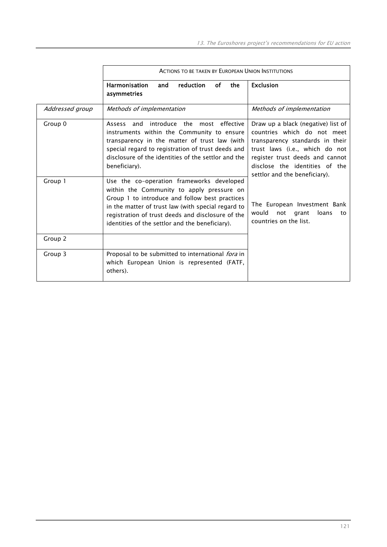|                 | <b>ACTIONS TO BE TAKEN BY EUROPEAN UNION INSTITUTIONS</b>                                                                                                                                                                                                                                              |                                                                                                                                                                                                                                              |
|-----------------|--------------------------------------------------------------------------------------------------------------------------------------------------------------------------------------------------------------------------------------------------------------------------------------------------------|----------------------------------------------------------------------------------------------------------------------------------------------------------------------------------------------------------------------------------------------|
|                 | <b>Harmonisation</b><br><b>reduction</b><br>οf<br>and<br>the<br>asymmetries                                                                                                                                                                                                                            | <b>Exclusion</b>                                                                                                                                                                                                                             |
| Addressed group | Methods of implementation                                                                                                                                                                                                                                                                              | Methods of implementation                                                                                                                                                                                                                    |
| Group 0         | introduce the<br>most effective<br>Assess<br>and<br>instruments within the Community to ensure<br>transparency in the matter of trust law (with<br>special regard to registration of trust deeds and<br>disclosure of the identities of the settlor and the<br>beneficiary).                           | Draw up a black (negative) list of<br>countries which do not meet<br>transparency standards in their<br>trust laws (i.e., which do not<br>register trust deeds and cannot<br>disclose the identities of the<br>settlor and the beneficiary). |
| Group 1         | Use the co-operation frameworks developed<br>within the Community to apply pressure on<br>Group 1 to introduce and follow best practices<br>in the matter of trust law (with special regard to<br>registration of trust deeds and disclosure of the<br>identities of the settlor and the beneficiary). | The European Investment Bank<br>would<br>loans<br>not<br>grant<br>to<br>countries on the list.                                                                                                                                               |
| Group 2         |                                                                                                                                                                                                                                                                                                        |                                                                                                                                                                                                                                              |
| Group 3         | Proposal to be submitted to international fora in<br>which European Union is represented (FATF,<br>others).                                                                                                                                                                                            |                                                                                                                                                                                                                                              |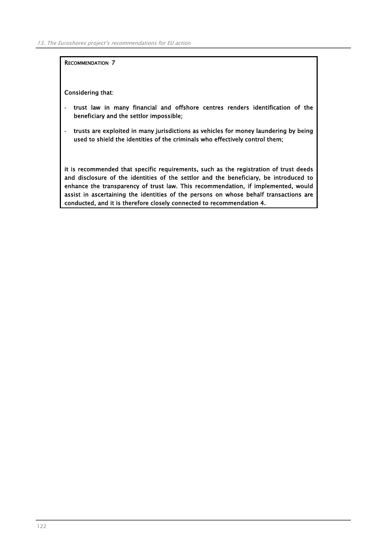Considering that:

- trust law in many financial and offshore centres renders identification of the beneficiary and the settlor impossible;
- trusts are exploited in many jurisdictions as vehicles for money laundering by being used to shield the identities of the criminals who effectively control them;

it is recommended that specific requirements, such as the registration of trust deeds and disclosure of the identities of the settlor and the beneficiary, be introduced to enhance the transparency of trust law. This recommendation, if implemented, would assist in ascertaining the identities of the persons on whose behalf transactions are conducted, and it is therefore closely connected to recommendation 4.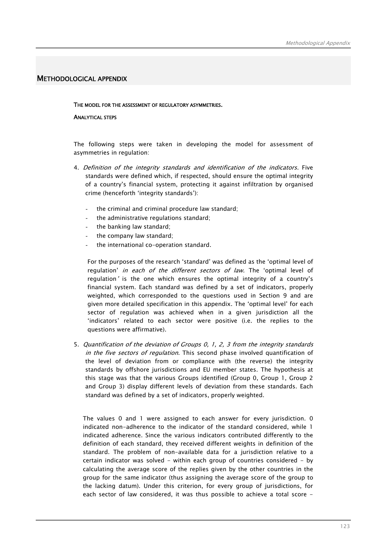# METHODOLOGICAL APPENDIX

## THE MODEL FOR THE ASSESSMENT OF REGULATORY ASYMMETRIES.

## ANALYTICAL STEPS

The following steps were taken in developing the model for assessment of asymmetries in regulation:

- 4. Definition of the integrity standards and identification of the indicators. Five standards were defined which, if respected, should ensure the optimal integrity of a country's financial system, protecting it against infiltration by organised crime (henceforth 'integrity standards'):
	- the criminal and criminal procedure law standard;
	- the administrative regulations standard;
	- the banking law standard;
	- the company law standard;
	- the international co-operation standard.

For the purposes of the research 'standard' was defined as the 'optimal level of regulation' in each of the different sectors of law. The 'optimal level of regulation' is the one which ensures the optimal integrity of a country's financial system. Each standard was defined by a set of indicators, properly weighted, which corresponded to the questions used in Section 9 and are given more detailed specification in this appendix. The 'optimal level' for each sector of regulation was achieved when in a given jurisdiction all the 'indicators' related to each sector were positive (i.e. the replies to the questions were affirmative).

5. Quantification of the deviation of Groups 0, 1, 2, 3 from the integrity standards in the five sectors of regulation. This second phase involved quantification of the level of deviation from or compliance with (the reverse) the integrity standards by offshore jurisdictions and EU member states. The hypothesis at this stage was that the various Groups identified (Group 0, Group 1, Group 2 and Group 3) display different levels of deviation from these standards. Each standard was defined by a set of indicators, properly weighted.

The values 0 and 1 were assigned to each answer for every jurisdiction. 0 indicated non-adherence to the indicator of the standard considered, while 1 indicated adherence. Since the various indicators contributed differently to the definition of each standard, they received different weights in definition of the standard. The problem of non-available data for a jurisdiction relative to a certain indicator was solved - within each group of countries considered - by calculating the average score of the replies given by the other countries in the group for the same indicator (thus assigning the average score of the group to the lacking datum). Under this criterion, for every group of jurisdictions, for each sector of law considered, it was thus possible to achieve a total score -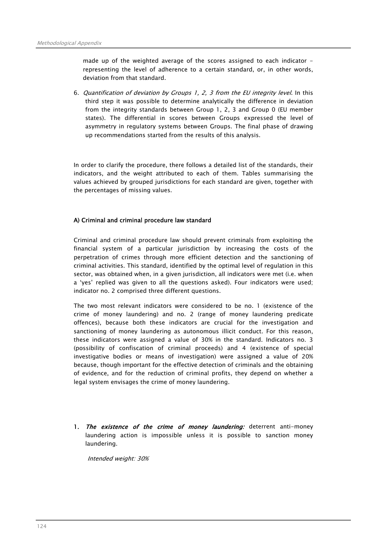made up of the weighted average of the scores assigned to each indicator representing the level of adherence to a certain standard, or, in other words, deviation from that standard.

6. Quantification of deviation by Groups 1, 2, 3 from the EU integrity level. In this third step it was possible to determine analytically the difference in deviation from the integrity standards between Group 1, 2, 3 and Group 0 (EU member states). The differential in scores between Groups expressed the level of asymmetry in regulatory systems between Groups. The final phase of drawing up recommendations started from the results of this analysis.

In order to clarify the procedure, there follows a detailed list of the standards, their indicators, and the weight attributed to each of them. Tables summarising the values achieved by grouped jurisdictions for each standard are given, together with the percentages of missing values.

# A) Criminal and criminal procedure law standard

Criminal and criminal procedure law should prevent criminals from exploiting the financial system of a particular jurisdiction by increasing the costs of the perpetration of crimes through more efficient detection and the sanctioning of criminal activities. This standard, identified by the optimal level of regulation in this sector, was obtained when, in a given jurisdiction, all indicators were met (i.e. when a 'yes' replied was given to all the questions asked). Four indicators were used; indicator no. 2 comprised three different questions.

The two most relevant indicators were considered to be no. 1 (existence of the crime of money laundering) and no. 2 (range of money laundering predicate offences), because both these indicators are crucial for the investigation and sanctioning of money laundering as autonomous illicit conduct. For this reason, these indicators were assigned a value of 30% in the standard. Indicators no. 3 (possibility of confiscation of criminal proceeds) and 4 (existence of special investigative bodies or means of investigation) were assigned a value of 20% because, though important for the effective detection of criminals and the obtaining of evidence, and for the reduction of criminal profits, they depend on whether a legal system envisages the crime of money laundering.

1. The existence of the crime of money laundering: deterrent anti-money laundering action is impossible unless it is possible to sanction money laundering.

Intended weight: 30%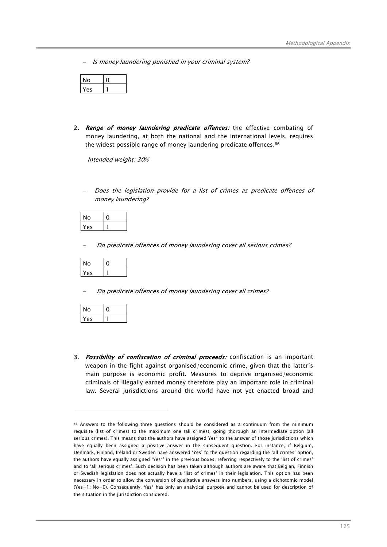Is money laundering punished in your criminal system?

| ი |  |
|---|--|
| A |  |

2. Range of money laundering predicate offences: the effective combating of money laundering, at both the national and the international levels, requires the widest possible range of money laundering predicate offences.<sup>66</sup>

Intended weight: 30%

Does the legislation provide for a list of crimes as predicate offences of money laundering?

| No  |  |
|-----|--|
| Yes |  |

Do predicate offences of money laundering cover all serious crimes?

| O  |  |
|----|--|
| Άς |  |

Do predicate offences of money laundering cover all crimes?

| No |  |
|----|--|
| eς |  |

 $\overline{a}$ 

3. Possibility of confiscation of criminal proceeds: confiscation is an important weapon in the fight against organised/economic crime, given that the latter's main purpose is economic profit. Measures to deprive organised/economic criminals of illegally earned money therefore play an important role in criminal law. Several jurisdictions around the world have not yet enacted broad and

<sup>66</sup> Answers to the following three questions should be considered as a continuum from the minimum requisite (list of crimes) to the maximum one (all crimes), going thorough an intermediate option (all serious crimes). This means that the authors have assigned Yes\* to the answer of those jurisdictions which have equally been assigned a positive answer in the subsequent question. For instance, if Belgium, Denmark, Finland, Ireland or Sweden have answered 'Yes' to the question regarding the 'all crimes' option, the authors have equally assigned 'Yes\*' in the previous boxes, referring respectively to the 'list of crimes' and to 'all serious crimes'. Such decision has been taken although authors are aware that Belgian, Finnish or Swedish legislation does not actually have a 'list of crimes' in their legislation. This option has been necessary in order to allow the conversion of qualitative answers into numbers, using a dichotomic model (Yes=1; No=0). Consequently, Yes\* has only an analytical purpose and cannot be used for description of the situation in the jurisdiction considered.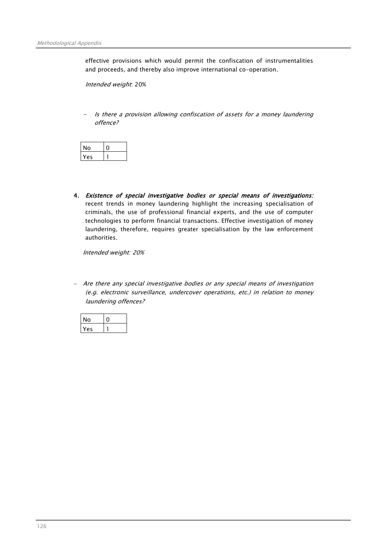effective provisions which would permit the confiscation of instrumentalities and proceeds, and thereby also improve international co-operation.

Intended weight: 20%

Is there a provision allowing confiscation of assets for a money laundering offence?

| 'О |  |
|----|--|
| ρς |  |

4. Existence of special investigative bodies or special means of investigations: recent trends in money laundering highlight the increasing specialisation of criminals, the use of professional financial experts, and the use of computer technologies to perform financial transactions. Effective investigation of money laundering, therefore, requires greater specialisation by the law enforcement authorities.

Intended weight: 20%

− Are there any special investigative bodies or any special means of investigation (e.g. electronic surveillance, undercover operations, etc.) in relation to money laundering offences?

| O  |  |
|----|--|
| ρς |  |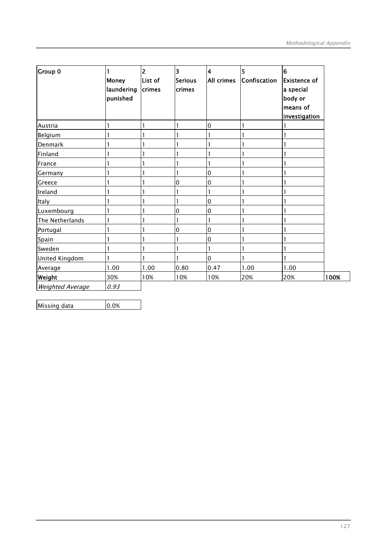| Group 0                 |                            | $\overline{2}$    | $\overline{\mathbf{3}}$  | 4          | 5            | $6\overline{6}$      |      |
|-------------------------|----------------------------|-------------------|--------------------------|------------|--------------|----------------------|------|
|                         | <b>Money</b><br>laundering | List of<br>crimes | <b>Serious</b><br>crimes | All crimes | Confiscation | <b>Existence of</b>  |      |
|                         | punished                   |                   |                          |            |              | a special<br>body or |      |
|                         |                            |                   |                          |            |              | means of             |      |
|                         |                            |                   |                          |            |              | investigation        |      |
| Austria                 |                            |                   |                          | 0          |              |                      |      |
| Belgium                 |                            |                   |                          |            |              |                      |      |
| Denmark                 |                            |                   |                          |            |              |                      |      |
| Finland                 |                            |                   |                          |            |              |                      |      |
| France                  |                            |                   |                          |            |              |                      |      |
| Germany                 |                            |                   |                          | 0          |              |                      |      |
| Greece                  |                            |                   | 0                        | 0          |              |                      |      |
| Ireland                 |                            |                   |                          |            |              |                      |      |
| Italy                   |                            |                   |                          | 0          |              |                      |      |
| Luxembourg              |                            |                   | 0                        | 0          |              |                      |      |
| The Netherlands         |                            |                   |                          |            |              |                      |      |
| Portugal                |                            |                   | 0                        | 0          |              |                      |      |
| Spain                   |                            |                   |                          | 0          |              |                      |      |
| Sweden                  |                            |                   |                          |            |              |                      |      |
| United Kingdom          |                            |                   |                          | 0          |              |                      |      |
| Average                 | 1.00                       | 1.00              | 0.80                     | 0.47       | 1.00         | 1.00                 |      |
| Weight                  | 30%                        | 10%               | 10%                      | 10%        | 20%          | 20%                  | 100% |
| <b>Weighted Average</b> | 0.93                       |                   |                          |            |              |                      |      |

Missing data 0.0%

l,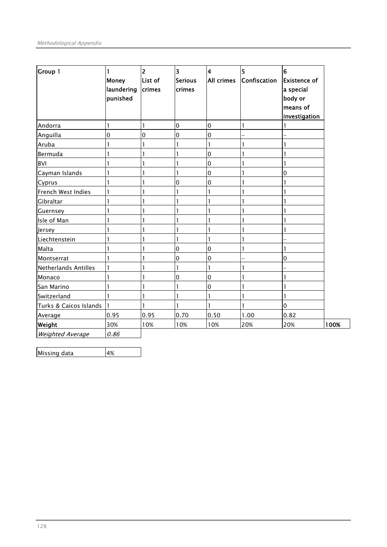| <b>Group 1</b>          | 1<br><b>Money</b><br>laundering<br>punished | $\overline{\mathbf{c}}$<br>List of<br>crimes | 3<br>Serious<br>crimes | $\overline{\mathbf{4}}$<br>All crimes | 5<br>Confiscation | $\overline{6}$<br><b>Existence of</b><br>a special<br>body or<br>means of<br>investigation |      |
|-------------------------|---------------------------------------------|----------------------------------------------|------------------------|---------------------------------------|-------------------|--------------------------------------------------------------------------------------------|------|
| Andorra                 | 1                                           | 1                                            | 0                      | $\mathbf 0$                           | 1                 |                                                                                            |      |
| Anguilla                | $\mathbf{0}$                                | 0                                            | 0                      | $\mathbf 0$                           |                   |                                                                                            |      |
| Aruba                   |                                             | 1                                            |                        | $\mathbf{1}$                          |                   |                                                                                            |      |
| Bermuda                 |                                             | 1                                            |                        | $\mathbf 0$                           |                   |                                                                                            |      |
| <b>BVI</b>              |                                             |                                              |                        | 0                                     |                   |                                                                                            |      |
| Cayman Islands          |                                             |                                              |                        | 0                                     |                   | 0                                                                                          |      |
| Cyprus                  |                                             |                                              | 0                      | $\mathbf 0$                           |                   |                                                                                            |      |
| French West Indies      |                                             | $\mathbf{1}$                                 |                        | 1                                     |                   |                                                                                            |      |
| Gibraltar               |                                             |                                              |                        | 1                                     |                   |                                                                                            |      |
| Guernsey                |                                             |                                              |                        | ı                                     |                   |                                                                                            |      |
| Isle of Man             |                                             |                                              |                        | 1                                     |                   |                                                                                            |      |
| Jersey                  |                                             |                                              |                        | ı                                     |                   |                                                                                            |      |
| Liechtenstein           |                                             |                                              | ı                      | 1                                     |                   |                                                                                            |      |
| Malta                   |                                             | 1                                            | 0                      | $\mathbf 0$                           |                   |                                                                                            |      |
| Montserrat              |                                             |                                              | 0                      | 0                                     |                   | 0                                                                                          |      |
| Netherlands Antilles    |                                             |                                              | 1                      | $\mathbf{I}$                          |                   |                                                                                            |      |
| Monaco                  |                                             |                                              | 0                      | $\mathbf 0$                           |                   |                                                                                            |      |
| San Marino              |                                             | 1                                            | 1                      | $\mathbf 0$                           | 1                 |                                                                                            |      |
| Switzerland             |                                             | 1                                            |                        | $\mathbf{1}$                          | 1                 |                                                                                            |      |
| Turks & Caicos Islands  |                                             | ı                                            |                        | 1                                     | 1                 | $\overline{0}$                                                                             |      |
| Average                 | 0.95                                        | 0.95                                         | 0.70                   | 0.50                                  | 1.00              | 0.82                                                                                       |      |
| Weight                  | 30%                                         | 10%                                          | 10%                    | 10%                                   | 20%               | 20%                                                                                        | 100% |
| <b>Weighted Average</b> | 0.86                                        |                                              |                        |                                       |                   |                                                                                            |      |

l, Missing data 4%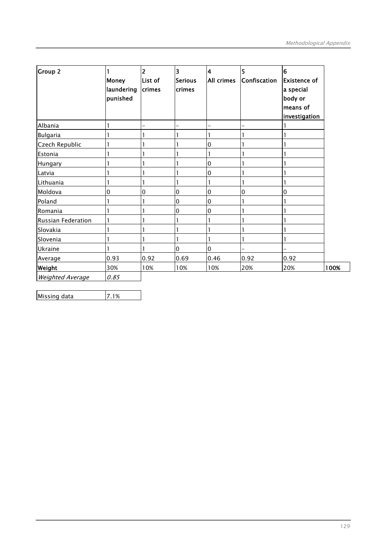| <b>Group 2</b>            | Money<br>laundering<br>punished | $\overline{2}$<br>List of<br>crimes | $\overline{\mathbf{3}}$<br><b>Serious</b><br>crimes | $\overline{\mathbf{4}}$<br>All crimes | 5<br>Confiscation | $6\phantom{1}6$<br><b>Existence of</b><br>a special<br>body or<br>means of<br>investigation |      |
|---------------------------|---------------------------------|-------------------------------------|-----------------------------------------------------|---------------------------------------|-------------------|---------------------------------------------------------------------------------------------|------|
| Albania                   |                                 |                                     |                                                     |                                       |                   |                                                                                             |      |
| Bulgaria                  |                                 |                                     |                                                     |                                       |                   |                                                                                             |      |
| Czech Republic            |                                 |                                     |                                                     | $\mathbf 0$                           |                   |                                                                                             |      |
| Estonia                   |                                 |                                     |                                                     |                                       |                   |                                                                                             |      |
| Hungary                   |                                 |                                     |                                                     | $\mathbf 0$                           |                   |                                                                                             |      |
| Latvia                    |                                 |                                     |                                                     | $\mathbf 0$                           |                   |                                                                                             |      |
| Lithuania                 |                                 |                                     |                                                     |                                       |                   |                                                                                             |      |
| Moldova                   | $\mathbf 0$                     | 0                                   | $\pmb{0}$                                           | $\mathbf 0$                           | $\overline{0}$    | $\overline{0}$                                                                              |      |
| Poland                    |                                 |                                     | 0                                                   | $\mathbf 0$                           |                   |                                                                                             |      |
| Romania                   |                                 |                                     | 0                                                   | $\mathbf 0$                           |                   |                                                                                             |      |
| <b>Russian Federation</b> |                                 |                                     |                                                     |                                       |                   |                                                                                             |      |
| Slovakia                  |                                 |                                     |                                                     |                                       |                   |                                                                                             |      |
| Slovenia                  |                                 |                                     | ı                                                   |                                       |                   |                                                                                             |      |
| Ukraine                   |                                 |                                     | $\mathbf 0$                                         | $\mathbf 0$                           |                   |                                                                                             |      |
| Average                   | 0.93                            | 0.92                                | 0.69                                                | 0.46                                  | 0.92              | 0.92                                                                                        |      |
| Weight                    | 30%                             | 10%                                 | 10%                                                 | 10%                                   | 20%               | 20%                                                                                         | 100% |
| <b>Weighted Average</b>   | 0.85                            |                                     |                                                     |                                       |                   |                                                                                             |      |

l, Missing data 7.1%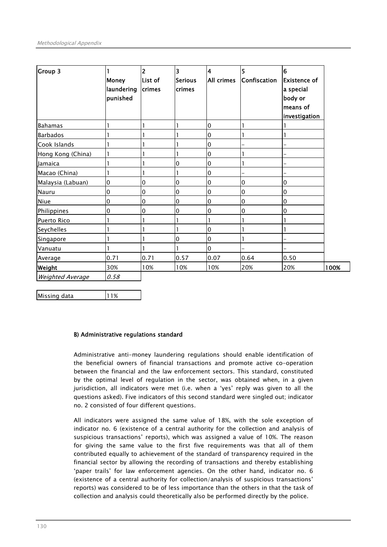| Group 3                 | <b>Money</b><br>laundering<br>punished | 2<br>List of<br>crimes | $\overline{\mathbf{3}}$<br>Serious<br><b>crimes</b> | $\overline{\mathbf{4}}$<br><b>All crimes</b> | 5<br>Confiscation | 6<br><b>Existence of</b><br>a special<br>body or<br>means of<br>investigation |      |
|-------------------------|----------------------------------------|------------------------|-----------------------------------------------------|----------------------------------------------|-------------------|-------------------------------------------------------------------------------|------|
| <b>Bahamas</b>          |                                        |                        |                                                     | $\pmb{0}$                                    |                   |                                                                               |      |
| <b>Barbados</b>         |                                        |                        |                                                     | 0                                            | 1                 |                                                                               |      |
| Cook Islands            |                                        |                        |                                                     | $\pmb{0}$                                    |                   |                                                                               |      |
| Hong Kong (China)       |                                        |                        |                                                     | 0                                            |                   |                                                                               |      |
| Jamaica                 |                                        |                        | 0                                                   | $\pmb{0}$                                    |                   |                                                                               |      |
| Macao (China)           |                                        |                        |                                                     | 0                                            |                   |                                                                               |      |
| Malaysia (Labuan)       | 0                                      | 0                      | l0                                                  | $\boldsymbol{0}$                             | $\mathbf 0$       | l0                                                                            |      |
| <b>Nauru</b>            | 0                                      | 0                      | $\overline{0}$                                      | $\overline{0}$                               | 0                 | $\overline{0}$                                                                |      |
| Niue                    | 0                                      | 0                      | $\overline{0}$                                      | 0                                            | $\mathbf 0$       | $\overline{0}$                                                                |      |
| Philippines             | 0                                      | 0                      | $\mathbf 0$                                         | 0                                            | 0                 | $\overline{0}$                                                                |      |
| Puerto Rico             |                                        |                        |                                                     |                                              |                   |                                                                               |      |
| Seychelles              |                                        |                        | 1                                                   | 0                                            |                   |                                                                               |      |
| Singapore               |                                        |                        | $\overline{0}$                                      | $\mathbf 0$                                  | 1                 |                                                                               |      |
| Vanuatu                 |                                        |                        |                                                     | $\overline{0}$                               |                   |                                                                               |      |
| Average                 | 0.71                                   | 0.71                   | 0.57                                                | 0.07                                         | 0.64              | 0.50                                                                          |      |
| Weight                  | 30%                                    | 10%                    | 10%                                                 | 10%                                          | 20%               | 20%                                                                           | 100% |
| <b>Weighted Average</b> | 0.58                                   |                        |                                                     |                                              |                   |                                                                               |      |

Missing data 11%

l,

# B) Administrative regulations standard

Administrative anti-money laundering regulations should enable identification of the beneficial owners of financial transactions and promote active co-operation between the financial and the law enforcement sectors. This standard, constituted by the optimal level of regulation in the sector, was obtained when, in a given jurisdiction, all indicators were met (i.e. when a 'yes' reply was given to all the questions asked). Five indicators of this second standard were singled out; indicator no. 2 consisted of four different questions.

All indicators were assigned the same value of 18%, with the sole exception of indicator no. 6 (existence of a central authority for the collection and analysis of suspicious transactions' reports), which was assigned a value of 10%. The reason for giving the same value to the first five requirements was that all of them contributed equally to achievement of the standard of transparency required in the financial sector by allowing the recording of transactions and thereby establishing 'paper trails' for law enforcement agencies. On the other hand, indicator no. 6 (existence of a central authority for collection/analysis of suspicious transactions' reports) was considered to be of less importance than the others in that the task of collection and analysis could theoretically also be performed directly by the police.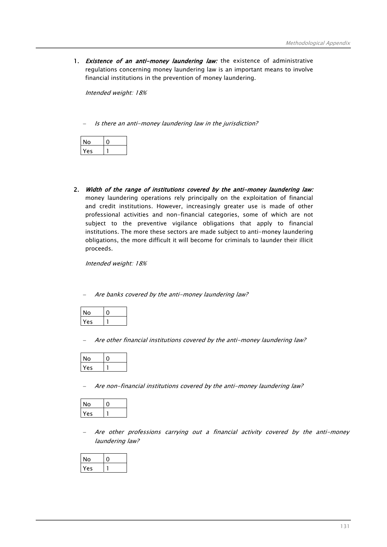1. Existence of an anti-money laundering law: the existence of administrative regulations concerning money laundering law is an important means to involve financial institutions in the prevention of money laundering.

Intended weight: 18%

Is there an anti-money laundering law in the jurisdiction?

| ш  |  |
|----|--|
| ъc |  |

2. Width of the range of institutions covered by the anti-money laundering law: money laundering operations rely principally on the exploitation of financial and credit institutions. However, increasingly greater use is made of other professional activities and non-financial categories, some of which are not subject to the preventive vigilance obligations that apply to financial institutions. The more these sectors are made subject to anti-money laundering obligations, the more difficult it will become for criminals to launder their illicit proceeds.

Intended weight: 18%

Are banks covered by the anti-money laundering law?

| ი  |  |
|----|--|
| ΔÇ |  |

− Are other financial institutions covered by the anti-money laundering law?

| N٥  |  |
|-----|--|
| 'nς |  |

− Are non-financial institutions covered by the anti-money laundering law?

| ١o  |  |
|-----|--|
| YΑς |  |

− Are other professions carrying out a financial activity covered by the anti-money laundering law?

| o  |  |
|----|--|
| es |  |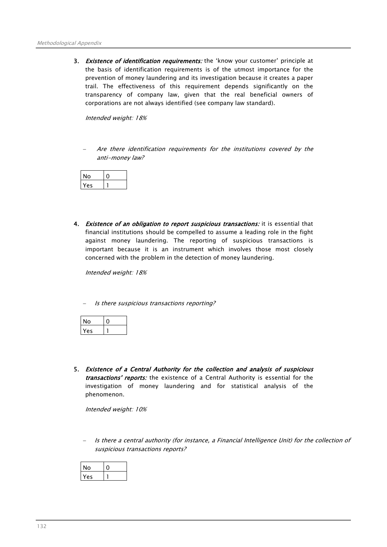3. Existence of identification requirements: the 'know your customer' principle at the basis of identification requirements is of the utmost importance for the prevention of money laundering and its investigation because it creates a paper trail. The effectiveness of this requirement depends significantly on the transparency of company law, given that the real beneficial owners of corporations are not always identified (see company law standard).

Intended weight: 18%

Are there identification requirements for the institutions covered by the anti-money law?

| ი |  |
|---|--|
| A |  |

4. Existence of an obligation to report suspicious transactions: it is essential that financial institutions should be compelled to assume a leading role in the fight against money laundering. The reporting of suspicious transactions is important because it is an instrument which involves those most closely concerned with the problem in the detection of money laundering.

Intended weight: 18%

− Is there suspicious transactions reporting?

$$
\begin{array}{|c|c|c|}\n\hline\nNo & 0 \\
\hline\nYes & 1\n\end{array}
$$

5. Existence of a Central Authority for the collection and analysis of suspicious transactions' reports: the existence of a Central Authority is essential for the investigation of money laundering and for statistical analysis of the phenomenon.

Intended weight: 10%

− Is there a central authority (for instance, a Financial Intelligence Unit) for the collection of suspicious transactions reports?

| N٥ |  |
|----|--|
| ΔC |  |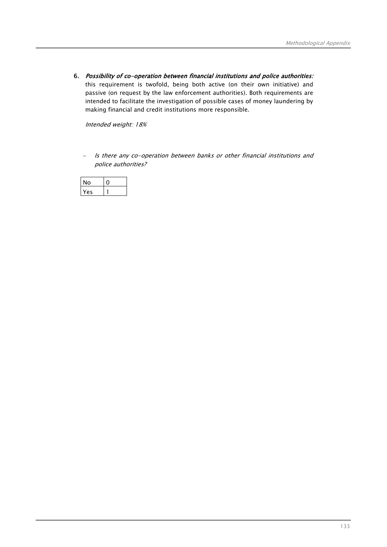6. Possibility of co-operation between financial institutions and police authorities: this requirement is twofold, being both active (on their own initiative) and passive (on request by the law enforcement authorities). Both requirements are intended to facilitate the investigation of possible cases of money laundering by making financial and credit institutions more responsible.

Intended weight: 18%

Is there any co-operation between banks or other financial institutions and police authorities?

| 0        |  |
|----------|--|
| $\alpha$ |  |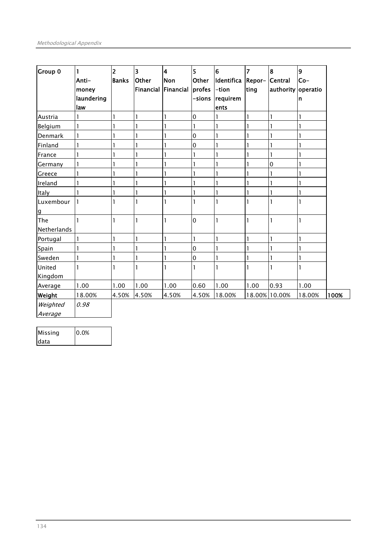| Group 0                     | 1<br>Anti-<br>money<br>laundering<br>law | $\overline{2}$<br><b>Banks</b> | $\overline{\mathbf{3}}$<br>Other<br><b>Financial</b> | $\overline{\mathbf{4}}$<br>Non<br>Financial | $\overline{\mathbf{5}}$<br>Other<br>profes<br>-sions | $6\phantom{a}$<br>Identifica<br>-tion<br>requirem<br>ents | $\overline{7}$<br>Repor-<br>ting | 8<br>Central<br>authority operatio | 9<br>$Co-$<br>n |      |
|-----------------------------|------------------------------------------|--------------------------------|------------------------------------------------------|---------------------------------------------|------------------------------------------------------|-----------------------------------------------------------|----------------------------------|------------------------------------|-----------------|------|
| Austria                     | 1                                        |                                | $\mathbf{I}$                                         |                                             | $\mathbf 0$                                          |                                                           |                                  | 1                                  | $\mathbf{1}$    |      |
| Belgium                     | 1                                        |                                | $\mathbf{1}$                                         | 1                                           | 1                                                    |                                                           |                                  |                                    | 1               |      |
| Denmark                     | 1                                        |                                | $\mathbf{I}$                                         |                                             | $\overline{0}$                                       |                                                           |                                  |                                    | 1               |      |
| Finland                     | 1                                        |                                | 1                                                    |                                             | $\mathbf 0$                                          |                                                           |                                  |                                    | 1               |      |
| France                      | 1                                        |                                | $\mathbf{1}$                                         |                                             | 1                                                    |                                                           |                                  |                                    | 1               |      |
| Germany                     | 1                                        |                                |                                                      |                                             |                                                      |                                                           |                                  | 0                                  |                 |      |
| Greece                      | 1                                        |                                | 1                                                    |                                             |                                                      |                                                           |                                  |                                    |                 |      |
| Ireland                     | 1                                        |                                | $\mathbf{I}$                                         |                                             |                                                      |                                                           |                                  |                                    |                 |      |
| Italy                       | 1                                        |                                | $\mathbf{1}$                                         | 1                                           |                                                      |                                                           |                                  |                                    | 1               |      |
| Luxembour<br>$\overline{g}$ | $\mathbf{1}$                             |                                | I                                                    |                                             |                                                      |                                                           |                                  |                                    |                 |      |
| The<br>Netherlands          | 1                                        |                                | $\mathbf{I}$                                         | $\mathbf{1}$                                | $\overline{0}$                                       | $\mathbf{I}$                                              | 1                                | 1                                  | 1               |      |
| Portugal                    | 1                                        |                                | $\mathbf{I}$                                         | 1                                           | $\mathbf{1}$                                         | 1                                                         |                                  | 1                                  | $\mathbf{1}$    |      |
| Spain                       | 1                                        |                                | $\mathbf{1}$                                         | 1                                           | $\overline{0}$                                       |                                                           |                                  | 1                                  | 1               |      |
| Sweden                      | 1                                        |                                | $\mathbf{I}$                                         |                                             | $\mathbf 0$                                          |                                                           |                                  |                                    | 1               |      |
| United<br>Kingdom           | 1                                        |                                | $\mathbf{1}$                                         | $\mathbf{1}$                                | 1                                                    |                                                           |                                  | 1                                  | 1               |      |
| Average                     | 1.00                                     | 1.00                           | 1.00                                                 | 1.00                                        | 0.60                                                 | 1.00                                                      | 1.00                             | 0.93                               | 1.00            |      |
| Weight                      | 18.00%                                   | 4.50%                          | 4.50%                                                | 4.50%                                       | 4.50%                                                | 18.00%                                                    |                                  | 18.00% 10.00%                      | 18.00%          | 100% |
| Weighted<br>Average         | 0.98                                     |                                |                                                      |                                             |                                                      |                                                           |                                  |                                    |                 |      |

| Missing     | 0.0% |
|-------------|------|
| <b>data</b> |      |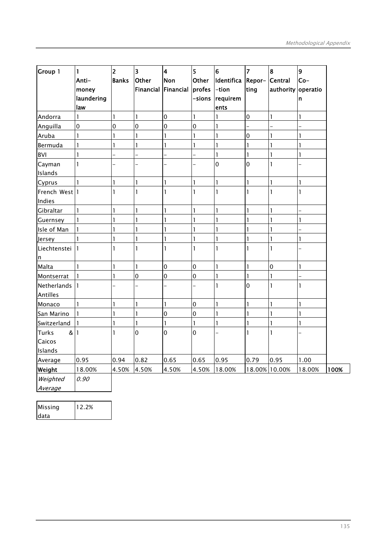| Group 1           | 1<br>Anti-   | $\overline{2}$<br><b>Banks</b> | $\overline{\mathbf{3}}$<br>Other | $\overline{\mathbf{4}}$<br><b>Non</b> | 5<br>Other     | $6\overline{6}$<br>Identifica | $\overline{7}$<br>Repor- | 8<br>Central       | 9<br>$Co-$   |      |
|-------------------|--------------|--------------------------------|----------------------------------|---------------------------------------|----------------|-------------------------------|--------------------------|--------------------|--------------|------|
|                   | money        |                                | Financial                        | Financial                             | profes         | -tion                         | ting                     | authority operatio |              |      |
|                   | laundering   |                                |                                  |                                       | -sions         | requirem                      |                          |                    | n            |      |
|                   | law          |                                |                                  |                                       |                | ents                          |                          |                    |              |      |
| Andorra           | $\mathbf{I}$ | 1                              | 1                                | $\mathbf 0$                           | 1              | 1                             | $\mathbf 0$              | $\mathbf{I}$       | 1            |      |
| Anguilla          | $\mathbf 0$  | 0                              | $\mathbf 0$                      | $\mathbf 0$                           | $\mathbf 0$    | 1                             |                          |                    |              |      |
| Aruba             | $\mathbf{I}$ | 1                              | 1                                | 1                                     | 1              | 1                             | $\overline{0}$           | 1                  | 1            |      |
| Bermuda           | $\mathbf{1}$ | 1                              | 1                                | $\mathbf{1}$                          | 1              | 1                             | 1                        |                    | 1            |      |
| <b>BVI</b>        | $\mathbf{1}$ |                                |                                  |                                       |                | 1                             | $\mathbf{1}$             | 1                  | 1            |      |
| Cayman            | $\mathbf{1}$ |                                |                                  |                                       |                | $\mathbf 0$                   | $\overline{0}$           | 1                  |              |      |
| Islands           |              |                                |                                  |                                       |                |                               |                          |                    |              |      |
| Cyprus            | $\mathbf{1}$ | 1                              | $\mathbf{I}$                     | $\mathbf{I}$                          | $\mathbf{I}$   | $\mathbf{I}$                  | $\mathbf{I}$             | $\mathbf{I}$       | 1            |      |
| French West 1     |              | 1                              | 1                                | 1                                     | 1              | 1                             | 1                        | 1                  | 1            |      |
| Indies            |              |                                |                                  |                                       |                |                               |                          |                    |              |      |
| Gibraltar         | $\mathbf{1}$ | 1                              | 1                                | $\mathbf{1}$                          | 1              | 1                             | 1                        | 1                  |              |      |
| Guernsey          | $\mathbf{1}$ | 1                              | $\mathbf{I}$                     | $\mathbf{1}$                          | 1              | 1                             | $\mathbf{1}$             | 1                  | $\mathbf{1}$ |      |
| Isle of Man       | $\mathbf{I}$ | 1                              | 1                                | 1                                     | $\mathbf{I}$   | 1                             | 1                        | 1                  |              |      |
| Jersey            | $\mathbf{1}$ | 1                              | $\mathbf{I}$                     | $\mathbf{1}$                          | $\mathbf{1}$   | 1                             | $\mathbf{1}$             | 1                  | 1            |      |
| Liechtenstei      | $\mathbf{1}$ | 1                              | $\mathbf{I}$                     | $\mathbf{1}$                          | $\mathbf{I}$   | 1                             | $\mathbf{1}$             | 1                  |              |      |
| n                 |              |                                |                                  |                                       |                |                               |                          |                    |              |      |
| Malta             | $\mathbf{1}$ | 1                              | $\mathbf{I}$                     | $\mathbf 0$                           | $\overline{0}$ | 1                             | $\mathbf{1}$             | $\overline{0}$     | $\mathbf{1}$ |      |
| Montserrat        | $\mathbf{1}$ | 1                              | 0                                | $\mathbf 0$                           | $\mathbf 0$    | $\mathbf{I}$                  | $\mathbf{1}$             | 1                  |              |      |
| Netherlands       | $\mathbf{1}$ |                                | $\overline{\phantom{0}}$         | $\overline{a}$                        | L              | 1                             | $\overline{0}$           | 1                  | $\mathbf{1}$ |      |
| Antilles          |              |                                |                                  |                                       |                |                               |                          |                    |              |      |
| Monaco            | $\mathbf{1}$ | 1                              | 1                                | $\mathbf{1}$                          | $\overline{0}$ | 1                             | 1                        | 1                  | 1            |      |
| San Marino        | $\mathbf{1}$ | 1                              | $\mathbf{I}$                     | $\mathbf 0$                           | $\mathbf 0$    | $\mathbf{I}$                  | 1                        | 1                  | $\mathbf{1}$ |      |
| Switzerland       | $\mathbf{1}$ | 1                              | 1                                | $\mathbf{I}$                          | 1              | 1                             | $\mathbf{I}$             | 1                  | 1            |      |
| <b>Turks</b><br>& | $\mathbf{1}$ | 1                              | 0                                | $\mathbf 0$                           | $\overline{0}$ |                               | $\mathbf{1}$             | 1                  |              |      |
| Caicos            |              |                                |                                  |                                       |                |                               |                          |                    |              |      |
| Islands           |              |                                |                                  |                                       |                |                               |                          |                    |              |      |
| Average           | 0.95         | 0.94                           | 0.82                             | 0.65                                  | 0.65           | 0.95                          | 0.79                     | 0.95               | 1.00         |      |
| Weight            | 18.00%       | 4.50%                          | 4.50%                            | 4.50%                                 | 4.50%          | 18.00%                        |                          | 18.00% 10.00%      | 18.00%       | 100% |
| Weighted          | 0.90         |                                |                                  |                                       |                |                               |                          |                    |              |      |
| Average           |              |                                |                                  |                                       |                |                               |                          |                    |              |      |

| Missing | 12.2% |
|---------|-------|
| data    |       |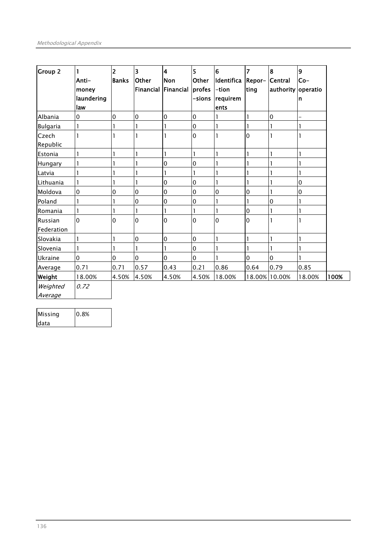| <b>Group 2</b>               | 1<br>Anti-<br>money<br>laundering<br>law | $\overline{2}$<br><b>Banks</b> | $\overline{\mathbf{3}}$<br><b>Other</b><br><b>Financial</b> | $\overline{\mathbf{4}}$<br>Non<br>Financial | 5<br>Other<br>profes<br>-sions | $\overline{6}$<br>Identifica<br>-tion<br>requirem<br>ents | $\overline{7}$<br>Repor-<br>ting | $\overline{\mathbf{8}}$<br>Central<br>authority operatio | 9<br>Co-<br>n            |      |
|------------------------------|------------------------------------------|--------------------------------|-------------------------------------------------------------|---------------------------------------------|--------------------------------|-----------------------------------------------------------|----------------------------------|----------------------------------------------------------|--------------------------|------|
| Albania                      | 0                                        | $\mathbf 0$                    | 0                                                           | $\overline{0}$                              | $\overline{0}$                 |                                                           | 1                                | $\mathbf 0$                                              | $\overline{\phantom{0}}$ |      |
| <b>Bulgaria</b>              | 1                                        |                                | 1                                                           | 1                                           | $\overline{0}$                 | 1                                                         | 1                                |                                                          | 1                        |      |
| Czech<br>Republic            |                                          |                                | 1                                                           |                                             | $\overline{0}$                 |                                                           | l <sub>0</sub>                   |                                                          |                          |      |
| Estonia                      |                                          |                                | ı                                                           |                                             | 1                              |                                                           |                                  |                                                          |                          |      |
| Hungary                      |                                          |                                |                                                             | $\overline{0}$                              | $\overline{0}$                 |                                                           |                                  |                                                          |                          |      |
| Latvia                       |                                          |                                | 1                                                           | 1                                           | 1                              |                                                           |                                  |                                                          |                          |      |
| Lithuania                    | 1                                        |                                | 1                                                           | $\overline{0}$                              | $\overline{0}$                 | ı                                                         |                                  |                                                          | $\mathbf 0$              |      |
| Moldova                      | 0                                        | 0                              | $\mathbf 0$                                                 | $\overline{0}$                              | $\overline{0}$                 | $\overline{0}$                                            | 0                                | 1                                                        | 0                        |      |
| Poland                       |                                          |                                | $\mathbf 0$                                                 | $\overline{0}$                              | $\overline{0}$                 |                                                           |                                  | $\mathbf 0$                                              |                          |      |
| Romania                      |                                          |                                | 1                                                           |                                             | 1                              |                                                           | 0                                |                                                          |                          |      |
| <b>Russian</b><br>Federation | 0                                        | $\Omega$                       | $\mathbf 0$                                                 | $\Omega$                                    | $\Omega$                       | $\overline{0}$                                            | $\Omega$                         |                                                          |                          |      |
| Slovakia                     |                                          |                                | 0                                                           | $\overline{0}$                              | $\overline{0}$                 |                                                           |                                  |                                                          |                          |      |
| Slovenia                     | 1                                        |                                | 1                                                           |                                             | $\overline{0}$                 |                                                           |                                  |                                                          |                          |      |
| Ukraine                      | $\Omega$                                 | $\Omega$                       | $\Omega$                                                    | $\overline{0}$                              | $\overline{0}$                 |                                                           | $\overline{0}$                   | $\mathbf 0$                                              |                          |      |
| Average                      | 0.71                                     | 0.71                           | 0.57                                                        | 0.43                                        | 0.21                           | 0.86                                                      | 0.64                             | 0.79                                                     | 0.85                     |      |
| Weight                       | 18.00%                                   | 4.50%                          | 4.50%                                                       | 4.50%                                       | 4.50%                          | 18.00%                                                    |                                  | 18.00% 10.00%                                            | 18.00%                   | 100% |
| Weighted<br>Average          | 0.72                                     |                                |                                                             |                                             |                                |                                                           |                                  |                                                          |                          |      |

| Missing | 0.8% |
|---------|------|
| Idata   |      |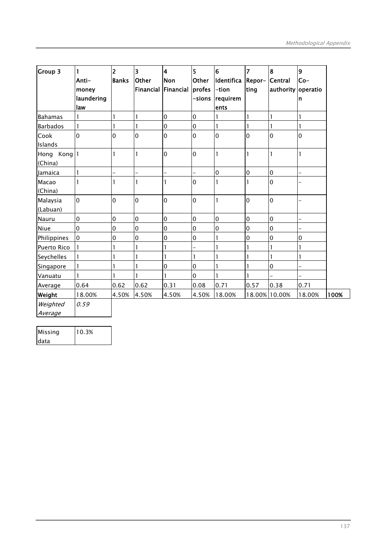| <b>Group 3</b>         | 1<br>Anti-<br>money<br>laundering<br>law | $\overline{2}$<br><b>Banks</b> | $\overline{\mathbf{3}}$<br>Other<br><b>Financial</b> | $\overline{\mathbf{4}}$<br><b>Non</b><br>Financial | $\overline{5}$<br>Other<br>profes<br>-sions | $6\overline{6}$<br>Identifica<br>-tion<br>requirem<br>ents | $\overline{z}$<br>Repor-<br>ting | 8<br><b>Central</b><br>authority | 9<br>$Co-$<br>operatio<br>n |      |
|------------------------|------------------------------------------|--------------------------------|------------------------------------------------------|----------------------------------------------------|---------------------------------------------|------------------------------------------------------------|----------------------------------|----------------------------------|-----------------------------|------|
| <b>Bahamas</b>         | 1                                        |                                | $\mathbf{I}$                                         | $\mathbf 0$                                        | $\overline{0}$                              |                                                            |                                  | 1                                | 1                           |      |
| <b>Barbados</b>        | $\mathbf{I}$                             |                                | $\mathbf{I}$                                         | $\mathbf 0$                                        | $\mathbf 0$                                 | $\mathbf{1}$                                               |                                  | 1                                | 1                           |      |
| Cook<br>Islands        | 0                                        | $\overline{0}$                 | $\mathbf 0$                                          | $\overline{0}$                                     | 0                                           | 0                                                          | 0                                | $\mathbf 0$                      | 0                           |      |
| Hong Kong 1<br>(China) |                                          |                                | $\mathbf{I}$                                         | $\overline{0}$                                     | 0                                           | 1                                                          |                                  | 1                                | 1                           |      |
| Jamaica                | 1                                        | $\overline{\phantom{0}}$       | $\overline{a}$                                       |                                                    | -                                           | $\mathbf 0$                                                | $\overline{0}$                   | $\mathbf 0$                      |                             |      |
| Macao<br>(China)       | 1                                        |                                |                                                      | 1                                                  | $\mathbf 0$                                 |                                                            |                                  | $\mathbf 0$                      |                             |      |
| Malaysia<br>(Labuan)   | $\mathbf 0$                              | $\overline{0}$                 | $\overline{0}$                                       | $\overline{0}$                                     | $\overline{0}$                              |                                                            | $\overline{0}$                   | $\mathbf 0$                      |                             |      |
| Nauru                  | $\mathbf 0$                              | $\mathbf 0$                    | $\overline{0}$                                       | $\overline{0}$                                     | $\overline{0}$                              | $\mathbf 0$                                                | $\overline{0}$                   | $\mathbf 0$                      |                             |      |
| Niue                   | $\mathbf 0$                              | $\mathbf 0$                    | $\mathbf 0$                                          | 0                                                  | $\mathbf 0$                                 | $\mathbf 0$                                                | $\overline{0}$                   | $\mathbf 0$                      |                             |      |
| Philippines            | $\mathbf 0$                              | $\mathbf 0$                    | $\mathbf 0$                                          | $\mathbf 0$                                        | $\mathbf 0$                                 | 1                                                          | $\overline{0}$                   | $\mathbf 0$                      | 0                           |      |
| Puerto Rico            | 1                                        | 1                              | $\mathbf{1}$                                         | 1                                                  | $\overline{a}$                              |                                                            |                                  | 1                                | 1                           |      |
| Seychelles             | 1                                        |                                | $\mathbf{1}$                                         |                                                    | 1                                           |                                                            |                                  |                                  | 1                           |      |
| Singapore              | 1                                        |                                | $\mathbf{I}$                                         | $\overline{0}$                                     | $\mathbf 0$                                 |                                                            |                                  | $\mathbf 0$                      | -                           |      |
| Vanuatu                | 1                                        |                                | $\mathbf{1}$                                         |                                                    | $\mathbf 0$                                 |                                                            |                                  |                                  |                             |      |
| Average                | 0.64                                     | 0.62                           | 0.62                                                 | 0.31                                               | 0.08                                        | 0.71                                                       | 0.57                             | 0.38                             | 0.71                        |      |
| Weight                 | 18.00%                                   | 4.50%                          | 4.50%                                                | 4.50%                                              | 4.50%                                       | 18.00%                                                     |                                  | 18.00% 10.00%                    | 18.00%                      | 100% |
| Weighted<br>Average    | 0.59                                     |                                |                                                      |                                                    |                                             |                                                            |                                  |                                  |                             |      |

| Missing | 10.3% |
|---------|-------|
| data    |       |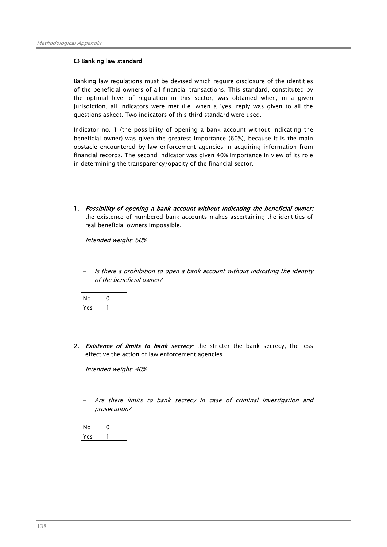## C) Banking law standard

Banking law regulations must be devised which require disclosure of the identities of the beneficial owners of all financial transactions. This standard, constituted by the optimal level of regulation in this sector, was obtained when, in a given jurisdiction, all indicators were met (i.e. when a 'yes' reply was given to all the questions asked). Two indicators of this third standard were used.

Indicator no. 1 (the possibility of opening a bank account without indicating the beneficial owner) was given the greatest importance (60%), because it is the main obstacle encountered by law enforcement agencies in acquiring information from financial records. The second indicator was given 40% importance in view of its role in determining the transparency/opacity of the financial sector.

1. Possibility of opening a bank account without indicating the beneficial owner: the existence of numbered bank accounts makes ascertaining the identities of real beneficial owners impossible.

Intended weight: 60%

− Is there a prohibition to open a bank account without indicating the identity of the beneficial owner?

| o  |  |
|----|--|
| e٢ |  |

2. Existence of limits to bank secrecy: the stricter the bank secrecy, the less effective the action of law enforcement agencies.

Intended weight: 40%

Are there limits to bank secrecy in case of criminal investigation and prosecution?

| <sup>'</sup> 0 |  |
|----------------|--|
| es             |  |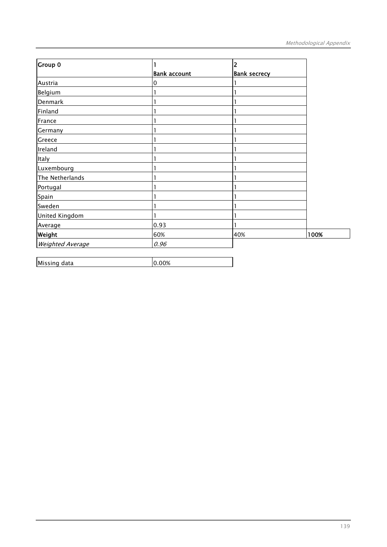| Group 0          |                     | 2                   |      |
|------------------|---------------------|---------------------|------|
|                  | <b>Bank account</b> | <b>Bank secrecy</b> |      |
| Austria          | 0                   |                     |      |
| Belgium          |                     |                     |      |
| Denmark          |                     |                     |      |
| Finland          |                     |                     |      |
| France           |                     |                     |      |
| Germany          |                     |                     |      |
| Greece           |                     |                     |      |
| Ireland          |                     |                     |      |
| Italy            |                     |                     |      |
| Luxembourg       |                     |                     |      |
| The Netherlands  |                     |                     |      |
| Portugal         |                     |                     |      |
| Spain            |                     |                     |      |
| Sweden           |                     |                     |      |
| United Kingdom   | 1                   |                     |      |
| Average          | 0.93                |                     |      |
| Weight           | 60%                 | 40%                 | 100% |
| Weighted Average | 0.96                |                     |      |

| Missing data | 0% |
|--------------|----|
|--------------|----|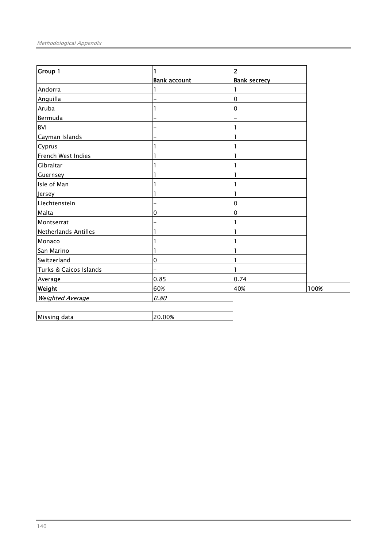| Group 1                 |                     | 2                   |      |
|-------------------------|---------------------|---------------------|------|
|                         | <b>Bank account</b> | <b>Bank secrecy</b> |      |
| Andorra                 |                     |                     |      |
| Anguilla                |                     | $\overline{0}$      |      |
| Aruba                   |                     | 0                   |      |
| Bermuda                 |                     |                     |      |
| <b>BVI</b>              |                     |                     |      |
| Cayman Islands          |                     |                     |      |
| Cyprus                  |                     |                     |      |
| French West Indies      |                     |                     |      |
| Gibraltar               |                     |                     |      |
| Guernsey                |                     |                     |      |
| Isle of Man             |                     |                     |      |
| Jersey                  |                     |                     |      |
| Liechtenstein           |                     | 0                   |      |
| Malta                   | 0                   | 0                   |      |
| Montserrat              |                     |                     |      |
| Netherlands Antilles    |                     |                     |      |
| Monaco                  |                     |                     |      |
| San Marino              |                     |                     |      |
| Switzerland             | 0                   |                     |      |
| Turks & Caicos Islands  |                     |                     |      |
| Average                 | 0.85                | 0.74                |      |
| <b>Weight</b>           | 60%                 | 40%                 | 100% |
| <b>Weighted Average</b> | 0.80                |                     |      |

| Missing data | ገ% |
|--------------|----|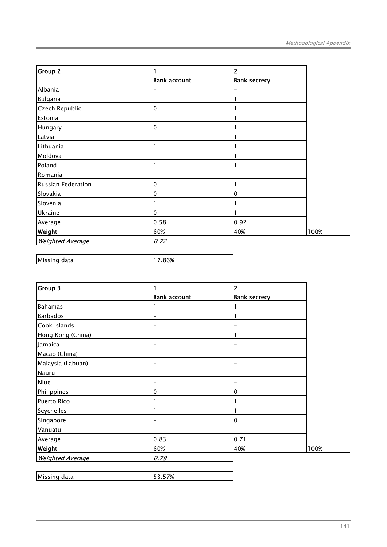| <b>Group 2</b>          |                     | 2                   |      |
|-------------------------|---------------------|---------------------|------|
|                         | <b>Bank account</b> | <b>Bank secrecy</b> |      |
| Albania                 |                     |                     |      |
| <b>Bulgaria</b>         |                     |                     |      |
| Czech Republic          | 0                   |                     |      |
| Estonia                 |                     |                     |      |
| Hungary                 | 0                   |                     |      |
| Latvia                  |                     |                     |      |
| Lithuania               |                     |                     |      |
| Moldova                 |                     |                     |      |
| Poland                  |                     |                     |      |
| Romania                 |                     |                     |      |
| Russian Federation      | 0                   |                     |      |
| Slovakia                | 0                   | 0                   |      |
| Slovenia                |                     |                     |      |
| Ukraine                 | 0                   |                     |      |
| Average                 | 0.58                | 0.92                |      |
| <b>Weight</b>           | 60%                 | 40%                 | 100% |
| <b>Weighted Average</b> | 0.72                |                     |      |

| Missing data |  |
|--------------|--|
|              |  |

| Group 3                 |                     | $\overline{2}$      |      |
|-------------------------|---------------------|---------------------|------|
|                         | <b>Bank account</b> | <b>Bank secrecy</b> |      |
| <b>Bahamas</b>          |                     |                     |      |
| <b>Barbados</b>         |                     |                     |      |
| Cook Islands            |                     |                     |      |
| Hong Kong (China)       |                     |                     |      |
| Jamaica                 |                     |                     |      |
| Macao (China)           |                     |                     |      |
| Malaysia (Labuan)       |                     |                     |      |
| Nauru                   |                     |                     |      |
| Niue                    |                     |                     |      |
| Philippines             | 0                   | $\mathbf 0$         |      |
| <b>Puerto Rico</b>      |                     |                     |      |
| Seychelles              |                     |                     |      |
| Singapore               |                     | 0                   |      |
| Vanuatu                 |                     |                     |      |
| Average                 | 0.83                | 0.71                |      |
| Weight                  | 60%                 | 40%                 | 100% |
| <b>Weighted Average</b> | 0.79                |                     |      |

| Missing data |  |
|--------------|--|
|              |  |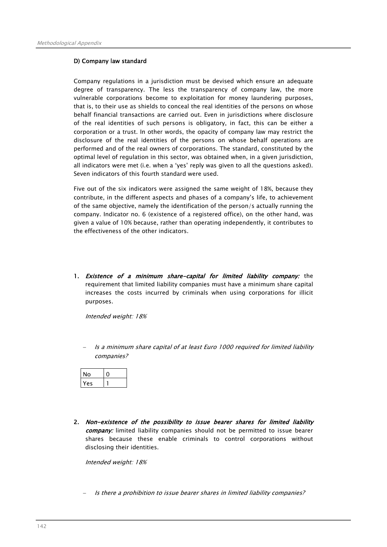## D) Company law standard

Company regulations in a jurisdiction must be devised which ensure an adequate degree of transparency. The less the transparency of company law, the more vulnerable corporations become to exploitation for money laundering purposes, that is, to their use as shields to conceal the real identities of the persons on whose behalf financial transactions are carried out. Even in jurisdictions where disclosure of the real identities of such persons is obligatory, in fact, this can be either a corporation or a trust. In other words, the opacity of company law may restrict the disclosure of the real identities of the persons on whose behalf operations are performed and of the real owners of corporations. The standard, constituted by the optimal level of regulation in this sector, was obtained when, in a given jurisdiction, all indicators were met (i.e. when a 'yes' reply was given to all the questions asked). Seven indicators of this fourth standard were used.

Five out of the six indicators were assigned the same weight of 18%, because they contribute, in the different aspects and phases of a company's life, to achievement of the same objective, namely the identification of the person/s actually running the company. Indicator no. 6 (existence of a registered office), on the other hand, was given a value of 10% because, rather than operating independently, it contributes to the effectiveness of the other indicators.

1. Existence of a minimum share-capital for limited liability company: the requirement that limited liability companies must have a minimum share capital increases the costs incurred by criminals when using corporations for illicit purposes.

Intended weight: 18%

Is a minimum share capital of at least Euro 1000 required for limited liability companies?

| Άς |  |
|----|--|

2. Non-existence of the possibility to issue bearer shares for limited liability company: limited liability companies should not be permitted to issue bearer shares because these enable criminals to control corporations without disclosing their identities.

Intended weight: 18%

− Is there a prohibition to issue bearer shares in limited liability companies?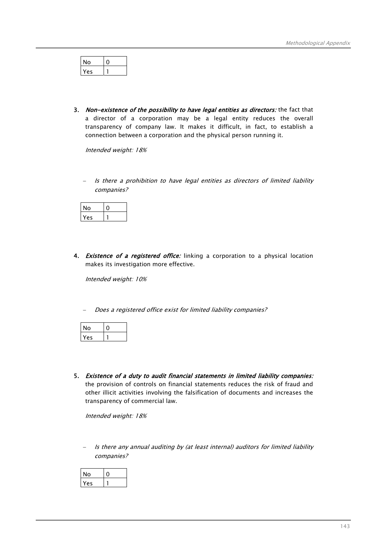| O<br>ш |  |
|--------|--|
| e٢     |  |

3. Non-existence of the possibility to have legal entities as directors: the fact that a director of a corporation may be a legal entity reduces the overall transparency of company law. It makes it difficult, in fact, to establish a connection between a corporation and the physical person running it.

Intended weight: 18%

Is there a prohibition to have legal entities as directors of limited liability companies?

| No |  |
|----|--|
| e٢ |  |

4. Existence of a registered office: linking a corporation to a physical location makes its investigation more effective.

Intended weight: 10%

Does a registered office exist for limited liability companies?

| N۵ |  |
|----|--|
| ۵ς |  |

5. Existence of a duty to audit financial statements in limited liability companies: the provision of controls on financial statements reduces the risk of fraud and other illicit activities involving the falsification of documents and increases the transparency of commercial law.

Intended weight: 18%

Is there any annual auditing by (at least internal) auditors for limited liability companies?

| NO |  |
|----|--|
| es |  |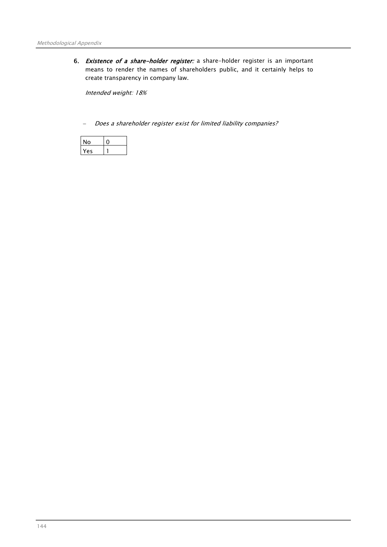6. Existence of a share-holder register: a share-holder register is an important means to render the names of shareholders public, and it certainly helps to create transparency in company law.

Intended weight: 18%

Does a shareholder register exist for limited liability companies?

| N٥ |  |
|----|--|
| ρς |  |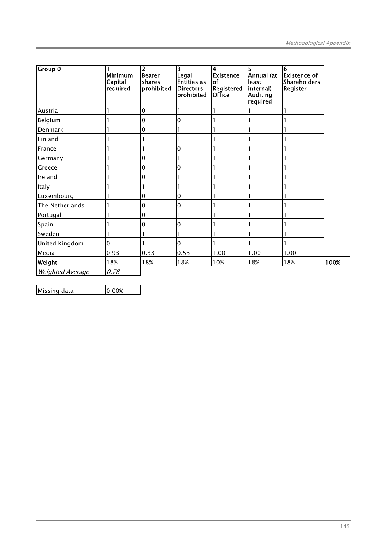| <b>Group 0</b>          | Minimum<br>Capital<br>required | 2<br><b>Bearer</b><br>shares<br>prohibited | 3<br>Legal<br><b>Entities as</b><br><b>Directors</b><br>prohibited | 4<br><b>Existence</b><br>lof<br>Registered<br><b>Office</b> | 5<br>Annual (at<br>least<br>internal)<br><b>Auditing</b><br>required | 6<br><b>Existence of</b><br><b>Shareholders</b><br><b>Register</b> |      |
|-------------------------|--------------------------------|--------------------------------------------|--------------------------------------------------------------------|-------------------------------------------------------------|----------------------------------------------------------------------|--------------------------------------------------------------------|------|
| Austria                 |                                | 0                                          |                                                                    |                                                             |                                                                      |                                                                    |      |
| Belgium                 |                                | 0                                          | 0                                                                  |                                                             |                                                                      |                                                                    |      |
| Denmark                 |                                | 0                                          |                                                                    |                                                             |                                                                      |                                                                    |      |
| Finland                 |                                |                                            |                                                                    |                                                             |                                                                      |                                                                    |      |
| France                  |                                | 1                                          | 0                                                                  |                                                             |                                                                      |                                                                    |      |
| Germany                 |                                | 0                                          |                                                                    |                                                             |                                                                      |                                                                    |      |
| Greece                  |                                | 0                                          | 0                                                                  |                                                             |                                                                      |                                                                    |      |
| Ireland                 |                                | 0                                          |                                                                    |                                                             |                                                                      |                                                                    |      |
| Italy                   |                                |                                            |                                                                    |                                                             |                                                                      |                                                                    |      |
| Luxembourg              |                                | 0                                          | 0                                                                  |                                                             |                                                                      |                                                                    |      |
| The Netherlands         |                                | 0                                          | 0                                                                  |                                                             |                                                                      |                                                                    |      |
| Portugal                |                                | 0                                          |                                                                    |                                                             |                                                                      |                                                                    |      |
| Spain                   |                                | 0                                          | 0                                                                  |                                                             |                                                                      |                                                                    |      |
| Sweden                  |                                | 1                                          |                                                                    |                                                             |                                                                      |                                                                    |      |
| United Kingdom          | 0                              |                                            | 0                                                                  |                                                             |                                                                      |                                                                    |      |
| Media                   | 0.93                           | 0.33                                       | 0.53                                                               | 1.00                                                        | 1.00                                                                 | 1.00                                                               |      |
| Weight                  | 18%                            | 18%                                        | 18%                                                                | 10%                                                         | 18%                                                                  | 18%                                                                | 100% |
| <b>Weighted Average</b> | 0.78                           |                                            |                                                                    |                                                             |                                                                      |                                                                    |      |

Missing data 10.00%

 $\overline{\phantom{0}}$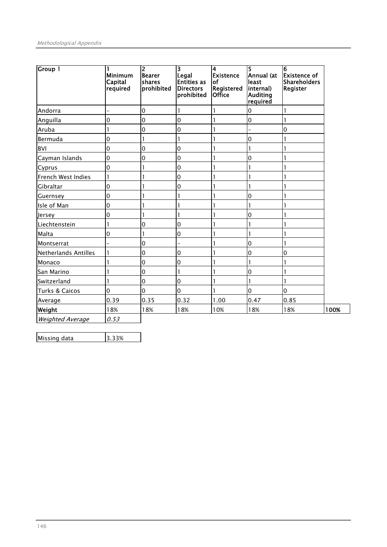| <b>Group 1</b>              | <b>Minimum</b><br>Capital<br>required | $\overline{2}$<br>Bearer<br><b>shares</b><br>prohibited | $\overline{\mathbf{3}}$<br>Legal<br><b>Entities as</b><br><b>Directors</b><br>prohibited | 4<br>Existence<br><b>of</b><br>Registered<br><b>Office</b> | 5<br>Annual (at<br>least<br>internal)<br><b>Auditing</b><br>required | 6<br><b>Existence of</b><br><b>Shareholders</b><br><b>Register</b> |      |
|-----------------------------|---------------------------------------|---------------------------------------------------------|------------------------------------------------------------------------------------------|------------------------------------------------------------|----------------------------------------------------------------------|--------------------------------------------------------------------|------|
| Andorra                     |                                       | $\overline{0}$                                          |                                                                                          |                                                            | 0                                                                    |                                                                    |      |
| Anguilla                    | $\mathbf 0$                           | $\overline{0}$                                          | 0                                                                                        |                                                            | $\mathbf 0$                                                          |                                                                    |      |
| Aruba                       |                                       | 0                                                       | 0                                                                                        |                                                            |                                                                      | 0                                                                  |      |
| Bermuda                     | $\mathbf 0$                           | 1                                                       |                                                                                          |                                                            | $\mathbf 0$                                                          |                                                                    |      |
| <b>BVI</b>                  | $\mathbf 0$                           | $\overline{0}$                                          | 0                                                                                        |                                                            | 1                                                                    |                                                                    |      |
| Cayman Islands              | 0                                     | $\overline{0}$                                          | 0                                                                                        |                                                            | 0                                                                    |                                                                    |      |
| Cyprus                      | 0                                     | 1                                                       | 0                                                                                        |                                                            |                                                                      |                                                                    |      |
| French West Indies          | $\mathbf{1}$                          |                                                         | 0                                                                                        |                                                            |                                                                      |                                                                    |      |
| Gibraltar                   | 0                                     |                                                         | 0                                                                                        |                                                            |                                                                      |                                                                    |      |
| Guernsey                    | 0                                     |                                                         |                                                                                          |                                                            | 0                                                                    |                                                                    |      |
| Isle of Man                 | 0                                     |                                                         |                                                                                          |                                                            | 1                                                                    |                                                                    |      |
| Jersey                      | 0                                     | ı                                                       |                                                                                          |                                                            | 0                                                                    |                                                                    |      |
| Liechtenstein               | 1                                     | $\overline{0}$                                          | 0                                                                                        |                                                            | 1                                                                    |                                                                    |      |
| Malta                       | 0                                     | 1                                                       | 0                                                                                        |                                                            | 1                                                                    |                                                                    |      |
| Montserrat                  |                                       | $\overline{0}$                                          |                                                                                          |                                                            | $\mathbf 0$                                                          |                                                                    |      |
| <b>Netherlands Antilles</b> | 1                                     | $\overline{0}$                                          | 0                                                                                        |                                                            | $\mathbf 0$                                                          | 0                                                                  |      |
| Monaco                      |                                       | $\overline{0}$                                          | 0                                                                                        |                                                            | 1                                                                    |                                                                    |      |
| San Marino                  |                                       | $\overline{0}$                                          |                                                                                          |                                                            | $\mathbf 0$                                                          |                                                                    |      |
| Switzerland                 |                                       | $\overline{0}$                                          | 0                                                                                        |                                                            | 1                                                                    |                                                                    |      |
| Turks & Caicos              | $\mathbf 0$                           | $\overline{0}$                                          | $\Omega$                                                                                 |                                                            | $\mathbf 0$                                                          | $\Omega$                                                           |      |
| Average                     | 0.39                                  | 0.35                                                    | 0.32                                                                                     | 1.00                                                       | 0.47                                                                 | 0.85                                                               |      |
| Weight                      | 18%                                   | 18%                                                     | 18%                                                                                      | 10%                                                        | 18%                                                                  | 18%                                                                | 100% |
| <b>Weighted Average</b>     | 0.53                                  |                                                         |                                                                                          |                                                            |                                                                      |                                                                    |      |

 $\overline{\phantom{0}}$ 

Missing data 3.33%

l,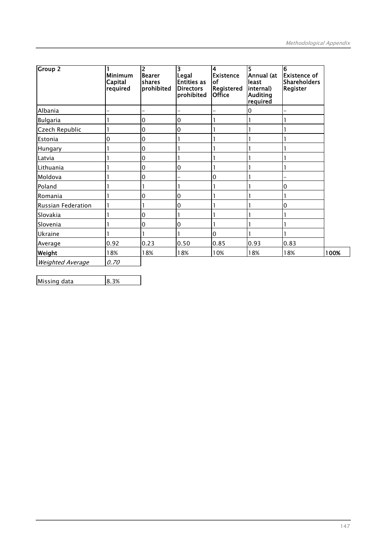| <b>Group 2</b>     | <b>Minimum</b><br>Capital<br>required | $\overline{2}$<br><b>Bearer</b><br>shares<br>prohibited | 3<br>Legal<br><b>Entities as</b><br><b>Directors</b><br>prohibited | $\overline{\mathbf{4}}$<br><b>Existence</b><br>lof<br><b>Registered</b><br><b>Office</b> | 5<br>Annual (at<br>least<br>internal)<br><b>Auditing</b><br>required | $\overline{6}$<br><b>Existence of</b><br><b>Shareholders</b><br><b>Register</b> |      |
|--------------------|---------------------------------------|---------------------------------------------------------|--------------------------------------------------------------------|------------------------------------------------------------------------------------------|----------------------------------------------------------------------|---------------------------------------------------------------------------------|------|
| Albania            |                                       |                                                         |                                                                    |                                                                                          | 0                                                                    |                                                                                 |      |
| <b>Bulgaria</b>    |                                       | $\Omega$                                                | 0                                                                  |                                                                                          |                                                                      |                                                                                 |      |
| Czech Republic     |                                       | 0                                                       | 0                                                                  |                                                                                          |                                                                      |                                                                                 |      |
| Estonia            | 0                                     | 0                                                       |                                                                    |                                                                                          |                                                                      |                                                                                 |      |
| Hungary            |                                       | 0                                                       |                                                                    |                                                                                          |                                                                      |                                                                                 |      |
| Latvia             |                                       | $\Omega$                                                |                                                                    |                                                                                          |                                                                      |                                                                                 |      |
| Lithuania          |                                       | 0                                                       | 0                                                                  |                                                                                          |                                                                      |                                                                                 |      |
| Moldova            |                                       | 0                                                       |                                                                    | 0                                                                                        |                                                                      |                                                                                 |      |
| Poland             |                                       |                                                         |                                                                    |                                                                                          |                                                                      | 0                                                                               |      |
| Romania            |                                       | $\Omega$                                                | 0                                                                  |                                                                                          |                                                                      |                                                                                 |      |
| Russian Federation |                                       |                                                         | 0                                                                  |                                                                                          |                                                                      | $\mathbf 0$                                                                     |      |
| Slovakia           |                                       | 0                                                       |                                                                    |                                                                                          |                                                                      |                                                                                 |      |
| Slovenia           |                                       | 0                                                       | 0                                                                  |                                                                                          |                                                                      |                                                                                 |      |
| Ukraine            |                                       |                                                         |                                                                    | $\overline{0}$                                                                           |                                                                      |                                                                                 |      |
| Average            | 0.92                                  | 0.23                                                    | 0.50                                                               | 0.85                                                                                     | 0.93                                                                 | 0.83                                                                            |      |
| Weight             | 18%                                   | 18%                                                     | 18%                                                                | 10%                                                                                      | 18%                                                                  | 18%                                                                             | 100% |
| Weighted Average   | 0.70                                  |                                                         |                                                                    |                                                                                          |                                                                      |                                                                                 |      |

Missing data  $\begin{array}{|l|l|} 8.3\% \end{array}$ 

l,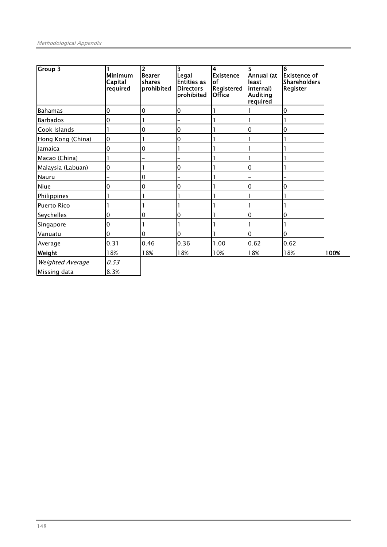| <b>Group 3</b>     | <b>Minimum</b><br>Capital<br>required | $\overline{2}$<br><b>Bearer</b><br>shares<br>prohibited | 3<br>Legal<br><b>Entities as</b><br><b>Directors</b><br>prohibited | 4<br>Existence<br>lof<br>Registered<br><b>Office</b> | 5<br>Annual (at<br>least<br> internal)<br><b>Auditing</b><br>required | $\overline{6}$<br><b>Existence of</b><br><b>Shareholders</b><br><b>Register</b> |      |
|--------------------|---------------------------------------|---------------------------------------------------------|--------------------------------------------------------------------|------------------------------------------------------|-----------------------------------------------------------------------|---------------------------------------------------------------------------------|------|
| Bahamas            | 0                                     | 0                                                       | 0                                                                  |                                                      |                                                                       | 0                                                                               |      |
| <b>Barbados</b>    | 0                                     |                                                         |                                                                    |                                                      |                                                                       |                                                                                 |      |
| Cook Islands       |                                       | 0                                                       | 0                                                                  |                                                      | 0                                                                     | 0                                                                               |      |
| Hong Kong (China)  | 0                                     |                                                         | 0                                                                  |                                                      |                                                                       |                                                                                 |      |
| Jamaica            | 0                                     | 0                                                       |                                                                    |                                                      |                                                                       |                                                                                 |      |
| Macao (China)      |                                       |                                                         | ÷,                                                                 |                                                      |                                                                       |                                                                                 |      |
| Malaysia (Labuan)  | 0                                     |                                                         | 0                                                                  |                                                      | 0                                                                     |                                                                                 |      |
| Nauru              |                                       | 0                                                       | -                                                                  |                                                      |                                                                       |                                                                                 |      |
| Niue               | 0                                     | 0                                                       | 0                                                                  |                                                      | 0                                                                     | 0                                                                               |      |
| Philippines        |                                       |                                                         |                                                                    |                                                      |                                                                       |                                                                                 |      |
| <b>Puerto Rico</b> |                                       |                                                         |                                                                    |                                                      |                                                                       |                                                                                 |      |
| Seychelles         | 0                                     | 0                                                       | 0                                                                  |                                                      | 0                                                                     | 0                                                                               |      |
| Singapore          | 0                                     |                                                         |                                                                    |                                                      |                                                                       |                                                                                 |      |
| Vanuatu            | 0                                     | 0                                                       | 0                                                                  |                                                      | 0                                                                     | 0                                                                               |      |
| Average            | 0.31                                  | 0.46                                                    | 0.36                                                               | 1.00                                                 | 0.62                                                                  | 0.62                                                                            |      |
| Weight             | 18%                                   | 18%                                                     | 18%                                                                | 10%                                                  | 18%                                                                   | 18%                                                                             | 100% |
| Weighted Average   | 0.53                                  |                                                         |                                                                    |                                                      |                                                                       |                                                                                 |      |
| Missing data       | 8.3%                                  |                                                         |                                                                    |                                                      |                                                                       |                                                                                 |      |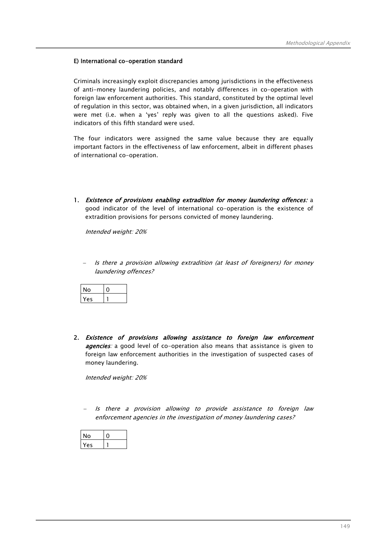## E) International co-operation standard

Criminals increasingly exploit discrepancies among jurisdictions in the effectiveness of anti-money laundering policies, and notably differences in co-operation with foreign law enforcement authorities. This standard, constituted by the optimal level of regulation in this sector, was obtained when, in a given jurisdiction, all indicators were met (i.e. when a 'yes' reply was given to all the questions asked). Five indicators of this fifth standard were used.

The four indicators were assigned the same value because they are equally important factors in the effectiveness of law enforcement, albeit in different phases of international co-operation.

1. Existence of provisions enabling extradition for money laundering offences: a good indicator of the level of international co-operation is the existence of extradition provisions for persons convicted of money laundering.

Intended weight: 20%

Is there a provision allowing extradition (at least of foreigners) for money laundering offences?

| ი   |  |
|-----|--|
| es. |  |

2. Existence of provisions allowing assistance to foreign law enforcement **agencies**: a good level of co-operation also means that assistance is given to foreign law enforcement authorities in the investigation of suspected cases of money laundering.

Intended weight: 20%

Is there a provision allowing to provide assistance to foreign law enforcement agencies in the investigation of money laundering cases?

| lo |  |
|----|--|
| es |  |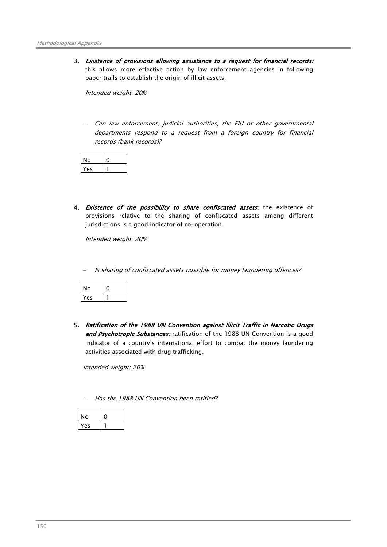3. Existence of provisions allowing assistance to a request for financial records: this allows more effective action by law enforcement agencies in following paper trails to establish the origin of illicit assets.

Intended weight: 20%

Can law enforcement, judicial authorities, the FIU or other governmental departments respond to a request from a foreign country for financial records (bank records)?

| ١c |  |
|----|--|

4. Existence of the possibility to share confiscated assets: the existence of provisions relative to the sharing of confiscated assets among different jurisdictions is a good indicator of co-operation.

Intended weight: 20%

Is sharing of confiscated assets possible for money laundering offences?

| ١o |  |
|----|--|
| es |  |

5. Ratification of the 1988 UN Convention against Illicit Traffic in Narcotic Drugs and Psychotropic Substances: ratification of the 1988 UN Convention is a good indicator of a country's international effort to combat the money laundering activities associated with drug trafficking.

Intended weight: 20%

Has the 1988 UN Convention been ratified?

| ი  |  |
|----|--|
| ρç |  |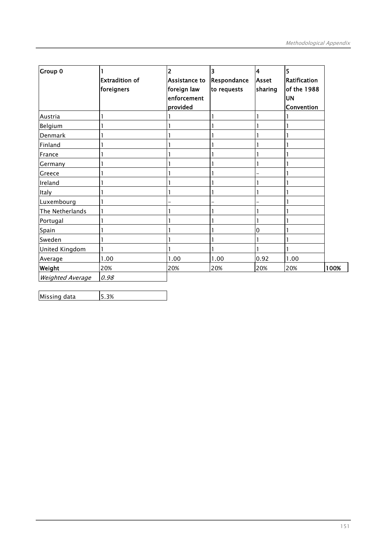| <b>Group 0</b>          |                       | $\overline{2}$       | 3           | $\overline{\mathbf{4}}$ | 5            |      |
|-------------------------|-----------------------|----------------------|-------------|-------------------------|--------------|------|
|                         | <b>Extradition of</b> | <b>Assistance to</b> | Respondance | <b>Asset</b>            | Ratification |      |
|                         | foreigners            | foreign law          | to requests | sharing                 | of the 1988  |      |
|                         |                       | enforcement          |             |                         | <b>UN</b>    |      |
|                         |                       | provided             |             |                         | Convention   |      |
| Austria                 |                       |                      |             |                         |              |      |
| Belgium                 |                       |                      |             |                         |              |      |
| Denmark                 |                       |                      |             |                         |              |      |
| Finland                 |                       |                      |             |                         |              |      |
| France                  |                       |                      |             |                         |              |      |
| Germany                 |                       |                      |             |                         |              |      |
| Greece                  |                       |                      |             |                         |              |      |
| Ireland                 |                       |                      |             |                         |              |      |
| Italy                   |                       |                      |             |                         |              |      |
| Luxembourg              |                       |                      |             |                         |              |      |
| The Netherlands         |                       |                      |             |                         |              |      |
| Portugal                |                       |                      |             |                         |              |      |
| Spain                   |                       |                      |             | 0                       |              |      |
| Sweden                  |                       |                      |             |                         |              |      |
| United Kingdom          |                       |                      |             |                         |              |      |
| Average                 | 1.00                  | 1.00                 | 1.00        | 0.92                    | 1.00         |      |
| Weight                  | 20%                   | 20%                  | 20%         | 20%                     | 20%          | 100% |
| <b>Weighted Average</b> | 0.98                  |                      |             |                         |              |      |

| Missing data | 5.3% |  |
|--------------|------|--|
|--------------|------|--|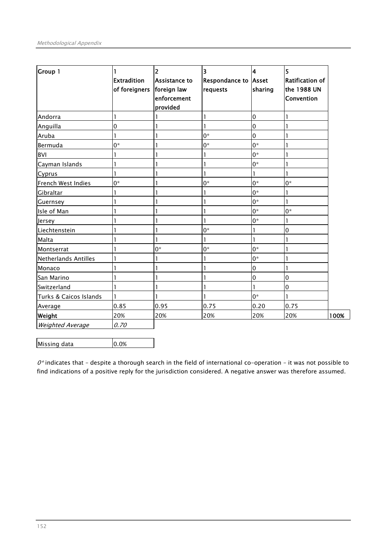| <b>Group 1</b>              | <b>Extradition</b><br>of foreigners | 2<br>Assistance to<br>foreign law<br>enforcement<br>provided | 3<br><b>Respondance to Asset</b><br>requests | $\overline{\mathbf{4}}$<br>sharing | 5<br><b>Ratification of</b><br>the 1988 UN<br>Convention |
|-----------------------------|-------------------------------------|--------------------------------------------------------------|----------------------------------------------|------------------------------------|----------------------------------------------------------|
| Andorra                     | 1                                   |                                                              | ı                                            | $\mathbf 0$                        | ı                                                        |
| Anguilla                    | 0                                   |                                                              |                                              | 0                                  |                                                          |
| Aruba                       |                                     |                                                              | $0*$                                         | 0                                  |                                                          |
| Bermuda                     | $0*$                                |                                                              | $0*$                                         | $0*$                               |                                                          |
| <b>BVI</b>                  |                                     |                                                              |                                              | $0^*$                              |                                                          |
| Cayman Islands              |                                     |                                                              |                                              | $0^*$                              |                                                          |
| Cyprus                      |                                     |                                                              |                                              | 1                                  | ı                                                        |
| French West Indies          | $0^*$                               |                                                              | $0^*$                                        | $0*$                               | 0*                                                       |
| Gibraltar                   |                                     |                                                              |                                              | $0*$                               | 1                                                        |
| Guernsey                    |                                     |                                                              |                                              | $0*$                               | 1                                                        |
| Isle of Man                 |                                     |                                                              |                                              | $0^*$                              | $0*$                                                     |
| Jersey                      |                                     |                                                              |                                              | $0*$                               | 1                                                        |
| Liechtenstein               |                                     |                                                              | $0*$                                         | 1                                  | 0                                                        |
| Malta                       |                                     |                                                              |                                              | 1                                  |                                                          |
| Montserrat                  |                                     | 0*                                                           | 0*                                           | $0*$                               |                                                          |
| <b>Netherlands Antilles</b> |                                     |                                                              |                                              | $0*$                               |                                                          |
| Monaco                      |                                     |                                                              |                                              | $\mathbf 0$                        | 1                                                        |
| San Marino                  |                                     |                                                              |                                              | 0                                  | 0                                                        |
| Switzerland                 |                                     |                                                              |                                              |                                    | 0                                                        |
| Turks & Caicos Islands      | 1                                   |                                                              |                                              | $0*$                               | 1                                                        |
| Average                     | 0.85                                | 0.95                                                         | 0.75                                         | 0.20                               | 0.75                                                     |
| Weight                      | 20%                                 | 20%                                                          | 20%                                          | 20%                                | 20%<br>100%                                              |
| Weighted Average            | 0.70                                |                                                              |                                              |                                    |                                                          |

Missing data 0.0%

 $0^*$  indicates that - despite a thorough search in the field of international co-operation - it was not possible to find indications of a positive reply for the jurisdiction considered. A negative answer was therefore assumed.

l,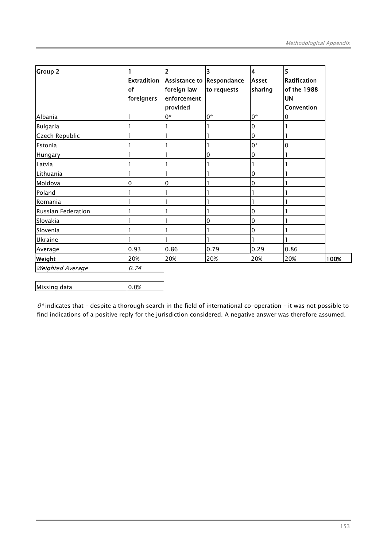| <b>Group 2</b>          | Extradition<br>of<br>foreigners | 2<br>Assistance to Respondance<br>foreign law<br>enforcement<br>provided | 3<br>to requests | 4<br>Asset<br>sharing | 5<br>Ratification<br>of the 1988<br><b>UN</b><br>Convention |      |
|-------------------------|---------------------------------|--------------------------------------------------------------------------|------------------|-----------------------|-------------------------------------------------------------|------|
| Albania                 |                                 | $0*$                                                                     | $0*$             | $0*$                  | 0                                                           |      |
| Bulgaria                |                                 |                                                                          |                  | 0                     |                                                             |      |
| Czech Republic          |                                 |                                                                          |                  | 0                     |                                                             |      |
| Estonia                 |                                 |                                                                          |                  | $0*$                  | 0                                                           |      |
| Hungary                 |                                 |                                                                          | 0                | 0                     |                                                             |      |
| Latvia                  |                                 |                                                                          |                  |                       |                                                             |      |
| Lithuania               |                                 |                                                                          |                  | 0                     |                                                             |      |
| Moldova                 | 0                               | 0                                                                        |                  | 0                     |                                                             |      |
| Poland                  |                                 |                                                                          |                  |                       |                                                             |      |
| Romania                 |                                 |                                                                          |                  |                       |                                                             |      |
| Russian Federation      |                                 |                                                                          |                  | 0                     |                                                             |      |
| Slovakia                |                                 |                                                                          | 0                | 0                     |                                                             |      |
| Slovenia                |                                 |                                                                          |                  | 0                     |                                                             |      |
| Ukraine                 |                                 |                                                                          |                  |                       |                                                             |      |
| Average                 | 0.93                            | 0.86                                                                     | 0.79             | 0.29                  | 0.86                                                        |      |
| Weight                  | 20%                             | 20%                                                                      | 20%              | 20%                   | 20%                                                         | 100% |
| <b>Weighted Average</b> | 0.74                            |                                                                          |                  |                       |                                                             |      |

| Missing data | 0.0% |
|--------------|------|

 $0^*$  indicates that - despite a thorough search in the field of international co-operation - it was not possible to find indications of a positive reply for the jurisdiction considered. A negative answer was therefore assumed.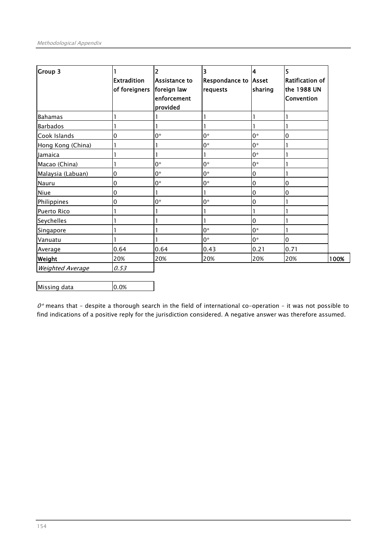| Group 3                 | <b>Extradition</b><br>of foreigners | 2<br>Assistance to<br>foreign law<br>enforcement<br>provided | 3<br><b>Respondance to Asset</b><br>requests | 4<br>sharing | 5<br>Ratification of<br>the 1988 UN<br><b>Convention</b> |      |
|-------------------------|-------------------------------------|--------------------------------------------------------------|----------------------------------------------|--------------|----------------------------------------------------------|------|
| <b>Bahamas</b>          |                                     |                                                              |                                              |              |                                                          |      |
| <b>Barbados</b>         |                                     |                                                              |                                              |              |                                                          |      |
| Cook Islands            | 0                                   | $0^*$                                                        | $0^*$                                        | $0^*$        | 0                                                        |      |
| Hong Kong (China)       |                                     |                                                              | $0^*$                                        | $0^*$        |                                                          |      |
| <b>Jamaica</b>          |                                     |                                                              |                                              | $0^*$        |                                                          |      |
| Macao (China)           |                                     | $0^*$                                                        | $0*$                                         | $0^*$        |                                                          |      |
| Malaysia (Labuan)       | 0                                   | $0*$                                                         | 0*                                           | $\pmb{0}$    |                                                          |      |
| Nauru                   | 0                                   | $0*$                                                         | $0*$                                         | 0            | 0                                                        |      |
| Niue                    | 0                                   |                                                              |                                              | 0            | 0                                                        |      |
| Philippines             | 0                                   | $0^*$                                                        | $0^*$                                        | 0            |                                                          |      |
| Puerto Rico             |                                     |                                                              |                                              |              |                                                          |      |
| Seychelles              |                                     |                                                              |                                              | 0            |                                                          |      |
| Singapore               |                                     |                                                              | $0^*$                                        | 0*           |                                                          |      |
| Vanuatu                 |                                     |                                                              | $0*$                                         | $0*$         | 0                                                        |      |
| Average                 | 0.64                                | 0.64                                                         | 0.43                                         | 0.21         | 0.71                                                     |      |
| Weight                  | 20%                                 | 20%                                                          | 20%                                          | 20%          | 20%                                                      | 100% |
| <b>Weighted Average</b> | 0.53                                |                                                              |                                              |              |                                                          |      |

| Missing data | 0.0% |
|--------------|------|

 $0^*$  means that - despite a thorough search in the field of international co-operation - it was not possible to find indications of a positive reply for the jurisdiction considered. A negative answer was therefore assumed.